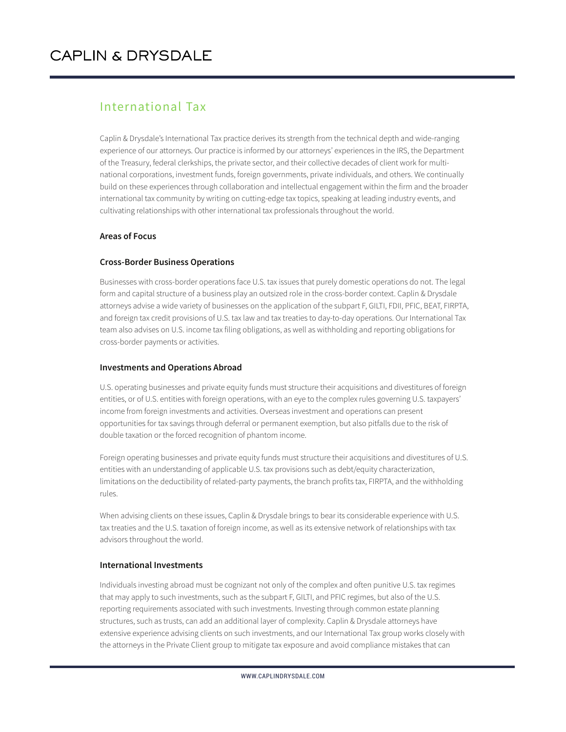#### International Tax

Caplin & Drysdale's International Tax practice derives its strength from the technical depth and wide-ranging experience of our attorneys. Our practice is informed by our attorneys' experiences in the IRS, the Department of the Treasury, federal clerkships, the private sector, and their collective decades of client work for multinational corporations, investment funds, foreign governments, private individuals, and others. We continually build on these experiences through collaboration and intellectual engagement within the firm and the broader international tax community by writing on cutting-edge tax topics, speaking at leading industry events, and cultivating relationships with other international tax professionals throughout the world.

#### **Areas of Focus**

#### **Cross-Border Business Operations**

Businesses with cross-border operations face U.S. tax issues that purely domestic operations do not. The legal form and capital structure of a business play an outsized role in the cross-border context. Caplin & Drysdale attorneys advise a wide variety of businesses on the application of the subpart F, GILTI, FDII, PFIC, BEAT, FIRPTA, and foreign tax credit provisions of U.S. tax law and tax treaties to day-to-day operations. Our International Tax team also advises on U.S. income tax filing obligations, as well as withholding and reporting obligations for cross-border payments or activities.

#### **Investments and Operations Abroad**

U.S. operating businesses and private equity funds must structure their acquisitions and divestitures of foreign entities, or of U.S. entities with foreign operations, with an eye to the complex rules governing U.S. taxpayers' income from foreign investments and activities. Overseas investment and operations can present opportunities for tax savings through deferral or permanent exemption, but also pitfalls due to the risk of double taxation or the forced recognition of phantom income.

Foreign operating businesses and private equity funds must structure their acquisitions and divestitures of U.S. entities with an understanding of applicable U.S. tax provisions such as debt/equity characterization, limitations on the deductibility of related-party payments, the branch profits tax, FIRPTA, and the withholding rules.

When advising clients on these issues, Caplin & Drysdale brings to bear its considerable experience with U.S. tax treaties and the U.S. taxation of foreign income, as well as its extensive network of relationships with tax advisors throughout the world.

#### **International Investments**

Individuals investing abroad must be cognizant not only of the complex and often punitive U.S. tax regimes that may apply to such investments, such as the subpart F, GILTI, and PFIC regimes, but also of the U.S. reporting requirements associated with such investments. Investing through common estate planning structures, such as trusts, can add an additional layer of complexity. Caplin & Drysdale attorneys have extensive experience advising clients on such investments, and our International Tax group works closely with the attorneys in the Private Client group to mitigate tax exposure and avoid compliance mistakes that can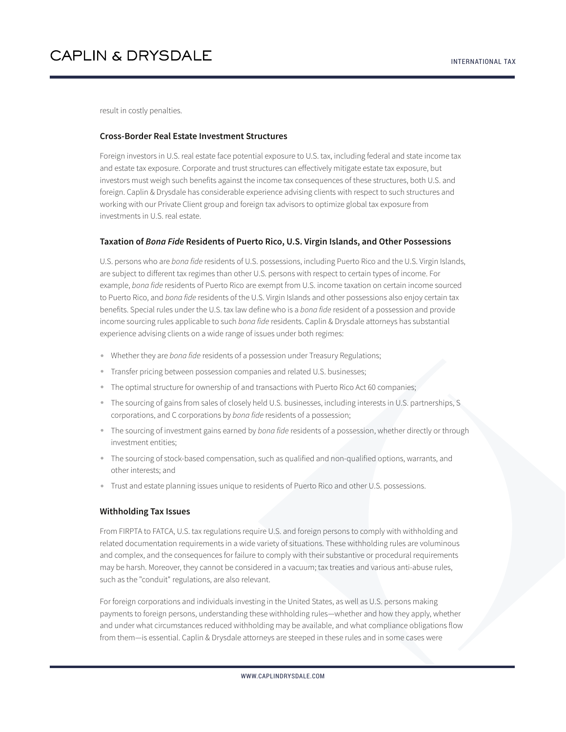result in costly penalties.

#### **Cross-Border Real Estate Investment Structures**

Foreign investors in U.S. real estate face potential exposure to U.S. tax, including federal and state income tax and estate tax exposure. Corporate and trust structures can effectively mitigate estate tax exposure, but investors must weigh such benefits against the income tax consequences of these structures, both U.S. and foreign. Caplin & Drysdale has considerable experience advising clients with respect to such structures and working with our Private Client group and foreign tax advisors to optimize global tax exposure from investments in U.S. real estate.

#### **Taxation of** *Bona Fide* **Residents of Puerto Rico, U.S. Virgin Islands, and Other Possessions**

U.S. persons who are *bona fide* residents of U.S. possessions, including Puerto Rico and the U.S. Virgin Islands, are subject to different tax regimes than other U.S. persons with respect to certain types of income. For example, *bona fide* residents of Puerto Rico are exempt from U.S. income taxation on certain income sourced to Puerto Rico, and *bona fide* residents of the U.S. Virgin Islands and other possessions also enjoy certain tax benefits. Special rules under the U.S. tax law define who is a *bona fide* resident of a possession and provide income sourcing rules applicable to such *bona fide* residents. Caplin & Drysdale attorneys has substantial experience advising clients on a wide range of issues under both regimes:

- Whether they are *bona fide* residents of a possession under Treasury Regulations;
- Transfer pricing between possession companies and related U.S. businesses;
- The optimal structure for ownership of and transactions with Puerto Rico Act 60 companies;
- The sourcing of gains from sales of closely held U.S. businesses, including interests in U.S. partnerships, S corporations, and C corporations by *bona fide* residents of a possession;
- The sourcing of investment gains earned by *bona fide* residents of a possession, whether directly or through investment entities;
- The sourcing of stock-based compensation, such as qualified and non-qualified options, warrants, and other interests; and
- Trust and estate planning issues unique to residents of Puerto Rico and other U.S. possessions.

#### **Withholding Tax Issues**

From FIRPTA to FATCA, U.S. tax regulations require U.S. and foreign persons to comply with withholding and related documentation requirements in a wide variety of situations. These withholding rules are voluminous and complex, and the consequences for failure to comply with their substantive or procedural requirements may be harsh. Moreover, they cannot be considered in a vacuum; tax treaties and various anti-abuse rules, such as the "conduit" regulations, are also relevant.

For foreign corporations and individuals investing in the United States, as well as U.S. persons making payments to foreign persons, understanding these withholding rules—whether and how they apply, whether and under what circumstances reduced withholding may be available, and what compliance obligations flow from them—is essential. Caplin & Drysdale attorneys are steeped in these rules and in some cases were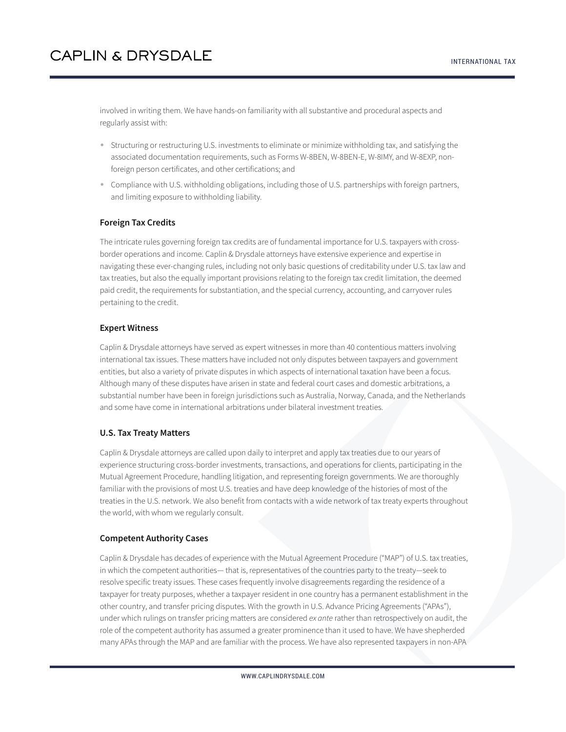involved in writing them. We have hands-on familiarity with all substantive and procedural aspects and regularly assist with:

- Structuring or restructuring U.S. investments to eliminate or minimize withholding tax, and satisfying the associated documentation requirements, such as Forms W-8BEN, W-8BEN-E, W-8IMY, and W-8EXP, nonforeign person certificates, and other certifications; and
- Compliance with U.S. withholding obligations, including those of U.S. partnerships with foreign partners, and limiting exposure to withholding liability.

#### **Foreign Tax Credits**

The intricate rules governing foreign tax credits are of fundamental importance for U.S. taxpayers with crossborder operations and income. Caplin & Drysdale attorneys have extensive experience and expertise in navigating these ever-changing rules, including not only basic questions of creditability under U.S. tax law and tax treaties, but also the equally important provisions relating to the foreign tax credit limitation, the deemed paid credit, the requirements for substantiation, and the special currency, accounting, and carryover rules pertaining to the credit.

#### **Expert Witness**

Caplin & Drysdale attorneys have served as expert witnesses in more than 40 contentious matters involving international tax issues. These matters have included not only disputes between taxpayers and government entities, but also a variety of private disputes in which aspects of international taxation have been a focus. Although many of these disputes have arisen in state and federal court cases and domestic arbitrations, a substantial number have been in foreign jurisdictions such as Australia, Norway, Canada, and the Netherlands and some have come in international arbitrations under bilateral investment treaties.

#### **U.S. Tax Treaty Matters**

Caplin & Drysdale attorneys are called upon daily to interpret and apply tax treaties due to our years of experience structuring cross-border investments, transactions, and operations for clients, participating in the Mutual Agreement Procedure, handling litigation, and representing foreign governments. We are thoroughly familiar with the provisions of most U.S. treaties and have deep knowledge of the histories of most of the treaties in the U.S. network. We also benefit from contacts with a wide network of tax treaty experts throughout the world, with whom we regularly consult.

#### **Competent Authority Cases**

Caplin & Drysdale has decades of experience with the Mutual Agreement Procedure ("MAP") of U.S. tax treaties, in which the competent authorities— that is, representatives of the countries party to the treaty—seek to resolve specific treaty issues. These cases frequently involve disagreements regarding the residence of a taxpayer for treaty purposes, whether a taxpayer resident in one country has a permanent establishment in the other country, and transfer pricing disputes. With the growth in U.S. Advance Pricing Agreements ("APAs"), under which rulings on transfer pricing matters are considered *ex ante* rather than retrospectively on audit, the role of the competent authority has assumed a greater prominence than it used to have. We have shepherded many APAs through the MAP and are familiar with the process. We have also represented taxpayers in non-APA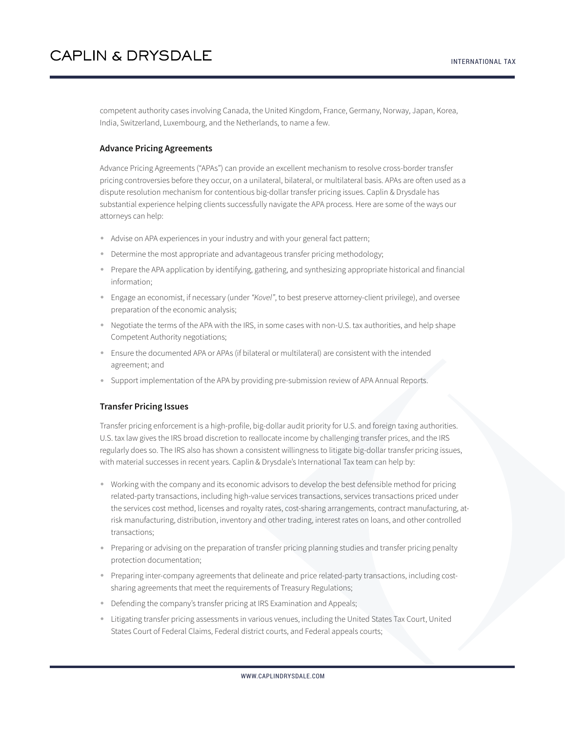competent authority cases involving Canada, the United Kingdom, France, Germany, Norway, Japan, Korea, India, Switzerland, Luxembourg, and the Netherlands, to name a few.

#### **Advance Pricing Agreements**

Advance Pricing Agreements ("APAs") can provide an excellent mechanism to resolve cross-border transfer pricing controversies before they occur, on a unilateral, bilateral, or multilateral basis. APAs are often used as a dispute resolution mechanism for contentious big-dollar transfer pricing issues. Caplin & Drysdale has substantial experience helping clients successfully navigate the APA process. Here are some of the ways our attorneys can help:

- Advise on APA experiences in your industry and with your general fact pattern;
- Determine the most appropriate and advantageous transfer pricing methodology;
- Prepare the APA application by identifying, gathering, and synthesizing appropriate historical and financial information;
- Engage an economist, if necessary (under *"Kovel"*, to best preserve attorney-client privilege), and oversee preparation of the economic analysis;
- Negotiate the terms of the APA with the IRS, in some cases with non-U.S. tax authorities, and help shape Competent Authority negotiations;
- Ensure the documented APA or APAs (if bilateral or multilateral) are consistent with the intended agreement; and
- Support implementation of the APA by providing pre-submission review of APA Annual Reports.

#### **Transfer Pricing Issues**

Transfer pricing enforcement is a high-profile, big-dollar audit priority for U.S. and foreign taxing authorities. U.S. tax law gives the IRS broad discretion to reallocate income by challenging transfer prices, and the IRS regularly does so. The IRS also has shown a consistent willingness to litigate big-dollar transfer pricing issues, with material successes in recent years. Caplin & Drysdale's International Tax team can help by:

- Working with the company and its economic advisors to develop the best defensible method for pricing related-party transactions, including high-value services transactions, services transactions priced under the services cost method, licenses and royalty rates, cost-sharing arrangements, contract manufacturing, atrisk manufacturing, distribution, inventory and other trading, interest rates on loans, and other controlled transactions;
- Preparing or advising on the preparation of transfer pricing planning studies and transfer pricing penalty protection documentation;
- Preparing inter-company agreements that delineate and price related-party transactions, including costsharing agreements that meet the requirements of Treasury Regulations;
- Defending the company's transfer pricing at IRS Examination and Appeals;
- Litigating transfer pricing assessments in various venues, including the United States Tax Court, United States Court of Federal Claims, Federal district courts, and Federal appeals courts;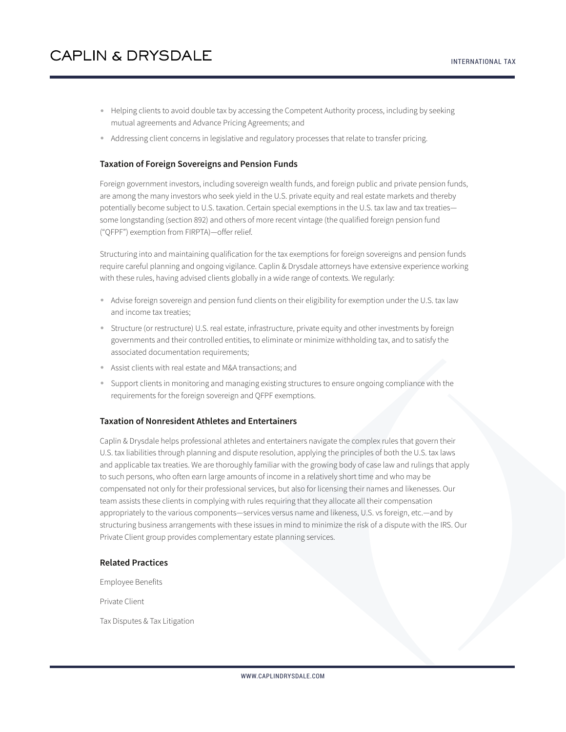- Helping clients to avoid double tax by accessing the Competent Authority process, including by seeking mutual agreements and Advance Pricing Agreements; and
- Addressing client concerns in legislative and regulatory processes that relate to transfer pricing.

#### **Taxation of Foreign Sovereigns and Pension Funds**

Foreign government investors, including sovereign wealth funds, and foreign public and private pension funds, are among the many investors who seek yield in the U.S. private equity and real estate markets and thereby potentially become subject to U.S. taxation. Certain special exemptions in the U.S. tax law and tax treaties some longstanding (section 892) and others of more recent vintage (the qualified foreign pension fund ("QFPF") exemption from FIRPTA)—offer relief.

Structuring into and maintaining qualification for the tax exemptions for foreign sovereigns and pension funds require careful planning and ongoing vigilance. Caplin & Drysdale attorneys have extensive experience working with these rules, having advised clients globally in a wide range of contexts. We regularly:

- Advise foreign sovereign and pension fund clients on their eligibility for exemption under the U.S. tax law and income tax treaties;
- Structure (or restructure) U.S. real estate, infrastructure, private equity and other investments by foreign governments and their controlled entities, to eliminate or minimize withholding tax, and to satisfy the associated documentation requirements;
- Assist clients with real estate and M&A transactions; and
- Support clients in monitoring and managing existing structures to ensure ongoing compliance with the requirements for the foreign sovereign and QFPF exemptions.

#### **Taxation of Nonresident Athletes and Entertainers**

Caplin & Drysdale helps professional athletes and entertainers navigate the complex rules that govern their U.S. tax liabilities through planning and dispute resolution, applying the principles of both the U.S. tax laws and applicable tax treaties. We are thoroughly familiar with the growing body of case law and rulings that apply to such persons, who often earn large amounts of income in a relatively short time and who may be compensated not only for their professional services, but also for licensing their names and likenesses. Our team assists these clients in complying with rules requiring that they allocate all their compensation appropriately to the various components—services versus name and likeness, U.S. vs foreign, etc.—and by structuring business arrangements with these issues in mind to minimize the risk of a dispute with the IRS. Our Private Client group provides complementary estate planning services.

#### **Related Practices**

Employee Benefits

Private Client

Tax Disputes & Tax Litigation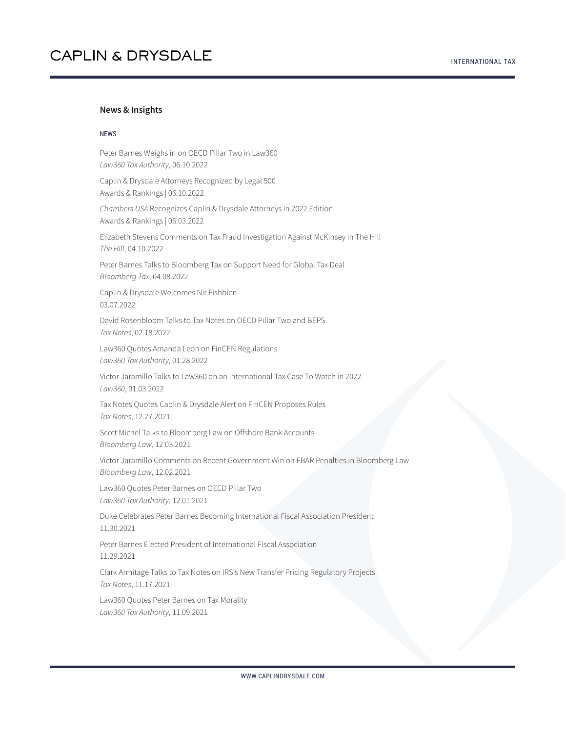#### **News & Insights**

#### NEWS

Peter Barnes Weighs in on OECD Pillar Two in Law360 *Law360 Tax Authority*, 06.10.2022

Caplin & Drysdale Attorneys Recognized by Legal 500 Awards & Rankings | 06.10.2022

*Chambers USA* Recognizes Caplin & Drysdale Attorneys in 2022 Edition Awards & Rankings | 06.03.2022

Elizabeth Stevens Comments on Tax Fraud Investigation Against McKinsey in The Hill *The Hill*, 04.10.2022

Peter Barnes Talks to Bloomberg Tax on Support Need for Global Tax Deal *Bloomberg Tax*, 04.08.2022

Caplin & Drysdale Welcomes Nir Fishbien 03.07.2022

David Rosenbloom Talks to Tax Notes on OECD Pillar Two and BEPS *Tax Notes*, 02.18.2022

Law360 Quotes Amanda Leon on FinCEN Regulations *Law360 Tax Authority*, 01.28.2022

Victor Jaramillo Talks to Law360 on an International Tax Case To Watch in 2022 *Law360*, 01.03.2022

Tax Notes Quotes Caplin & Drysdale Alert on FinCEN Proposes Rules *Tax Notes*, 12.27.2021

Scott Michel Talks to Bloomberg Law on Offshore Bank Accounts *Bloomberg Law*, 12.03.2021

Victor Jaramillo Comments on Recent Government Win on FBAR Penalties in Bloomberg Law *Bloomberg Law*, 12.02.2021

Law360 Quotes Peter Barnes on OECD Pillar Two *Law360 Tax Authority*, 12.01.2021

Duke Celebrates Peter Barnes Becoming International Fiscal Association President 11.30.2021

Peter Barnes Elected President of International Fiscal Association 11.29.2021

Clark Armitage Talks to Tax Notes on IRS's New Transfer Pricing Regulatory Projects *Tax Notes*, 11.17.2021

Law360 Quotes Peter Barnes on Tax Morality *Law360 Tax Authority*, 11.09.2021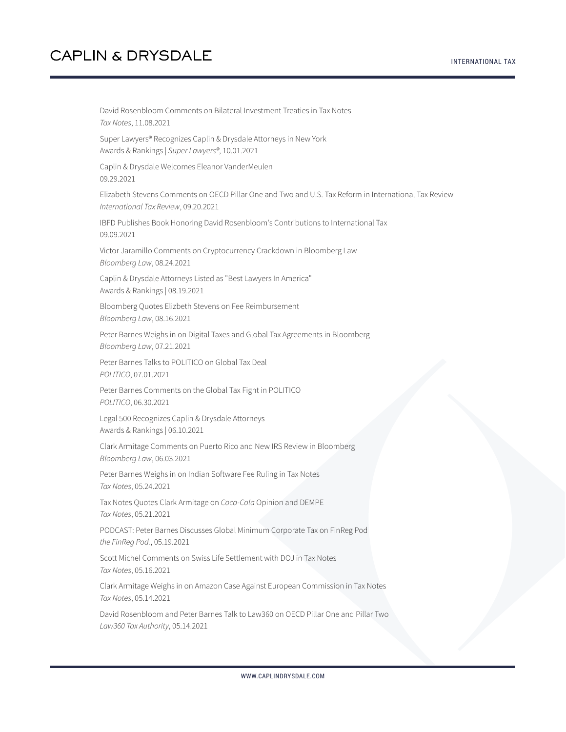David Rosenbloom Comments on Bilateral Investment Treaties in Tax Notes *Tax Notes*, 11.08.2021 Super Lawyers® Recognizes Caplin & Drysdale Attorneys in New York Awards & Rankings | *Super Lawyers®*, 10.01.2021 Caplin & Drysdale Welcomes Eleanor VanderMeulen 09.29.2021 Elizabeth Stevens Comments on OECD Pillar One and Two and U.S. Tax Reform in International Tax Review *International Tax Review*, 09.20.2021 IBFD Publishes Book Honoring David Rosenbloom's Contributions to International Tax 09.09.2021 Victor Jaramillo Comments on Cryptocurrency Crackdown in Bloomberg Law *Bloomberg Law*, 08.24.2021 Caplin & Drysdale Attorneys Listed as "Best Lawyers In America" Awards & Rankings | 08.19.2021 Bloomberg Quotes Elizbeth Stevens on Fee Reimbursement *Bloomberg Law*, 08.16.2021 Peter Barnes Weighs in on Digital Taxes and Global Tax Agreements in Bloomberg *Bloomberg Law*, 07.21.2021 Peter Barnes Talks to POLITICO on Global Tax Deal *POLITICO*, 07.01.2021 Peter Barnes Comments on the Global Tax Fight in POLITICO *POLITICO*, 06.30.2021 Legal 500 Recognizes Caplin & Drysdale Attorneys Awards & Rankings | 06.10.2021 Clark Armitage Comments on Puerto Rico and New IRS Review in Bloomberg *Bloomberg Law*, 06.03.2021 Peter Barnes Weighs in on Indian Software Fee Ruling in Tax Notes *Tax Notes*, 05.24.2021 Tax Notes Quotes Clark Armitage on *Coca-Cola* Opinion and DEMPE *Tax Notes*, 05.21.2021 PODCAST: Peter Barnes Discusses Global Minimum Corporate Tax on FinReg Pod *the FinReg Pod.*, 05.19.2021 Scott Michel Comments on Swiss Life Settlement with DOJ in Tax Notes *Tax Notes*, 05.16.2021 Clark Armitage Weighs in on Amazon Case Against European Commission in Tax Notes *Tax Notes*, 05.14.2021 David Rosenbloom and Peter Barnes Talk to Law360 on OECD Pillar One and Pillar Two *Law360 Tax Authority*, 05.14.2021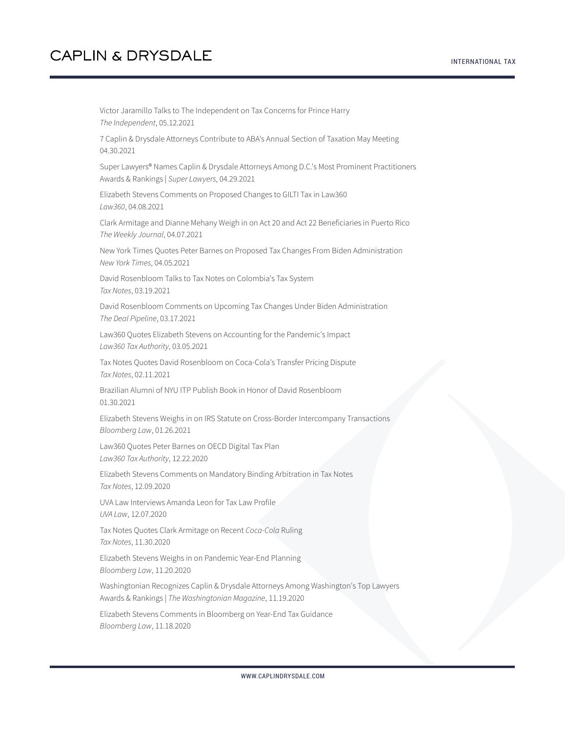Victor Jaramillo Talks to The Independent on Tax Concerns for Prince Harry *The Independent*, 05.12.2021

7 Caplin & Drysdale Attorneys Contribute to ABA's Annual Section of Taxation May Meeting 04.30.2021

Super Lawyers® Names Caplin & Drysdale Attorneys Among D.C.'s Most Prominent Practitioners Awards & Rankings | *Super Lawyers*, 04.29.2021

Elizabeth Stevens Comments on Proposed Changes to GILTI Tax in Law360 *Law360*, 04.08.2021

Clark Armitage and Dianne Mehany Weigh in on Act 20 and Act 22 Beneficiaries in Puerto Rico *The Weekly Journal*, 04.07.2021

New York Times Quotes Peter Barnes on Proposed Tax Changes From Biden Administration *New York Times*, 04.05.2021

David Rosenbloom Talks to Tax Notes on Colombia's Tax System *Tax Notes*, 03.19.2021

David Rosenbloom Comments on Upcoming Tax Changes Under Biden Administration *The Deal Pipeline*, 03.17.2021

Law360 Quotes Elizabeth Stevens on Accounting for the Pandemic's Impact *Law360 Tax Authority*, 03.05.2021

Tax Notes Quotes David Rosenbloom on Coca-Cola's Transfer Pricing Dispute *Tax Notes*, 02.11.2021

Brazilian Alumni of NYU ITP Publish Book in Honor of David Rosenbloom 01.30.2021

Elizabeth Stevens Weighs in on IRS Statute on Cross-Border Intercompany Transactions *Bloomberg Law*, 01.26.2021

Law360 Quotes Peter Barnes on OECD Digital Tax Plan *Law360 Tax Authority*, 12.22.2020

Elizabeth Stevens Comments on Mandatory Binding Arbitration in Tax Notes *Tax Notes*, 12.09.2020

UVA Law Interviews Amanda Leon for Tax Law Profile *UVA Law*, 12.07.2020

Tax Notes Quotes Clark Armitage on Recent *Coca-Cola* Ruling *Tax Notes*, 11.30.2020

Elizabeth Stevens Weighs in on Pandemic Year-End Planning *Bloomberg Law*, 11.20.2020

Washingtonian Recognizes Caplin & Drysdale Attorneys Among Washington's Top Lawyers Awards & Rankings | *The Washingtonian Magazine*, 11.19.2020

Elizabeth Stevens Comments in Bloomberg on Year-End Tax Guidance *Bloomberg Law*, 11.18.2020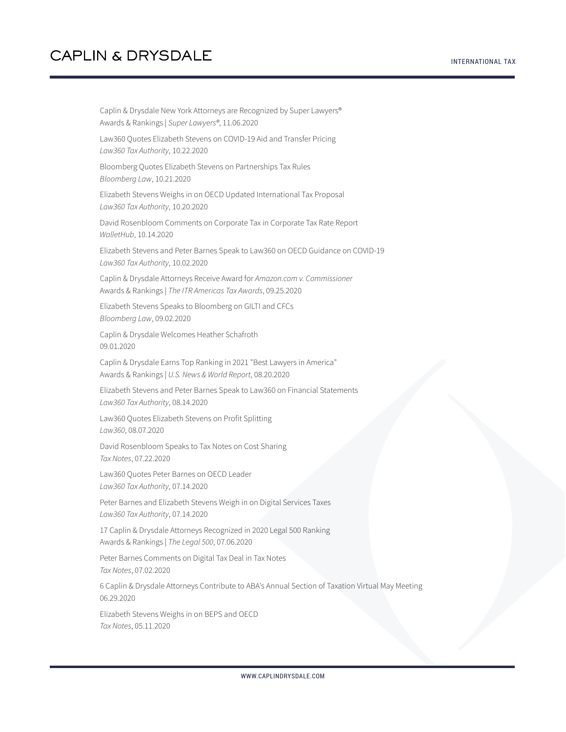Caplin & Drysdale New York Attorneys are Recognized by Super Lawyers® Awards & Rankings | *Super Lawyers®*, 11.06.2020

Law360 Quotes Elizabeth Stevens on COVID-19 Aid and Transfer Pricing *Law360 Tax Authority*, 10.22.2020

Bloomberg Quotes Elizabeth Stevens on Partnerships Tax Rules *Bloomberg Law*, 10.21.2020

Elizabeth Stevens Weighs in on OECD Updated International Tax Proposal *Law360 Tax Authority*, 10.20.2020

David Rosenbloom Comments on Corporate Tax in Corporate Tax Rate Report *WalletHub*, 10.14.2020

Elizabeth Stevens and Peter Barnes Speak to Law360 on OECD Guidance on COVID-19 *Law360 Tax Authority*, 10.02.2020

Caplin & Drysdale Attorneys Receive Award for *Amazon.com v. Commissioner* Awards & Rankings | *The ITR Americas Tax Awards*, 09.25.2020

Elizabeth Stevens Speaks to Bloomberg on GILTI and CFCs *Bloomberg Law*, 09.02.2020

Caplin & Drysdale Welcomes Heather Schafroth 09.01.2020

Caplin & Drysdale Earns Top Ranking in 2021 "Best Lawyers in America" Awards & Rankings | *U.S. News & World Report*, 08.20.2020

Elizabeth Stevens and Peter Barnes Speak to Law360 on Financial Statements *Law360 Tax Authority*, 08.14.2020

Law360 Quotes Elizabeth Stevens on Profit Splitting *Law360*, 08.07.2020

David Rosenbloom Speaks to Tax Notes on Cost Sharing *Tax Notes*, 07.22.2020

Law360 Quotes Peter Barnes on OECD Leader *Law360 Tax Authority*, 07.14.2020

Peter Barnes and Elizabeth Stevens Weigh in on Digital Services Taxes *Law360 Tax Authority*, 07.14.2020

17 Caplin & Drysdale Attorneys Recognized in 2020 Legal 500 Ranking Awards & Rankings | *The Legal 500*, 07.06.2020

Peter Barnes Comments on Digital Tax Deal in Tax Notes *Tax Notes*, 07.02.2020

6 Caplin & Drysdale Attorneys Contribute to ABA's Annual Section of Taxation Virtual May Meeting 06.29.2020

Elizabeth Stevens Weighs in on BEPS and OECD *Tax Notes*, 05.11.2020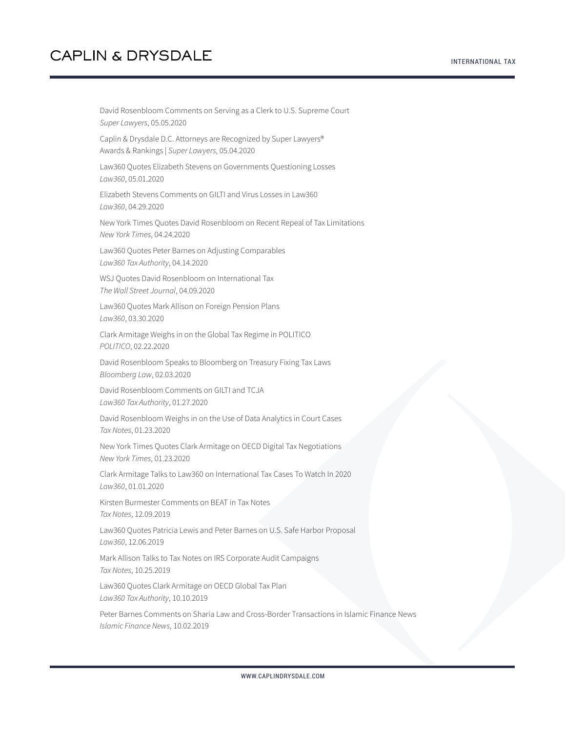David Rosenbloom Comments on Serving as a Clerk to U.S. Supreme Court *Super Lawyers*, 05.05.2020

Caplin & Drysdale D.C. Attorneys are Recognized by Super Lawyers® Awards & Rankings | *Super Lawyers*, 05.04.2020

Law360 Quotes Elizabeth Stevens on Governments Questioning Losses *Law360*, 05.01.2020

Elizabeth Stevens Comments on GILTI and Virus Losses in Law360 *Law360*, 04.29.2020

New York Times Quotes David Rosenbloom on Recent Repeal of Tax Limitations *New York Times*, 04.24.2020

Law360 Quotes Peter Barnes on Adjusting Comparables *Law360 Tax Authority*, 04.14.2020

WSJ Quotes David Rosenbloom on International Tax *The Wall Street Journal*, 04.09.2020

Law360 Quotes Mark Allison on Foreign Pension Plans *Law360*, 03.30.2020

Clark Armitage Weighs in on the Global Tax Regime in POLITICO *POLITICO*, 02.22.2020

David Rosenbloom Speaks to Bloomberg on Treasury Fixing Tax Laws *Bloomberg Law*, 02.03.2020

David Rosenbloom Comments on GILTI and TCJA *Law360 Tax Authority*, 01.27.2020

David Rosenbloom Weighs in on the Use of Data Analytics in Court Cases *Tax Notes*, 01.23.2020

New York Times Quotes Clark Armitage on OECD Digital Tax Negotiations *New York Times*, 01.23.2020

Clark Armitage Talks to Law360 on International Tax Cases To Watch In 2020 *Law360*, 01.01.2020

Kirsten Burmester Comments on BEAT in Tax Notes *Tax Notes*, 12.09.2019

Law360 Quotes Patricia Lewis and Peter Barnes on U.S. Safe Harbor Proposal *Law360*, 12.06.2019

Mark Allison Talks to Tax Notes on IRS Corporate Audit Campaigns *Tax Notes*, 10.25.2019

Law360 Quotes Clark Armitage on OECD Global Tax Plan *Law360 Tax Authority*, 10.10.2019

Peter Barnes Comments on Sharia Law and Cross-Border Transactions in Islamic Finance News *Islamic Finance News*, 10.02.2019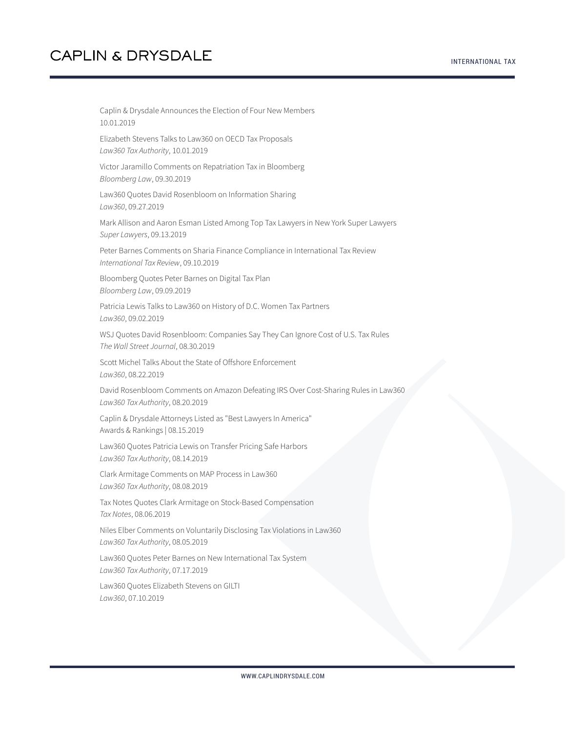Caplin & Drysdale Announces the Election of Four New Members 10.01.2019 Elizabeth Stevens Talks to Law360 on OECD Tax Proposals *Law360 Tax Authority*, 10.01.2019 Victor Jaramillo Comments on Repatriation Tax in Bloomberg *Bloomberg Law*, 09.30.2019 Law360 Quotes David Rosenbloom on Information Sharing *Law360*, 09.27.2019 Mark Allison and Aaron Esman Listed Among Top Tax Lawyers in New York Super Lawyers *Super Lawyers*, 09.13.2019 Peter Barnes Comments on Sharia Finance Compliance in International Tax Review *International Tax Review*, 09.10.2019 Bloomberg Quotes Peter Barnes on Digital Tax Plan *Bloomberg Law*, 09.09.2019 Patricia Lewis Talks to Law360 on History of D.C. Women Tax Partners *Law360*, 09.02.2019 WSJ Quotes David Rosenbloom: Companies Say They Can Ignore Cost of U.S. Tax Rules *The Wall Street Journal*, 08.30.2019 Scott Michel Talks About the State of Offshore Enforcement *Law360*, 08.22.2019 David Rosenbloom Comments on Amazon Defeating IRS Over Cost-Sharing Rules in Law360 *Law360 Tax Authority*, 08.20.2019 Caplin & Drysdale Attorneys Listed as "Best Lawyers In America" Awards & Rankings | 08.15.2019 Law360 Quotes Patricia Lewis on Transfer Pricing Safe Harbors *Law360 Tax Authority*, 08.14.2019 Clark Armitage Comments on MAP Process in Law360 *Law360 Tax Authority*, 08.08.2019 Tax Notes Quotes Clark Armitage on Stock-Based Compensation *Tax Notes*, 08.06.2019 Niles Elber Comments on Voluntarily Disclosing Tax Violations in Law360 *Law360 Tax Authority*, 08.05.2019 Law360 Quotes Peter Barnes on New International Tax System *Law360 Tax Authority*, 07.17.2019

Law360 Quotes Elizabeth Stevens on GILTI *Law360*, 07.10.2019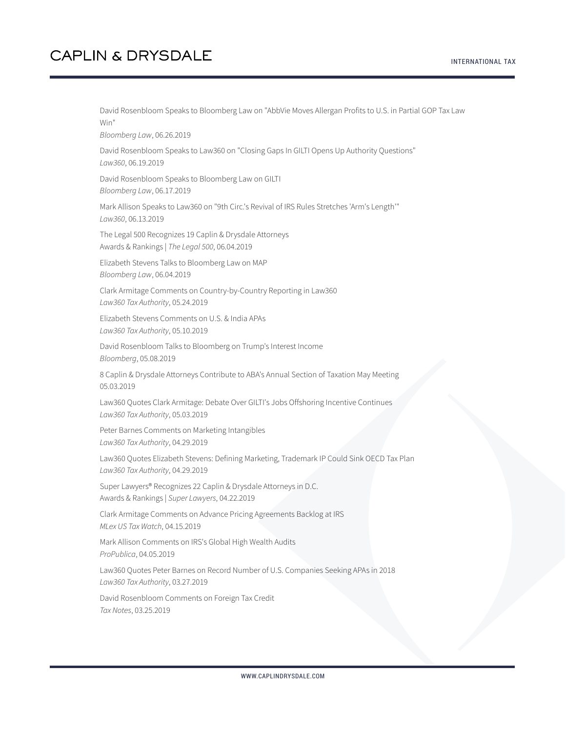#### INTERNATIONAL TAX

## **CAPLIN & DRYSDALE**

David Rosenbloom Speaks to Bloomberg Law on "AbbVie Moves Allergan Profits to U.S. in Partial GOP Tax Law Win"

*Bloomberg Law*, 06.26.2019

David Rosenbloom Speaks to Law360 on "Closing Gaps In GILTI Opens Up Authority Questions" *Law360*, 06.19.2019

David Rosenbloom Speaks to Bloomberg Law on GILTI *Bloomberg Law*, 06.17.2019

Mark Allison Speaks to Law360 on "9th Circ.'s Revival of IRS Rules Stretches 'Arm's Length'" *Law360*, 06.13.2019

The Legal 500 Recognizes 19 Caplin & Drysdale Attorneys Awards & Rankings | *The Legal 500*, 06.04.2019

Elizabeth Stevens Talks to Bloomberg Law on MAP *Bloomberg Law*, 06.04.2019

Clark Armitage Comments on Country-by-Country Reporting in Law360 *Law360 Tax Authority*, 05.24.2019

Elizabeth Stevens Comments on U.S. & India APAs *Law360 Tax Authority*, 05.10.2019

David Rosenbloom Talks to Bloomberg on Trump's Interest Income *Bloomberg*, 05.08.2019

8 Caplin & Drysdale Attorneys Contribute to ABA's Annual Section of Taxation May Meeting 05.03.2019

Law360 Quotes Clark Armitage: Debate Over GILTI's Jobs Offshoring Incentive Continues *Law360 Tax Authority*, 05.03.2019

Peter Barnes Comments on Marketing Intangibles *Law360 Tax Authority*, 04.29.2019

Law360 Quotes Elizabeth Stevens: Defining Marketing, Trademark IP Could Sink OECD Tax Plan *Law360 Tax Authority*, 04.29.2019

Super Lawyers® Recognizes 22 Caplin & Drysdale Attorneys in D.C. Awards & Rankings | *Super Lawyers*, 04.22.2019

Clark Armitage Comments on Advance Pricing Agreements Backlog at IRS *MLex US Tax Watch*, 04.15.2019

Mark Allison Comments on IRS's Global High Wealth Audits *ProPublica*, 04.05.2019

Law360 Quotes Peter Barnes on Record Number of U.S. Companies Seeking APAs in 2018 *Law360 Tax Authority*, 03.27.2019

David Rosenbloom Comments on Foreign Tax Credit *Tax Notes*, 03.25.2019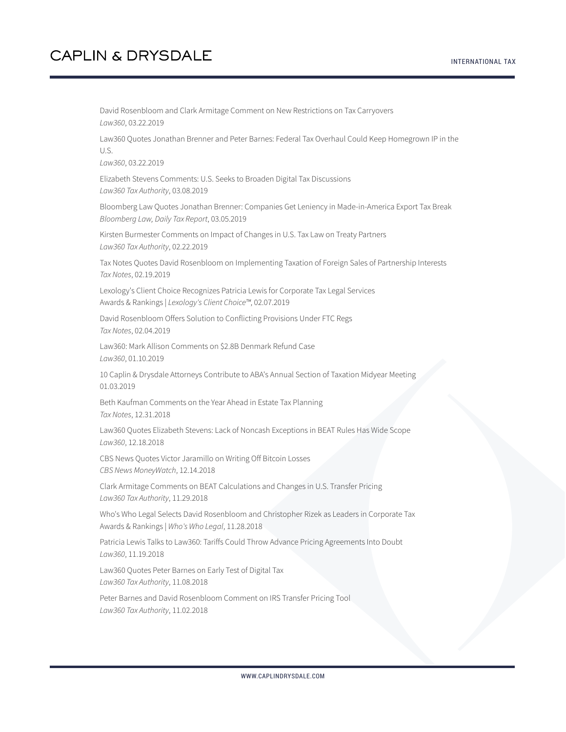David Rosenbloom and Clark Armitage Comment on New Restrictions on Tax Carryovers *Law360*, 03.22.2019 Law360 Quotes Jonathan Brenner and Peter Barnes: Federal Tax Overhaul Could Keep Homegrown IP in the U.S. *Law360*, 03.22.2019 Elizabeth Stevens Comments: U.S. Seeks to Broaden Digital Tax Discussions *Law360 Tax Authority*, 03.08.2019 Bloomberg Law Quotes Jonathan Brenner: Companies Get Leniency in Made-in-America Export Tax Break *Bloomberg Law, Daily Tax Report*, 03.05.2019 Kirsten Burmester Comments on Impact of Changes in U.S. Tax Law on Treaty Partners *Law360 Tax Authority*, 02.22.2019 Tax Notes Quotes David Rosenbloom on Implementing Taxation of Foreign Sales of Partnership Interests *Tax Notes*, 02.19.2019 Lexology's Client Choice Recognizes Patricia Lewis for Corporate Tax Legal Services Awards & Rankings | *Lexology's Client Choice™*, 02.07.2019 David Rosenbloom Offers Solution to Conflicting Provisions Under FTC Regs *Tax Notes*, 02.04.2019 Law360: Mark Allison Comments on \$2.8B Denmark Refund Case *Law360*, 01.10.2019 10 Caplin & Drysdale Attorneys Contribute to ABA's Annual Section of Taxation Midyear Meeting 01.03.2019 Beth Kaufman Comments on the Year Ahead in Estate Tax Planning *Tax Notes*, 12.31.2018 Law360 Quotes Elizabeth Stevens: Lack of Noncash Exceptions in BEAT Rules Has Wide Scope *Law360*, 12.18.2018 CBS News Quotes Victor Jaramillo on Writing Off Bitcoin Losses *CBS News MoneyWatch*, 12.14.2018 Clark Armitage Comments on BEAT Calculations and Changes in U.S. Transfer Pricing *Law360 Tax Authority*, 11.29.2018 Who's Who Legal Selects David Rosenbloom and Christopher Rizek as Leaders in Corporate Tax Awards & Rankings | *Who's Who Legal*, 11.28.2018 Patricia Lewis Talks to Law360: Tariffs Could Throw Advance Pricing Agreements Into Doubt *Law360*, 11.19.2018 Law360 Quotes Peter Barnes on Early Test of Digital Tax *Law360 Tax Authority*, 11.08.2018

Peter Barnes and David Rosenbloom Comment on IRS Transfer Pricing Tool *Law360 Tax Authority*, 11.02.2018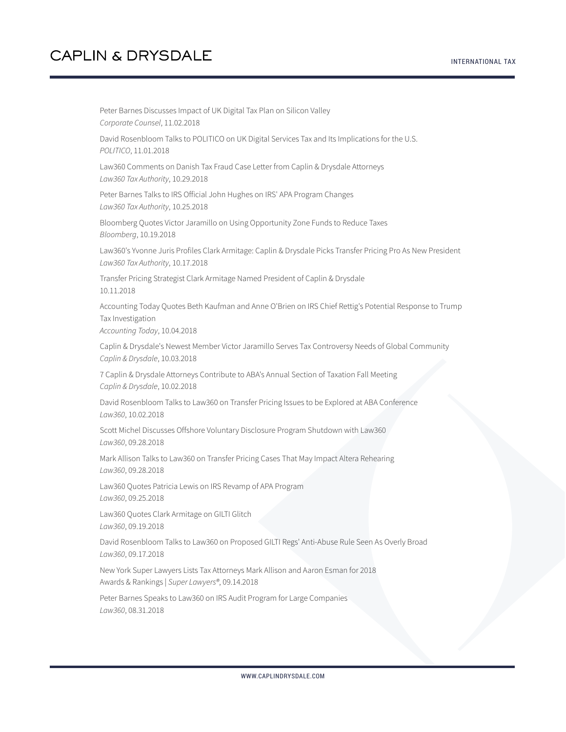Peter Barnes Discusses Impact of UK Digital Tax Plan on Silicon Valley *Corporate Counsel*, 11.02.2018 David Rosenbloom Talks to POLITICO on UK Digital Services Tax and Its Implications for the U.S. *POLITICO*, 11.01.2018 Law360 Comments on Danish Tax Fraud Case Letter from Caplin & Drysdale Attorneys *Law360 Tax Authority*, 10.29.2018 Peter Barnes Talks to IRS Official John Hughes on IRS' APA Program Changes *Law360 Tax Authority*, 10.25.2018 Bloomberg Quotes Victor Jaramillo on Using Opportunity Zone Funds to Reduce Taxes *Bloomberg*, 10.19.2018 Law360's Yvonne Juris Profiles Clark Armitage: Caplin & Drysdale Picks Transfer Pricing Pro As New President *Law360 Tax Authority*, 10.17.2018 Transfer Pricing Strategist Clark Armitage Named President of Caplin & Drysdale 10.11.2018 Accounting Today Quotes Beth Kaufman and Anne O'Brien on IRS Chief Rettig's Potential Response to Trump Tax Investigation *Accounting Today*, 10.04.2018 Caplin & Drysdale's Newest Member Victor Jaramillo Serves Tax Controversy Needs of Global Community *Caplin & Drysdale*, 10.03.2018 7 Caplin & Drysdale Attorneys Contribute to ABA's Annual Section of Taxation Fall Meeting *Caplin & Drysdale*, 10.02.2018 David Rosenbloom Talks to Law360 on Transfer Pricing Issues to be Explored at ABA Conference *Law360*, 10.02.2018 Scott Michel Discusses Offshore Voluntary Disclosure Program Shutdown with Law360 *Law360*, 09.28.2018 Mark Allison Talks to Law360 on Transfer Pricing Cases That May Impact Altera Rehearing *Law360*, 09.28.2018 Law360 Quotes Patricia Lewis on IRS Revamp of APA Program *Law360*, 09.25.2018 Law360 Quotes Clark Armitage on GILTI Glitch *Law360*, 09.19.2018 David Rosenbloom Talks to Law360 on Proposed GILTI Regs' Anti-Abuse Rule Seen As Overly Broad *Law360*, 09.17.2018 New York Super Lawyers Lists Tax Attorneys Mark Allison and Aaron Esman for 2018 Awards & Rankings | *Super Lawyers®*, 09.14.2018 Peter Barnes Speaks to Law360 on IRS Audit Program for Large Companies *Law360*, 08.31.2018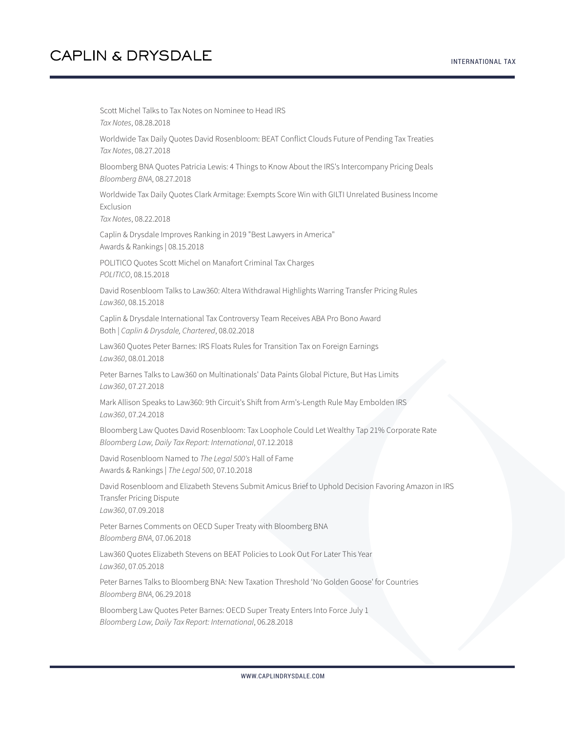Scott Michel Talks to Tax Notes on Nominee to Head IRS *Tax Notes*, 08.28.2018 Worldwide Tax Daily Quotes David Rosenbloom: BEAT Conflict Clouds Future of Pending Tax Treaties *Tax Notes*, 08.27.2018 Bloomberg BNA Quotes Patricia Lewis: 4 Things to Know About the IRS's Intercompany Pricing Deals *Bloomberg BNA*, 08.27.2018 Worldwide Tax Daily Quotes Clark Armitage: Exempts Score Win with GILTI Unrelated Business Income Exclusion *Tax Notes*, 08.22.2018 Caplin & Drysdale Improves Ranking in 2019 "Best Lawyers in America" Awards & Rankings | 08.15.2018 POLITICO Quotes Scott Michel on Manafort Criminal Tax Charges *POLITICO*, 08.15.2018 David Rosenbloom Talks to Law360: Altera Withdrawal Highlights Warring Transfer Pricing Rules *Law360*, 08.15.2018 Caplin & Drysdale International Tax Controversy Team Receives ABA Pro Bono Award Both | *Caplin & Drysdale, Chartered*, 08.02.2018 Law360 Quotes Peter Barnes: IRS Floats Rules for Transition Tax on Foreign Earnings *Law360*, 08.01.2018 Peter Barnes Talks to Law360 on Multinationals' Data Paints Global Picture, But Has Limits *Law360*, 07.27.2018 Mark Allison Speaks to Law360: 9th Circuit's Shift from Arm's-Length Rule May Embolden IRS *Law360*, 07.24.2018 Bloomberg Law Quotes David Rosenbloom: Tax Loophole Could Let Wealthy Tap 21% Corporate Rate *Bloomberg Law, Daily Tax Report: International*, 07.12.2018 David Rosenbloom Named to *The Legal 500's* Hall of Fame Awards & Rankings | *The Legal 500*, 07.10.2018 David Rosenbloom and Elizabeth Stevens Submit Amicus Brief to Uphold Decision Favoring Amazon in IRS Transfer Pricing Dispute *Law360*, 07.09.2018 Peter Barnes Comments on OECD Super Treaty with Bloomberg BNA *Bloomberg BNA*, 07.06.2018 Law360 Quotes Elizabeth Stevens on BEAT Policies to Look Out For Later This Year *Law360*, 07.05.2018 Peter Barnes Talks to Bloomberg BNA: New Taxation Threshold 'No Golden Goose' for Countries *Bloomberg BNA*, 06.29.2018 Bloomberg Law Quotes Peter Barnes: OECD Super Treaty Enters Into Force July 1 *Bloomberg Law, Daily Tax Report: International*, 06.28.2018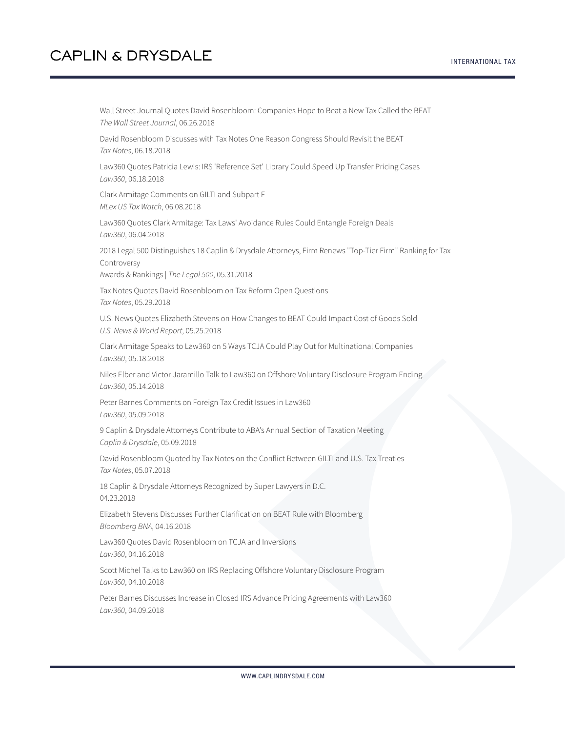Wall Street Journal Quotes David Rosenbloom: Companies Hope to Beat a New Tax Called the BEAT *The Wall Street Journal*, 06.26.2018

David Rosenbloom Discusses with Tax Notes One Reason Congress Should Revisit the BEAT *Tax Notes*, 06.18.2018

Law360 Quotes Patricia Lewis: IRS 'Reference Set' Library Could Speed Up Transfer Pricing Cases *Law360*, 06.18.2018

Clark Armitage Comments on GILTI and Subpart F *MLex US Tax Watch*, 06.08.2018

Law360 Quotes Clark Armitage: Tax Laws' Avoidance Rules Could Entangle Foreign Deals *Law360*, 06.04.2018

2018 Legal 500 Distinguishes 18 Caplin & Drysdale Attorneys, Firm Renews "Top-Tier Firm" Ranking for Tax Controversy

Awards & Rankings | *The Legal 500*, 05.31.2018

Tax Notes Quotes David Rosenbloom on Tax Reform Open Questions *Tax Notes*, 05.29.2018

U.S. News Quotes Elizabeth Stevens on How Changes to BEAT Could Impact Cost of Goods Sold *U.S. News & World Report*, 05.25.2018

Clark Armitage Speaks to Law360 on 5 Ways TCJA Could Play Out for Multinational Companies *Law360*, 05.18.2018

Niles Elber and Victor Jaramillo Talk to Law360 on Offshore Voluntary Disclosure Program Ending *Law360*, 05.14.2018

Peter Barnes Comments on Foreign Tax Credit Issues in Law360 *Law360*, 05.09.2018

9 Caplin & Drysdale Attorneys Contribute to ABA's Annual Section of Taxation Meeting *Caplin & Drysdale*, 05.09.2018

David Rosenbloom Quoted by Tax Notes on the Conflict Between GILTI and U.S. Tax Treaties *Tax Notes*, 05.07.2018

18 Caplin & Drysdale Attorneys Recognized by Super Lawyers in D.C. 04.23.2018

Elizabeth Stevens Discusses Further Clarification on BEAT Rule with Bloomberg *Bloomberg BNA*, 04.16.2018

Law360 Quotes David Rosenbloom on TCJA and Inversions

*Law360*, 04.16.2018

Scott Michel Talks to Law360 on IRS Replacing Offshore Voluntary Disclosure Program *Law360*, 04.10.2018

Peter Barnes Discusses Increase in Closed IRS Advance Pricing Agreements with Law360 *Law360*, 04.09.2018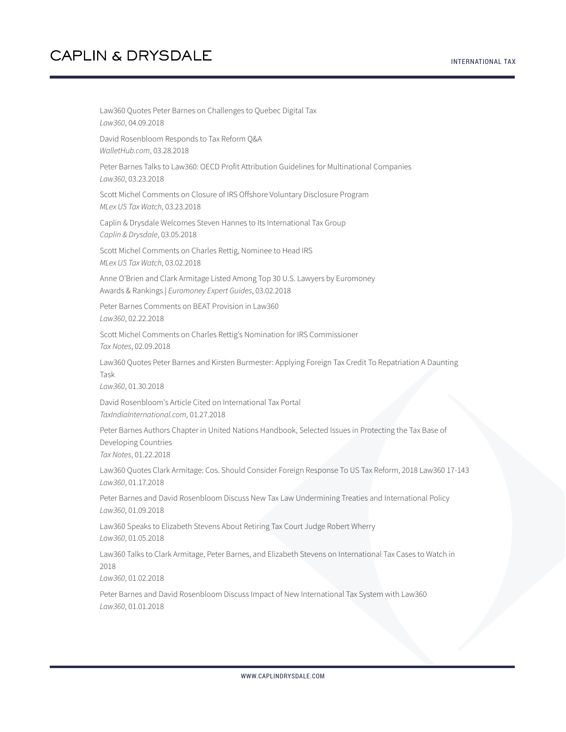Law360 Quotes Peter Barnes on Challenges to Quebec Digital Tax *Law360*, 04.09.2018 David Rosenbloom Responds to Tax Reform Q&A *WalletHub.com*, 03.28.2018 Peter Barnes Talks to Law360: OECD Profit Attribution Guidelines for Multinational Companies *Law360*, 03.23.2018 Scott Michel Comments on Closure of IRS Offshore Voluntary Disclosure Program *MLex US Tax Watch*, 03.23.2018 Caplin & Drysdale Welcomes Steven Hannes to Its International Tax Group *Caplin & Drysdale*, 03.05.2018 Scott Michel Comments on Charles Rettig, Nominee to Head IRS *MLex US Tax Watch*, 03.02.2018 Anne O'Brien and Clark Armitage Listed Among Top 30 U.S. Lawyers by Euromoney Awards & Rankings | *Euromoney Expert Guides*, 03.02.2018 Peter Barnes Comments on BEAT Provision in Law360 *Law360*, 02.22.2018 Scott Michel Comments on Charles Rettig's Nomination for IRS Commissioner *Tax Notes*, 02.09.2018 Law360 Quotes Peter Barnes and Kirsten Burmester: Applying Foreign Tax Credit To Repatriation A Daunting Task *Law360*, 01.30.2018 David Rosenbloom's Article Cited on International Tax Portal *TaxIndiaInternational.com*, 01.27.2018 Peter Barnes Authors Chapter in United Nations Handbook, Selected Issues in Protecting the Tax Base of Developing Countries *Tax Notes*, 01.22.2018 Law360 Quotes Clark Armitage: Cos. Should Consider Foreign Response To US Tax Reform, 2018 Law360 17-143 *Law360*, 01.17.2018 Peter Barnes and David Rosenbloom Discuss New Tax Law Undermining Treaties and International Policy *Law360*, 01.09.2018 Law360 Speaks to Elizabeth Stevens About Retiring Tax Court Judge Robert Wherry *Law360*, 01.05.2018 Law360 Talks to Clark Armitage, Peter Barnes, and Elizabeth Stevens on International Tax Cases to Watch in 2018 *Law360*, 01.02.2018 Peter Barnes and David Rosenbloom Discuss Impact of New International Tax System with Law360 *Law360*, 01.01.2018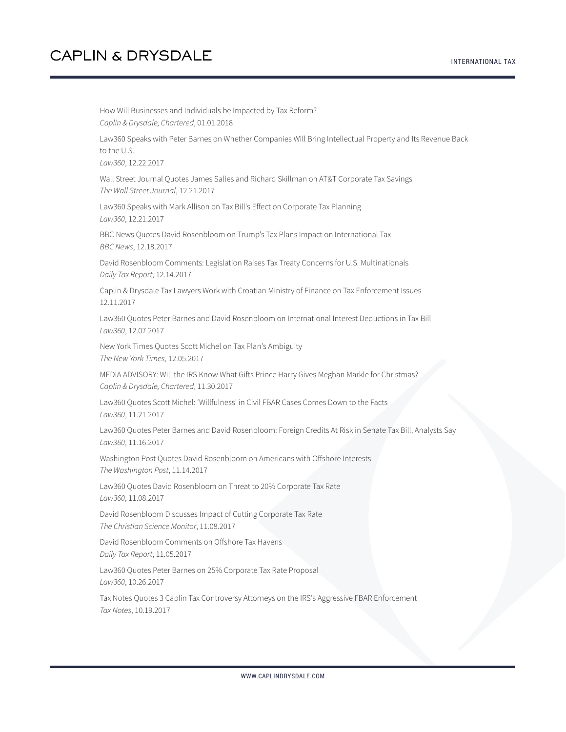How Will Businesses and Individuals be Impacted by Tax Reform? *Caplin & Drysdale, Chartered*, 01.01.2018 Law360 Speaks with Peter Barnes on Whether Companies Will Bring Intellectual Property and Its Revenue Back to the U.S. *Law360*, 12.22.2017 Wall Street Journal Quotes James Salles and Richard Skillman on AT&T Corporate Tax Savings *The Wall Street Journal*, 12.21.2017 Law360 Speaks with Mark Allison on Tax Bill's Effect on Corporate Tax Planning *Law360*, 12.21.2017 BBC News Quotes David Rosenbloom on Trump's Tax Plans Impact on International Tax *BBC News*, 12.18.2017 David Rosenbloom Comments: Legislation Raises Tax Treaty Concerns for U.S. Multinationals *Daily Tax Report*, 12.14.2017 Caplin & Drysdale Tax Lawyers Work with Croatian Ministry of Finance on Tax Enforcement Issues 12.11.2017 Law360 Quotes Peter Barnes and David Rosenbloom on International Interest Deductions in Tax Bill *Law360*, 12.07.2017 New York Times Quotes Scott Michel on Tax Plan's Ambiguity *The New York Times*, 12.05.2017 MEDIA ADVISORY: Will the IRS Know What Gifts Prince Harry Gives Meghan Markle for Christmas? *Caplin & Drysdale, Chartered*, 11.30.2017 Law360 Quotes Scott Michel: 'Willfulness' in Civil FBAR Cases Comes Down to the Facts *Law360*, 11.21.2017 Law360 Quotes Peter Barnes and David Rosenbloom: Foreign Credits At Risk in Senate Tax Bill, Analysts Say *Law360*, 11.16.2017 Washington Post Quotes David Rosenbloom on Americans with Offshore Interests *The Washington Post*, 11.14.2017 Law360 Quotes David Rosenbloom on Threat to 20% Corporate Tax Rate *Law360*, 11.08.2017 David Rosenbloom Discusses Impact of Cutting Corporate Tax Rate *The Christian Science Monitor*, 11.08.2017 David Rosenbloom Comments on Offshore Tax Havens *Daily Tax Report*, 11.05.2017 Law360 Quotes Peter Barnes on 25% Corporate Tax Rate Proposal *Law360*, 10.26.2017 Tax Notes Quotes 3 Caplin Tax Controversy Attorneys on the IRS's Aggressive FBAR Enforcement *Tax Notes*, 10.19.2017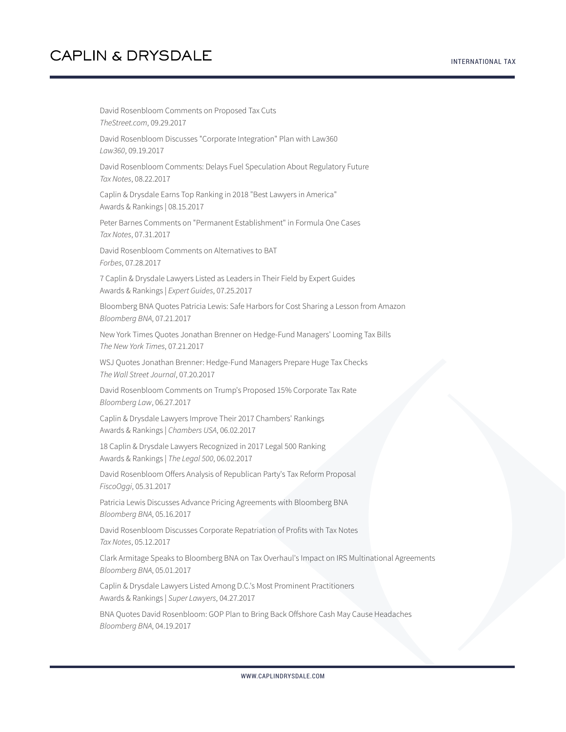David Rosenbloom Comments on Proposed Tax Cuts *TheStreet.com*, 09.29.2017 David Rosenbloom Discusses "Corporate Integration" Plan with Law360 *Law360*, 09.19.2017 David Rosenbloom Comments: Delays Fuel Speculation About Regulatory Future *Tax Notes*, 08.22.2017 Caplin & Drysdale Earns Top Ranking in 2018 "Best Lawyers in America" Awards & Rankings | 08.15.2017 Peter Barnes Comments on "Permanent Establishment" in Formula One Cases *Tax Notes*, 07.31.2017 David Rosenbloom Comments on Alternatives to BAT *Forbes*, 07.28.2017 7 Caplin & Drysdale Lawyers Listed as Leaders in Their Field by Expert Guides Awards & Rankings | *Expert Guides*, 07.25.2017 Bloomberg BNA Quotes Patricia Lewis: Safe Harbors for Cost Sharing a Lesson from Amazon *Bloomberg BNA*, 07.21.2017 New York Times Quotes Jonathan Brenner on Hedge-Fund Managers' Looming Tax Bills *The New York Times*, 07.21.2017 WSJ Quotes Jonathan Brenner: Hedge-Fund Managers Prepare Huge Tax Checks *The Wall Street Journal*, 07.20.2017 David Rosenbloom Comments on Trump's Proposed 15% Corporate Tax Rate *Bloomberg Law*, 06.27.2017 Caplin & Drysdale Lawyers Improve Their 2017 Chambers' Rankings Awards & Rankings | *Chambers USA*, 06.02.2017 18 Caplin & Drysdale Lawyers Recognized in 2017 Legal 500 Ranking Awards & Rankings | *The Legal 500*, 06.02.2017 David Rosenbloom Offers Analysis of Republican Party's Tax Reform Proposal *FiscoOggi*, 05.31.2017 Patricia Lewis Discusses Advance Pricing Agreements with Bloomberg BNA *Bloomberg BNA*, 05.16.2017 David Rosenbloom Discusses Corporate Repatriation of Profits with Tax Notes *Tax Notes*, 05.12.2017 Clark Armitage Speaks to Bloomberg BNA on Tax Overhaul's Impact on IRS Multinational Agreements *Bloomberg BNA*, 05.01.2017 Caplin & Drysdale Lawyers Listed Among D.C.'s Most Prominent Practitioners Awards & Rankings | *Super Lawyers*, 04.27.2017 BNA Quotes David Rosenbloom: GOP Plan to Bring Back Offshore Cash May Cause Headaches *Bloomberg BNA*, 04.19.2017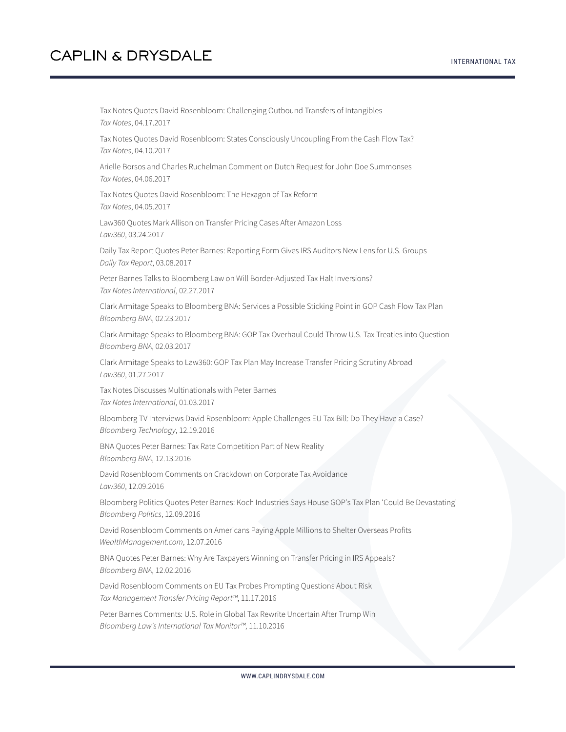Tax Notes Quotes David Rosenbloom: Challenging Outbound Transfers of Intangibles *Tax Notes*, 04.17.2017

Tax Notes Quotes David Rosenbloom: States Consciously Uncoupling From the Cash Flow Tax? *Tax Notes*, 04.10.2017

Arielle Borsos and Charles Ruchelman Comment on Dutch Request for John Doe Summonses *Tax Notes*, 04.06.2017

Tax Notes Quotes David Rosenbloom: The Hexagon of Tax Reform *Tax Notes*, 04.05.2017

Law360 Quotes Mark Allison on Transfer Pricing Cases After Amazon Loss *Law360*, 03.24.2017

Daily Tax Report Quotes Peter Barnes: Reporting Form Gives IRS Auditors New Lens for U.S. Groups *Daily Tax Report*, 03.08.2017

Peter Barnes Talks to Bloomberg Law on Will Border-Adjusted Tax Halt Inversions? *Tax Notes International*, 02.27.2017

Clark Armitage Speaks to Bloomberg BNA: Services a Possible Sticking Point in GOP Cash Flow Tax Plan *Bloomberg BNA*, 02.23.2017

Clark Armitage Speaks to Bloomberg BNA: GOP Tax Overhaul Could Throw U.S. Tax Treaties into Question *Bloomberg BNA*, 02.03.2017

Clark Armitage Speaks to Law360: GOP Tax Plan May Increase Transfer Pricing Scrutiny Abroad *Law360*, 01.27.2017

Tax Notes Discusses Multinationals with Peter Barnes *Tax Notes International*, 01.03.2017

Bloomberg TV Interviews David Rosenbloom: Apple Challenges EU Tax Bill: Do They Have a Case? *Bloomberg Technology*, 12.19.2016

BNA Quotes Peter Barnes: Tax Rate Competition Part of New Reality *Bloomberg BNA*, 12.13.2016

David Rosenbloom Comments on Crackdown on Corporate Tax Avoidance *Law360*, 12.09.2016

Bloomberg Politics Quotes Peter Barnes: Koch Industries Says House GOP's Tax Plan 'Could Be Devastating' *Bloomberg Politics*, 12.09.2016

David Rosenbloom Comments on Americans Paying Apple Millions to Shelter Overseas Profits *WealthManagement.com*, 12.07.2016

BNA Quotes Peter Barnes: Why Are Taxpayers Winning on Transfer Pricing in IRS Appeals? *Bloomberg BNA*, 12.02.2016

David Rosenbloom Comments on EU Tax Probes Prompting Questions About Risk *Tax Management Transfer Pricing Report™*, 11.17.2016

Peter Barnes Comments: U.S. Role in Global Tax Rewrite Uncertain After Trump Win *Bloomberg Law's International Tax Monitor™*, 11.10.2016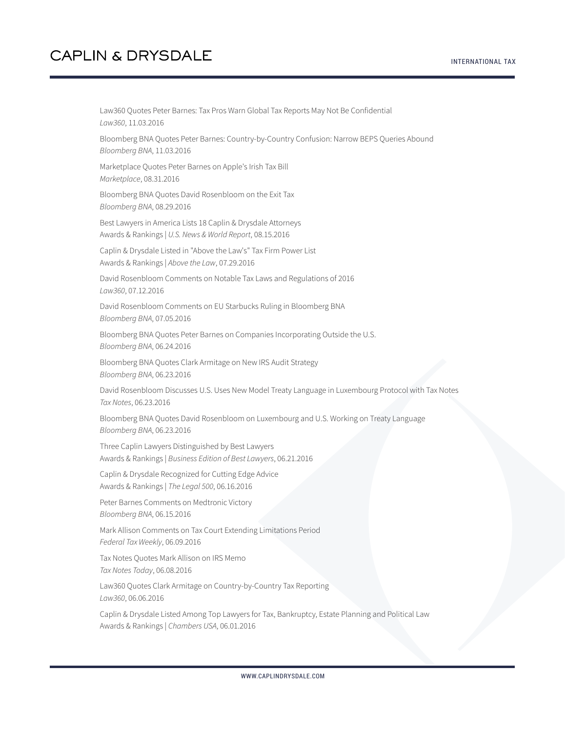Law360 Quotes Peter Barnes: Tax Pros Warn Global Tax Reports May Not Be Confidential *Law360*, 11.03.2016 Bloomberg BNA Quotes Peter Barnes: Country-by-Country Confusion: Narrow BEPS Queries Abound *Bloomberg BNA*, 11.03.2016 Marketplace Quotes Peter Barnes on Apple's Irish Tax Bill *Marketplace*, 08.31.2016 Bloomberg BNA Quotes David Rosenbloom on the Exit Tax *Bloomberg BNA*, 08.29.2016 Best Lawyers in America Lists 18 Caplin & Drysdale Attorneys Awards & Rankings | *U.S. News & World Report*, 08.15.2016 Caplin & Drysdale Listed in "Above the Law's" Tax Firm Power List Awards & Rankings | *Above the Law*, 07.29.2016 David Rosenbloom Comments on Notable Tax Laws and Regulations of 2016 *Law360*, 07.12.2016 David Rosenbloom Comments on EU Starbucks Ruling in Bloomberg BNA *Bloomberg BNA*, 07.05.2016 Bloomberg BNA Quotes Peter Barnes on Companies Incorporating Outside the U.S. *Bloomberg BNA*, 06.24.2016 Bloomberg BNA Quotes Clark Armitage on New IRS Audit Strategy *Bloomberg BNA*, 06.23.2016 David Rosenbloom Discusses U.S. Uses New Model Treaty Language in Luxembourg Protocol with Tax Notes *Tax Notes*, 06.23.2016 Bloomberg BNA Quotes David Rosenbloom on Luxembourg and U.S. Working on Treaty Language *Bloomberg BNA*, 06.23.2016 Three Caplin Lawyers Distinguished by Best Lawyers Awards & Rankings | *Business Edition of Best Lawyers*, 06.21.2016 Caplin & Drysdale Recognized for Cutting Edge Advice Awards & Rankings | *The Legal 500*, 06.16.2016 Peter Barnes Comments on Medtronic Victory *Bloomberg BNA*, 06.15.2016 Mark Allison Comments on Tax Court Extending Limitations Period *Federal Tax Weekly*, 06.09.2016 Tax Notes Quotes Mark Allison on IRS Memo *Tax Notes Today*, 06.08.2016 Law360 Quotes Clark Armitage on Country-by-Country Tax Reporting *Law360*, 06.06.2016 Caplin & Drysdale Listed Among Top Lawyers for Tax, Bankruptcy, Estate Planning and Political Law Awards & Rankings | *Chambers USA*, 06.01.2016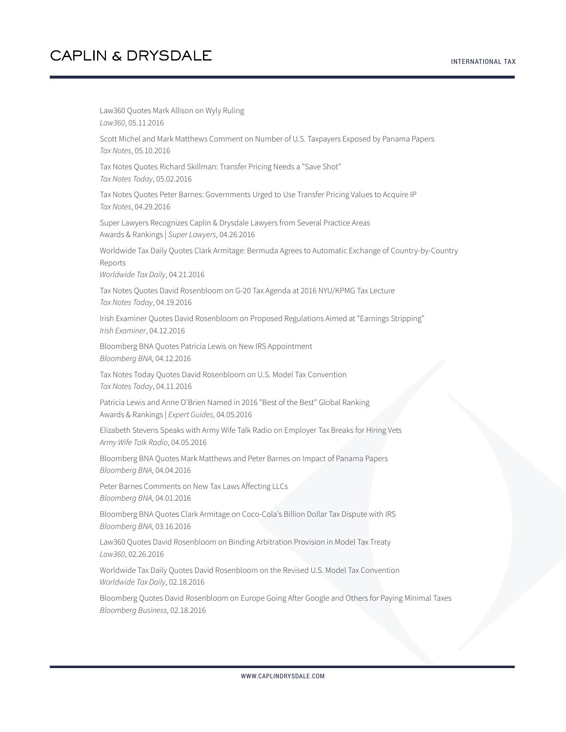#### INTERNATIONAL TAX

### **CAPLIN & DRYSDALE**

Law360 Quotes Mark Allison on Wyly Ruling *Law360*, 05.11.2016 Scott Michel and Mark Matthews Comment on Number of U.S. Taxpayers Exposed by Panama Papers *Tax Notes*, 05.10.2016 Tax Notes Quotes Richard Skillman: Transfer Pricing Needs a "Save Shot" *Tax Notes Today*, 05.02.2016 Tax Notes Quotes Peter Barnes: Governments Urged to Use Transfer Pricing Values to Acquire IP *Tax Notes*, 04.29.2016 Super Lawyers Recognizes Caplin & Drysdale Lawyers from Several Practice Areas Awards & Rankings | *Super Lawyers*, 04.26.2016 Worldwide Tax Daily Quotes Clark Armitage: Bermuda Agrees to Automatic Exchange of Country-by-Country Reports *Worldwide Tax Daily*, 04.21.2016 Tax Notes Quotes David Rosenbloom on G-20 Tax Agenda at 2016 NYU/KPMG Tax Lecture *Tax Notes Today*, 04.19.2016 Irish Examiner Quotes David Rosenbloom on Proposed Regulations Aimed at "Earnings Stripping" *Irish Examiner*, 04.12.2016 Bloomberg BNA Quotes Patricia Lewis on New IRS Appointment *Bloomberg BNA*, 04.12.2016 Tax Notes Today Quotes David Rosenbloom on U.S. Model Tax Convention *Tax Notes Today*, 04.11.2016 Patricia Lewis and Anne O'Brien Named in 2016 "Best of the Best" Global Ranking Awards & Rankings | *Expert Guides*, 04.05.2016 Elizabeth Stevens Speaks with Army Wife Talk Radio on Employer Tax Breaks for Hiring Vets *Army Wife Talk Radio*, 04.05.2016 Bloomberg BNA Quotes Mark Matthews and Peter Barnes on Impact of Panama Papers *Bloomberg BNA*, 04.04.2016 Peter Barnes Comments on New Tax Laws Affecting LLCs *Bloomberg BNA*, 04.01.2016 Bloomberg BNA Quotes Clark Armitage on Coco-Cola's Billion Dollar Tax Dispute with IRS *Bloomberg BNA*, 03.16.2016 Law360 Quotes David Rosenbloom on Binding Arbitration Provision in Model Tax Treaty *Law360*, 02.26.2016 Worldwide Tax Daily Quotes David Rosenbloom on the Revised U.S. Model Tax Convention *Worldwide Tax Daily*, 02.18.2016 Bloomberg Quotes David Rosenbloom on Europe Going After Google and Others for Paying Minimal Taxes *Bloomberg Business*, 02.18.2016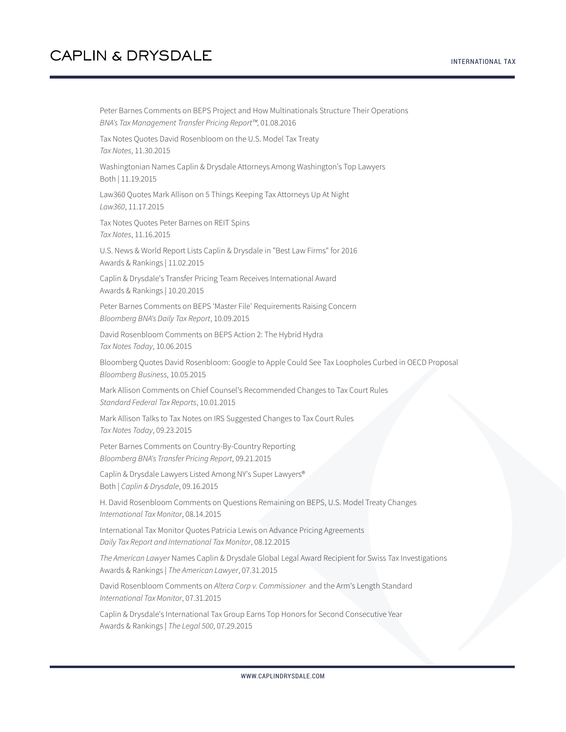Peter Barnes Comments on BEPS Project and How Multinationals Structure Their Operations *BNA's Tax Management Transfer Pricing Report™*, 01.08.2016 Tax Notes Quotes David Rosenbloom on the U.S. Model Tax Treaty *Tax Notes*, 11.30.2015 Washingtonian Names Caplin & Drysdale Attorneys Among Washington's Top Lawyers Both | 11.19.2015 Law360 Quotes Mark Allison on 5 Things Keeping Tax Attorneys Up At Night *Law360*, 11.17.2015 Tax Notes Quotes Peter Barnes on REIT Spins *Tax Notes*, 11.16.2015 U.S. News & World Report Lists Caplin & Drysdale in "Best Law Firms" for 2016 Awards & Rankings | 11.02.2015 Caplin & Drysdale's Transfer Pricing Team Receives International Award Awards & Rankings | 10.20.2015 Peter Barnes Comments on BEPS 'Master File' Requirements Raising Concern *Bloomberg BNA's Daily Tax Report*, 10.09.2015 David Rosenbloom Comments on BEPS Action 2: The Hybrid Hydra *Tax Notes Today*, 10.06.2015 Bloomberg Quotes David Rosenbloom: Google to Apple Could See Tax Loopholes Curbed in OECD Proposal *Bloomberg Business*, 10.05.2015 Mark Allison Comments on Chief Counsel's Recommended Changes to Tax Court Rules *Standard Federal Tax Reports*, 10.01.2015 Mark Allison Talks to Tax Notes on IRS Suggested Changes to Tax Court Rules *Tax Notes Today*, 09.23.2015 Peter Barnes Comments on Country-By-Country Reporting *Bloomberg BNA's Transfer Pricing Report*, 09.21.2015 Caplin & Drysdale Lawyers Listed Among NY's Super Lawyers® Both | *Caplin & Drysdale*, 09.16.2015 H. David Rosenbloom Comments on Questions Remaining on BEPS, U.S. Model Treaty Changes *International Tax Monitor*, 08.14.2015 International Tax Monitor Quotes Patricia Lewis on Advance Pricing Agreements *Daily Tax Report and International Tax Monitor*, 08.12.2015 *The American Lawyer* Names Caplin & Drysdale Global Legal Award Recipient for Swiss Tax Investigations Awards & Rankings | *The American Lawyer*, 07.31.2015 David Rosenbloom Comments on *Altera Corp v. Commissioner* and the Arm's Length Standard *International Tax Monitor*, 07.31.2015 Caplin & Drysdale's International Tax Group Earns Top Honors for Second Consecutive Year Awards & Rankings | *The Legal 500*, 07.29.2015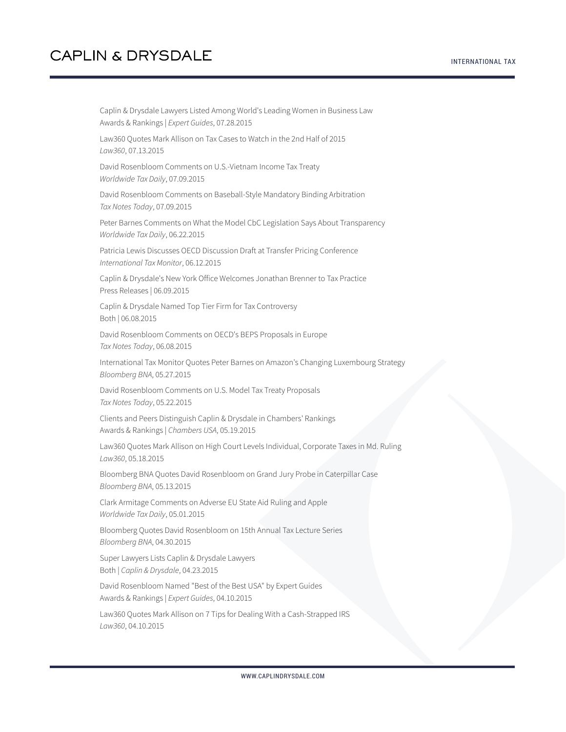Caplin & Drysdale Lawyers Listed Among World's Leading Women in Business Law Awards & Rankings | *Expert Guides*, 07.28.2015 Law360 Quotes Mark Allison on Tax Cases to Watch in the 2nd Half of 2015 *Law360*, 07.13.2015 David Rosenbloom Comments on U.S.-Vietnam Income Tax Treaty *Worldwide Tax Daily*, 07.09.2015 David Rosenbloom Comments on Baseball-Style Mandatory Binding Arbitration *Tax Notes Today*, 07.09.2015 Peter Barnes Comments on What the Model CbC Legislation Says About Transparency *Worldwide Tax Daily*, 06.22.2015 Patricia Lewis Discusses OECD Discussion Draft at Transfer Pricing Conference *International Tax Monitor*, 06.12.2015 Caplin & Drysdale's New York Office Welcomes Jonathan Brenner to Tax Practice Press Releases | 06.09.2015 Caplin & Drysdale Named Top Tier Firm for Tax Controversy Both | 06.08.2015 David Rosenbloom Comments on OECD's BEPS Proposals in Europe *Tax Notes Today*, 06.08.2015 International Tax Monitor Quotes Peter Barnes on Amazon's Changing Luxembourg Strategy *Bloomberg BNA*, 05.27.2015 David Rosenbloom Comments on U.S. Model Tax Treaty Proposals *Tax Notes Today*, 05.22.2015 Clients and Peers Distinguish Caplin & Drysdale in Chambers' Rankings Awards & Rankings | *Chambers USA*, 05.19.2015 Law360 Quotes Mark Allison on High Court Levels Individual, Corporate Taxes in Md. Ruling *Law360*, 05.18.2015 Bloomberg BNA Quotes David Rosenbloom on Grand Jury Probe in Caterpillar Case *Bloomberg BNA*, 05.13.2015 Clark Armitage Comments on Adverse EU State Aid Ruling and Apple *Worldwide Tax Daily*, 05.01.2015 Bloomberg Quotes David Rosenbloom on 15th Annual Tax Lecture Series *Bloomberg BNA*, 04.30.2015 Super Lawyers Lists Caplin & Drysdale Lawyers Both | *Caplin & Drysdale*, 04.23.2015 David Rosenbloom Named "Best of the Best USA" by Expert Guides Awards & Rankings | *Expert Guides*, 04.10.2015 Law360 Quotes Mark Allison on 7 Tips for Dealing With a Cash-Strapped IRS *Law360*, 04.10.2015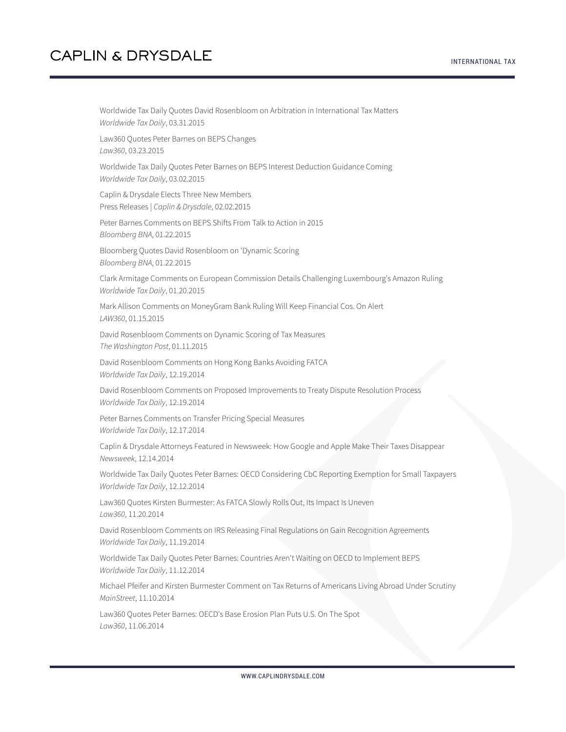Worldwide Tax Daily Quotes David Rosenbloom on Arbitration in International Tax Matters *Worldwide Tax Daily*, 03.31.2015

Law360 Quotes Peter Barnes on BEPS Changes *Law360*, 03.23.2015

Worldwide Tax Daily Quotes Peter Barnes on BEPS Interest Deduction Guidance Coming *Worldwide Tax Daily*, 03.02.2015

Caplin & Drysdale Elects Three New Members Press Releases | *Caplin & Drysdale*, 02.02.2015

Peter Barnes Comments on BEPS Shifts From Talk to Action in 2015 *Bloomberg BNA*, 01.22.2015

Bloomberg Quotes David Rosenbloom on 'Dynamic Scoring *Bloomberg BNA*, 01.22.2015

Clark Armitage Comments on European Commission Details Challenging Luxembourg's Amazon Ruling *Worldwide Tax Daily*, 01.20.2015

Mark Allison Comments on MoneyGram Bank Ruling Will Keep Financial Cos. On Alert *LAW360*, 01.15.2015

David Rosenbloom Comments on Dynamic Scoring of Tax Measures *The Washington Post*, 01.11.2015

David Rosenbloom Comments on Hong Kong Banks Avoiding FATCA *Worldwide Tax Daily*, 12.19.2014

David Rosenbloom Comments on Proposed Improvements to Treaty Dispute Resolution Process *Worldwide Tax Daily*, 12.19.2014

Peter Barnes Comments on Transfer Pricing Special Measures *Worldwide Tax Daily*, 12.17.2014

Caplin & Drysdale Attorneys Featured in Newsweek: How Google and Apple Make Their Taxes Disappear *Newsweek*, 12.14.2014

Worldwide Tax Daily Quotes Peter Barnes: OECD Considering CbC Reporting Exemption for Small Taxpayers *Worldwide Tax Daily*, 12.12.2014

Law360 Quotes Kirsten Burmester: As FATCA Slowly Rolls Out, Its Impact Is Uneven *Law360*, 11.20.2014

David Rosenbloom Comments on IRS Releasing Final Regulations on Gain Recognition Agreements *Worldwide Tax Daily*, 11.19.2014

Worldwide Tax Daily Quotes Peter Barnes: Countries Aren't Waiting on OECD to Implement BEPS *Worldwide Tax Daily*, 11.12.2014

Michael Pfeifer and Kirsten Burmester Comment on Tax Returns of Americans Living Abroad Under Scrutiny *MainStreet*, 11.10.2014

Law360 Quotes Peter Barnes: OECD's Base Erosion Plan Puts U.S. On The Spot *Law360*, 11.06.2014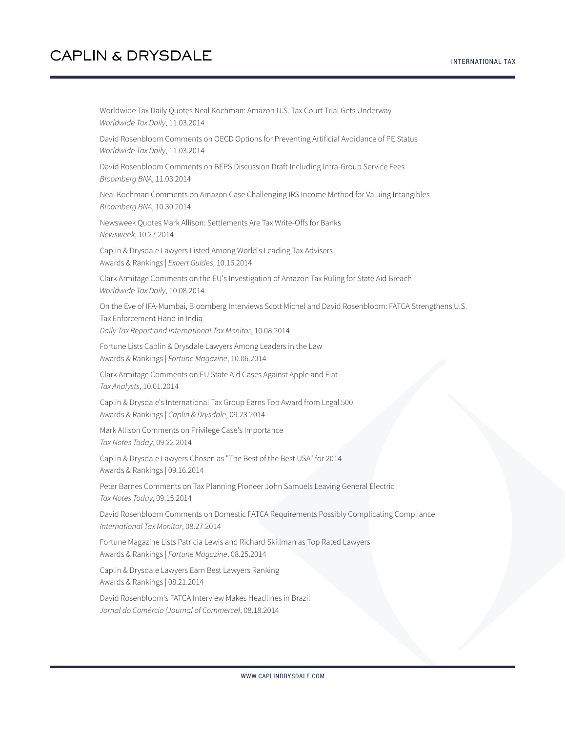Worldwide Tax Daily Quotes Neal Kochman: Amazon U.S. Tax Court Trial Gets Underway *Worldwide Tax Daily*, 11.03.2014

David Rosenbloom Comments on OECD Options for Preventing Artificial Avoidance of PE Status *Worldwide Tax Daily*, 11.03.2014

David Rosenbloom Comments on BEPS Discussion Draft Including Intra-Group Service Fees *Bloomberg BNA*, 11.03.2014

Neal Kochman Comments on Amazon Case Challenging IRS Income Method for Valuing Intangibles *Bloomberg BNA*, 10.30.2014

Newsweek Quotes Mark Allison: Settlements Are Tax Write-Offs for Banks *Newsweek*, 10.27.2014

Caplin & Drysdale Lawyers Listed Among World's Leading Tax Advisers Awards & Rankings | *Expert Guides*, 10.16.2014

Clark Armitage Comments on the EU's Investigation of Amazon Tax Ruling for State Aid Breach *Worldwide Tax Daily*, 10.08.2014

On the Eve of IFA-Mumbai, Bloomberg Interviews Scott Michel and David Rosenbloom: FATCA Strengthens U.S. Tax Enforcement Hand in India *Daily Tax Report and International Tax Monitor*, 10.08.2014

Fortune Lists Caplin & Drysdale Lawyers Among Leaders in the Law Awards & Rankings | *Fortune Magazine*, 10.06.2014

Clark Armitage Comments on EU State Aid Cases Against Apple and Fiat *Tax Analysts*, 10.01.2014

Caplin & Drysdale's International Tax Group Earns Top Award from Legal 500 Awards & Rankings | *Caplin & Drysdale*, 09.23.2014

Mark Allison Comments on Privilege Case's Importance *Tax Notes Today*, 09.22.2014

Caplin & Drysdale Lawyers Chosen as "The Best of the Best USA" for 2014 Awards & Rankings | 09.16.2014

Peter Barnes Comments on Tax Planning Pioneer John Samuels Leaving General Electric *Tax Notes Today*, 09.15.2014

David Rosenbloom Comments on Domestic FATCA Requirements Possibly Complicating Compliance *International Tax Monitor*, 08.27.2014

Fortune Magazine Lists Patricia Lewis and Richard Skillman as Top Rated Lawyers Awards & Rankings | *Fortune Magazine*, 08.25.2014

Caplin & Drysdale Lawyers Earn Best Lawyers Ranking Awards & Rankings | 08.21.2014

David Rosenbloom's FATCA Interview Makes Headlines in Brazil *Jornal do Comércio (Journal of Commerce)*, 08.18.2014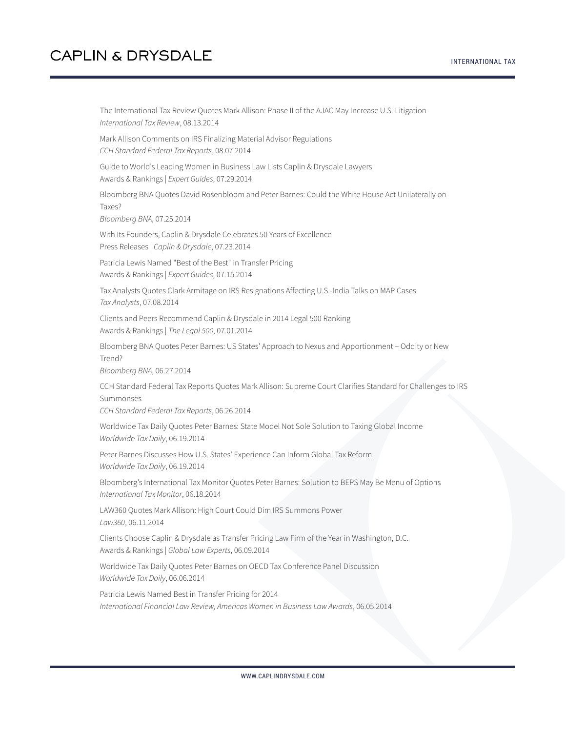The International Tax Review Quotes Mark Allison: Phase II of the AJAC May Increase U.S. Litigation *International Tax Review*, 08.13.2014 Mark Allison Comments on IRS Finalizing Material Advisor Regulations *CCH Standard Federal Tax Reports*, 08.07.2014 Guide to World's Leading Women in Business Law Lists Caplin & Drysdale Lawyers Awards & Rankings | *Expert Guides*, 07.29.2014 Bloomberg BNA Quotes David Rosenbloom and Peter Barnes: Could the White House Act Unilaterally on Taxes? *Bloomberg BNA*, 07.25.2014 With Its Founders, Caplin & Drysdale Celebrates 50 Years of Excellence Press Releases | *Caplin & Drysdale*, 07.23.2014 Patricia Lewis Named "Best of the Best" in Transfer Pricing Awards & Rankings | *Expert Guides*, 07.15.2014 Tax Analysts Quotes Clark Armitage on IRS Resignations Affecting U.S.-India Talks on MAP Cases *Tax Analysts*, 07.08.2014 Clients and Peers Recommend Caplin & Drysdale in 2014 Legal 500 Ranking Awards & Rankings | *The Legal 500*, 07.01.2014 Bloomberg BNA Quotes Peter Barnes: US States' Approach to Nexus and Apportionment – Oddity or New Trend? *Bloomberg BNA*, 06.27.2014 CCH Standard Federal Tax Reports Quotes Mark Allison: Supreme Court Clarifies Standard for Challenges to IRS Summonses *CCH Standard Federal Tax Reports*, 06.26.2014 Worldwide Tax Daily Quotes Peter Barnes: State Model Not Sole Solution to Taxing Global Income *Worldwide Tax Daily*, 06.19.2014 Peter Barnes Discusses How U.S. States' Experience Can Inform Global Tax Reform *Worldwide Tax Daily*, 06.19.2014 Bloomberg's International Tax Monitor Quotes Peter Barnes: Solution to BEPS May Be Menu of Options *International Tax Monitor*, 06.18.2014 LAW360 Quotes Mark Allison: High Court Could Dim IRS Summons Power *Law360*, 06.11.2014 Clients Choose Caplin & Drysdale as Transfer Pricing Law Firm of the Year in Washington, D.C. Awards & Rankings | *Global Law Experts*, 06.09.2014 Worldwide Tax Daily Quotes Peter Barnes on OECD Tax Conference Panel Discussion *Worldwide Tax Daily*, 06.06.2014 Patricia Lewis Named Best in Transfer Pricing for 2014 *International Financial Law Review, Americas Women in Business Law Awards*, 06.05.2014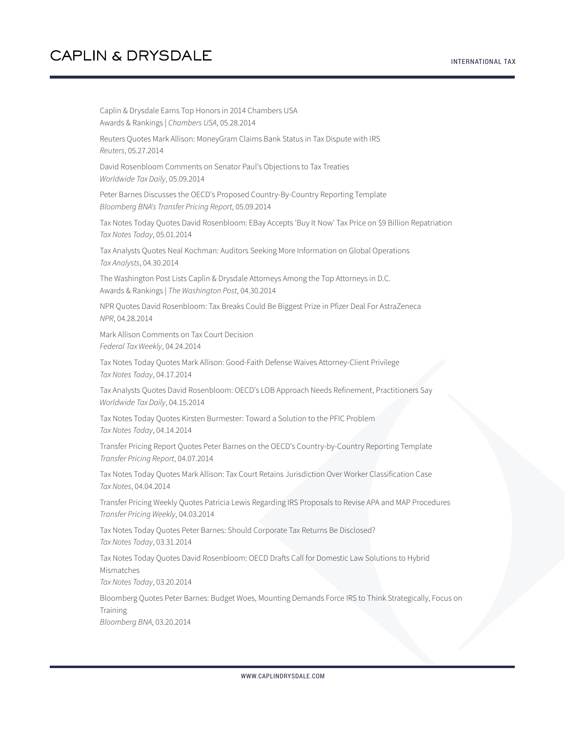INTERNATIONAL TAX

Caplin & Drysdale Earns Top Honors in 2014 Chambers USA Awards & Rankings | *Chambers USA*, 05.28.2014 Reuters Quotes Mark Allison: MoneyGram Claims Bank Status in Tax Dispute with IRS *Reuters*, 05.27.2014 David Rosenbloom Comments on Senator Paul's Objections to Tax Treaties *Worldwide Tax Daily*, 05.09.2014 Peter Barnes Discusses the OECD's Proposed Country-By-Country Reporting Template *Bloomberg BNA's Transfer Pricing Report*, 05.09.2014 Tax Notes Today Quotes David Rosenbloom: EBay Accepts 'Buy It Now' Tax Price on \$9 Billion Repatriation *Tax Notes Today*, 05.01.2014 Tax Analysts Quotes Neal Kochman: Auditors Seeking More Information on Global Operations *Tax Analysts*, 04.30.2014 The Washington Post Lists Caplin & Drysdale Attorneys Among the Top Attorneys in D.C. Awards & Rankings | *The Washington Post*, 04.30.2014 NPR Quotes David Rosenbloom: Tax Breaks Could Be Biggest Prize in Pfizer Deal For AstraZeneca *NPR*, 04.28.2014 Mark Allison Comments on Tax Court Decision *Federal Tax Weekly*, 04.24.2014 Tax Notes Today Quotes Mark Allison: Good-Faith Defense Waives Attorney-Client Privilege *Tax Notes Today*, 04.17.2014 Tax Analysts Quotes David Rosenbloom: OECD's LOB Approach Needs Refinement, Practitioners Say *Worldwide Tax Daily*, 04.15.2014 Tax Notes Today Quotes Kirsten Burmester: Toward a Solution to the PFIC Problem *Tax Notes Today*, 04.14.2014 Transfer Pricing Report Quotes Peter Barnes on the OECD's Country-by-Country Reporting Template *Transfer Pricing Report*, 04.07.2014 Tax Notes Today Quotes Mark Allison: Tax Court Retains Jurisdiction Over Worker Classification Case *Tax Notes*, 04.04.2014 Transfer Pricing Weekly Quotes Patricia Lewis Regarding IRS Proposals to Revise APA and MAP Procedures *Transfer Pricing Weekly*, 04.03.2014 Tax Notes Today Quotes Peter Barnes: Should Corporate Tax Returns Be Disclosed? *Tax Notes Today*, 03.31.2014 Tax Notes Today Quotes David Rosenbloom: OECD Drafts Call for Domestic Law Solutions to Hybrid Mismatches *Tax Notes Today*, 03.20.2014 Bloomberg Quotes Peter Barnes: Budget Woes, Mounting Demands Force IRS to Think Strategically, Focus on Training *Bloomberg BNA*, 03.20.2014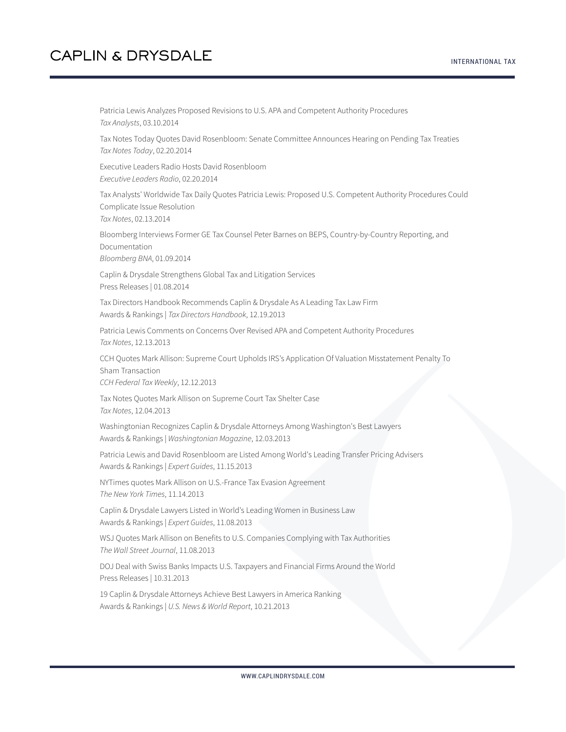Patricia Lewis Analyzes Proposed Revisions to U.S. APA and Competent Authority Procedures *Tax Analysts*, 03.10.2014

Tax Notes Today Quotes David Rosenbloom: Senate Committee Announces Hearing on Pending Tax Treaties *Tax Notes Today*, 02.20.2014

Executive Leaders Radio Hosts David Rosenbloom *Executive Leaders Radio*, 02.20.2014

Tax Analysts' Worldwide Tax Daily Quotes Patricia Lewis: Proposed U.S. Competent Authority Procedures Could Complicate Issue Resolution

*Tax Notes*, 02.13.2014

Bloomberg Interviews Former GE Tax Counsel Peter Barnes on BEPS, Country-by-Country Reporting, and Documentation *Bloomberg BNA*, 01.09.2014

Caplin & Drysdale Strengthens Global Tax and Litigation Services Press Releases | 01.08.2014

Tax Directors Handbook Recommends Caplin & Drysdale As A Leading Tax Law Firm Awards & Rankings | *Tax Directors Handbook*, 12.19.2013

Patricia Lewis Comments on Concerns Over Revised APA and Competent Authority Procedures *Tax Notes*, 12.13.2013

CCH Quotes Mark Allison: Supreme Court Upholds IRS's Application Of Valuation Misstatement Penalty To Sham Transaction *CCH Federal Tax Weekly*, 12.12.2013

Tax Notes Quotes Mark Allison on Supreme Court Tax Shelter Case

*Tax Notes*, 12.04.2013

Washingtonian Recognizes Caplin & Drysdale Attorneys Among Washington's Best Lawyers Awards & Rankings | *Washingtonian Magazine*, 12.03.2013

Patricia Lewis and David Rosenbloom are Listed Among World's Leading Transfer Pricing Advisers Awards & Rankings | *Expert Guides*, 11.15.2013

NYTimes quotes Mark Allison on U.S.-France Tax Evasion Agreement *The New York Times*, 11.14.2013

Caplin & Drysdale Lawyers Listed in World's Leading Women in Business Law Awards & Rankings | *Expert Guides*, 11.08.2013

WSJ Quotes Mark Allison on Benefits to U.S. Companies Complying with Tax Authorities *The Wall Street Journal*, 11.08.2013

DOJ Deal with Swiss Banks Impacts U.S. Taxpayers and Financial Firms Around the World Press Releases | 10.31.2013

19 Caplin & Drysdale Attorneys Achieve Best Lawyers in America Ranking Awards & Rankings | *U.S. News & World Report*, 10.21.2013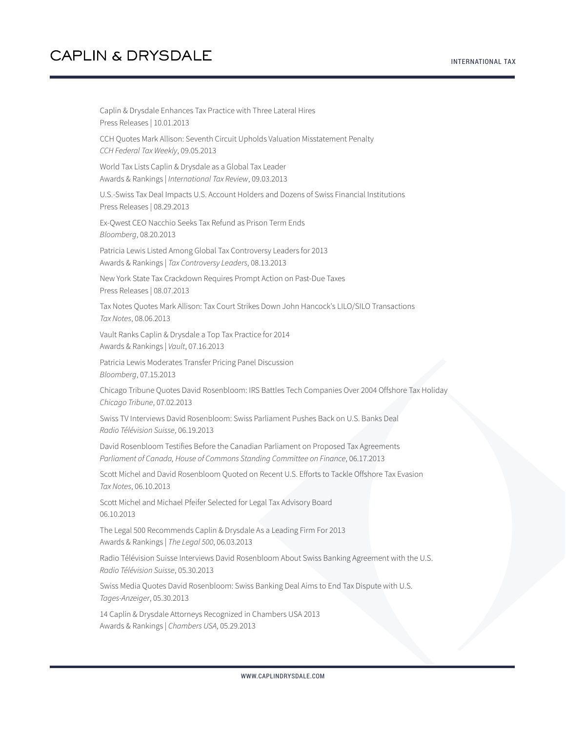Caplin & Drysdale Enhances Tax Practice with Three Lateral Hires Press Releases | 10.01.2013 CCH Quotes Mark Allison: Seventh Circuit Upholds Valuation Misstatement Penalty *CCH Federal Tax Weekly*, 09.05.2013 World Tax Lists Caplin & Drysdale as a Global Tax Leader Awards & Rankings | *International Tax Review*, 09.03.2013 U.S.-Swiss Tax Deal Impacts U.S. Account Holders and Dozens of Swiss Financial Institutions Press Releases | 08.29.2013 Ex-Qwest CEO Nacchio Seeks Tax Refund as Prison Term Ends *Bloomberg*, 08.20.2013 Patricia Lewis Listed Among Global Tax Controversy Leaders for 2013 Awards & Rankings | *Tax Controversy Leaders*, 08.13.2013 New York State Tax Crackdown Requires Prompt Action on Past-Due Taxes Press Releases | 08.07.2013 Tax Notes Quotes Mark Allison: Tax Court Strikes Down John Hancock's LILO/SILO Transactions *Tax Notes*, 08.06.2013 Vault Ranks Caplin & Drysdale a Top Tax Practice for 2014 Awards & Rankings | *Vault*, 07.16.2013 Patricia Lewis Moderates Transfer Pricing Panel Discussion *Bloomberg*, 07.15.2013 Chicago Tribune Quotes David Rosenbloom: IRS Battles Tech Companies Over 2004 Offshore Tax Holiday *Chicago Tribune*, 07.02.2013 Swiss TV Interviews David Rosenbloom: Swiss Parliament Pushes Back on U.S. Banks Deal *Radio Télévision Suisse*, 06.19.2013 David Rosenbloom Testifies Before the Canadian Parliament on Proposed Tax Agreements *Parliament of Canada, House of Commons Standing Committee on Finance*, 06.17.2013 Scott Michel and David Rosenbloom Quoted on Recent U.S. Efforts to Tackle Offshore Tax Evasion *Tax Notes*, 06.10.2013 Scott Michel and Michael Pfeifer Selected for Legal Tax Advisory Board 06.10.2013 The Legal 500 Recommends Caplin & Drysdale As a Leading Firm For 2013 Awards & Rankings | *The Legal 500*, 06.03.2013 Radio Télévision Suisse Interviews David Rosenbloom About Swiss Banking Agreement with the U.S. *Radio Télévision Suisse*, 05.30.2013 Swiss Media Quotes David Rosenbloom: Swiss Banking Deal Aims to End Tax Dispute with U.S. *Tages-Anzeiger*, 05.30.2013 14 Caplin & Drysdale Attorneys Recognized in Chambers USA 2013

Awards & Rankings | *Chambers USA*, 05.29.2013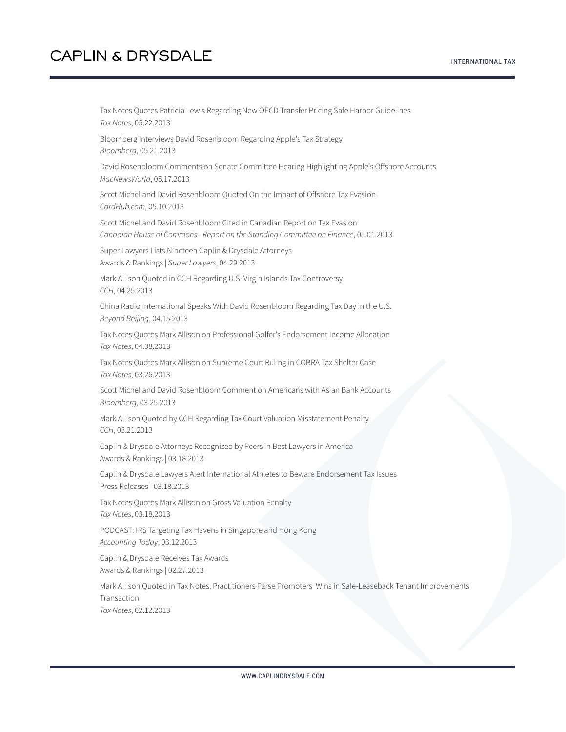Tax Notes Quotes Patricia Lewis Regarding New OECD Transfer Pricing Safe Harbor Guidelines *Tax Notes*, 05.22.2013

Bloomberg Interviews David Rosenbloom Regarding Apple's Tax Strategy *Bloomberg*, 05.21.2013

David Rosenbloom Comments on Senate Committee Hearing Highlighting Apple's Offshore Accounts *MacNewsWorld*, 05.17.2013

Scott Michel and David Rosenbloom Quoted On the Impact of Offshore Tax Evasion *CardHub.com*, 05.10.2013

Scott Michel and David Rosenbloom Cited in Canadian Report on Tax Evasion *Canadian House of Commons - Report on the Standing Committee on Finance*, 05.01.2013

Super Lawyers Lists Nineteen Caplin & Drysdale Attorneys Awards & Rankings | *Super Lawyers*, 04.29.2013

Mark Allison Quoted in CCH Regarding U.S. Virgin Islands Tax Controversy *CCH*, 04.25.2013

China Radio International Speaks With David Rosenbloom Regarding Tax Day in the U.S. *Beyond Beijing*, 04.15.2013

Tax Notes Quotes Mark Allison on Professional Golfer's Endorsement Income Allocation *Tax Notes*, 04.08.2013

Tax Notes Quotes Mark Allison on Supreme Court Ruling in COBRA Tax Shelter Case *Tax Notes*, 03.26.2013

Scott Michel and David Rosenbloom Comment on Americans with Asian Bank Accounts *Bloomberg*, 03.25.2013

Mark Allison Quoted by CCH Regarding Tax Court Valuation Misstatement Penalty *CCH*, 03.21.2013

Caplin & Drysdale Attorneys Recognized by Peers in Best Lawyers in America Awards & Rankings | 03.18.2013

Caplin & Drysdale Lawyers Alert International Athletes to Beware Endorsement Tax Issues Press Releases | 03.18.2013

Tax Notes Quotes Mark Allison on Gross Valuation Penalty *Tax Notes*, 03.18.2013

PODCAST: IRS Targeting Tax Havens in Singapore and Hong Kong *Accounting Today*, 03.12.2013

Caplin & Drysdale Receives Tax Awards Awards & Rankings | 02.27.2013

Mark Allison Quoted in Tax Notes, Practitioners Parse Promoters' Wins in Sale-Leaseback Tenant Improvements **Transaction** *Tax Notes*, 02.12.2013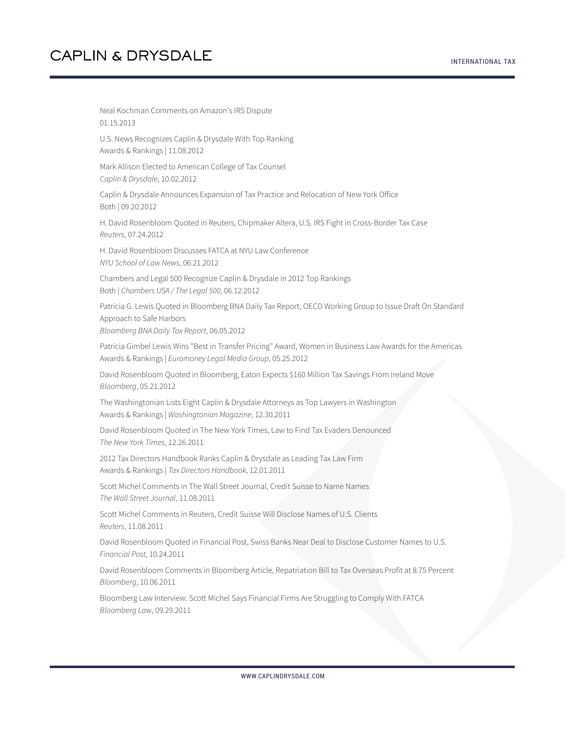#### INTERNATIONAL TAX

# **CAPLIN & DRYSDALE**

Neal Kochman Comments on Amazon's IRS Dispute 01.15.2013 U.S. News Recognizes Caplin & Drysdale With Top Ranking Awards & Rankings | 11.08.2012 Mark Allison Elected to American College of Tax Counsel *Caplin & Drysdale*, 10.02.2012 Caplin & Drysdale Announces Expansion of Tax Practice and Relocation of New York Office Both | 09.20.2012 H. David Rosenbloom Quoted in Reuters, Chipmaker Altera, U.S. IRS Fight in Cross-Border Tax Case *Reuters*, 07.24.2012 H. David Rosenbloom Discusses FATCA at NYU Law Conference *NYU School of Law News*, 06.21.2012 Chambers and Legal 500 Recognize Caplin & Drysdale in 2012 Top Rankings Both | *Chambers USA / The Legal 500*, 06.12.2012 Patricia G. Lewis Quoted in Bloomberg BNA Daily Tax Report, OECD Working Group to Issue Draft On Standard Approach to Safe Harbors *Bloomberg BNA Daily Tax Report*, 06.05.2012 Patricia Gimbel Lewis Wins "Best in Transfer Pricing" Award, Women in Business Law Awards for the Americas Awards & Rankings | *Euromoney Legal Media Group*, 05.25.2012 David Rosenbloom Quoted in Bloomberg, Eaton Expects \$160 Million Tax Savings From Ireland Move *Bloomberg*, 05.21.2012 The Washingtonian Lists Eight Caplin & Drysdale Attorneys as Top Lawyers in Washington Awards & Rankings | *Washingtonian Magazine*, 12.30.2011 David Rosenbloom Quoted in The New York Times, Law to Find Tax Evaders Denounced *The New York Times*, 12.26.2011 2012 Tax Directors Handbook Ranks Caplin & Drysdale as Leading Tax Law Firm Awards & Rankings | *Tax Directors Handbook*, 12.01.2011 Scott Michel Comments in The Wall Street Journal, Credit Suisse to Name Names *The Wall Street Journal*, 11.08.2011 Scott Michel Comments in Reuters, Credit Suisse Will Disclose Names of U.S. Clients *Reuters*, 11.08.2011 David Rosenbloom Quoted in Financial Post, Swiss Banks Near Deal to Disclose Customer Names to U.S. *Financial Post*, 10.24.2011 David Rosenbloom Comments in Bloomberg Article, Repatriation Bill to Tax Overseas Profit at 8.75 Percent *Bloomberg*, 10.06.2011 Bloomberg Law Interview: Scott Michel Says Financial Firms Are Struggling to Comply With FATCA *Bloomberg Law*, 09.29.2011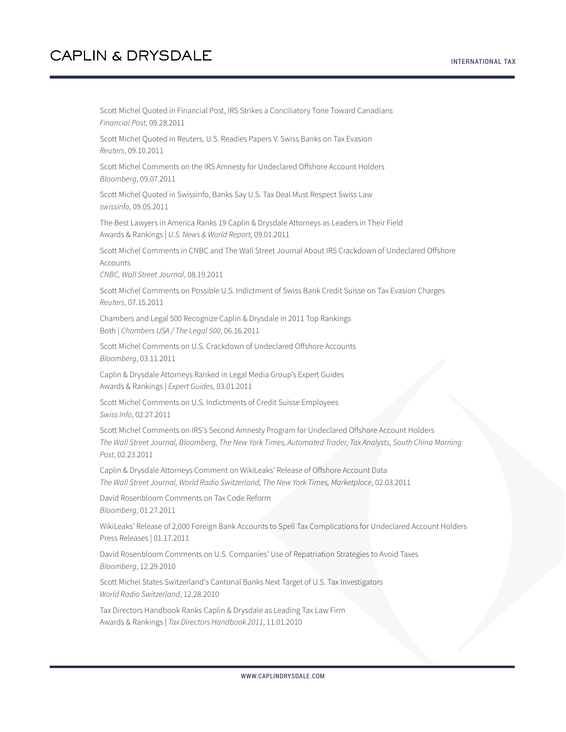Scott Michel Quoted in Financial Post, IRS Strikes a Conciliatory Tone Toward Canadians *Financial Post*, 09.28.2011

Scott Michel Quoted in Reuters, U.S. Readies Papers V. Swiss Banks on Tax Evasion *Reuters*, 09.10.2011

Scott Michel Comments on the IRS Amnesty for Undeclared Offshore Account Holders *Bloomberg*, 09.07.2011

Scott Michel Quoted in Swissinfo, Banks Say U.S. Tax Deal Must Respect Swiss Law *swissinfo*, 09.05.2011

The Best Lawyers in America Ranks 19 Caplin & Drysdale Attorneys as Leaders in Their Field Awards & Rankings | *U.S. News & World Report*, 09.01.2011

Scott Michel Comments in CNBC and The Wall Street Journal About IRS Crackdown of Undeclared Offshore **Accounts** 

*CNBC, Wall Street Journal*, 08.19.2011

Scott Michel Comments on Possible U.S. Indictment of Swiss Bank Credit Suisse on Tax Evasion Charges *Reuters*, 07.15.2011

Chambers and Legal 500 Recognize Caplin & Drysdale in 2011 Top Rankings Both | *Chambers USA / The Legal 500*, 06.16.2011

Scott Michel Comments on U.S. Crackdown of Undeclared Offshore Accounts *Bloomberg*, 03.11.2011

Caplin & Drysdale Attorneys Ranked in Legal Media Group's Expert Guides Awards & Rankings | *Expert Guides*, 03.01.2011

Scott Michel Comments on U.S. Indictments of Credit Suisse Employees *Swiss Info*, 02.27.2011

Scott Michel Comments on IRS's Second Amnesty Program for Undeclared Offshore Account Holders *The Wall Street Journal, Bloomberg, The New York Times, Automated Trader, Tax Analysts, South China Morning Post*, 02.23.2011

Caplin & Drysdale Attorneys Comment on WikiLeaks' Release of Offshore Account Data *The Wall Street Journal, World Radio Switzerland, The New York Times, Marketplace*, 02.03.2011

David Rosenbloom Comments on Tax Code Reform *Bloomberg*, 01.27.2011

WikiLeaks' Release of 2,000 Foreign Bank Accounts to Spell Tax Complications for Undeclared Account Holders Press Releases | 01.17.2011

David Rosenbloom Comments on U.S. Companies' Use of Repatriation Strategies to Avoid Taxes *Bloomberg*, 12.29.2010

Scott Michel States Switzerland's Cantonal Banks Next Target of U.S. Tax Investigators *World Radio Switzerland*, 12.28.2010

Tax Directors Handbook Ranks Caplin & Drysdale as Leading Tax Law Firm Awards & Rankings | *Tax Directors Handbook 2011*, 11.01.2010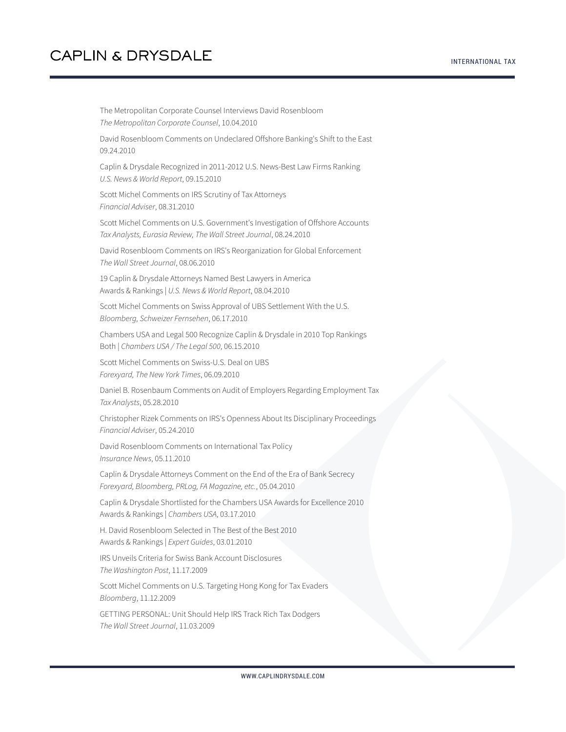The Metropolitan Corporate Counsel Interviews David Rosenbloom *The Metropolitan Corporate Counsel*, 10.04.2010 David Rosenbloom Comments on Undeclared Offshore Banking's Shift to the East 09.24.2010 Caplin & Drysdale Recognized in 2011-2012 U.S. News-Best Law Firms Ranking *U.S. News & World Report*, 09.15.2010 Scott Michel Comments on IRS Scrutiny of Tax Attorneys *Financial Adviser*, 08.31.2010 Scott Michel Comments on U.S. Government's Investigation of Offshore Accounts *Tax Analysts, Eurasia Review, The Wall Street Journal*, 08.24.2010 David Rosenbloom Comments on IRS's Reorganization for Global Enforcement *The Wall Street Journal*, 08.06.2010 19 Caplin & Drysdale Attorneys Named Best Lawyers in America Awards & Rankings | *U.S. News & World Report*, 08.04.2010 Scott Michel Comments on Swiss Approval of UBS Settlement With the U.S. *Bloomberg, Schweizer Fernsehen*, 06.17.2010 Chambers USA and Legal 500 Recognize Caplin & Drysdale in 2010 Top Rankings Both | *Chambers USA / The Legal 500*, 06.15.2010 Scott Michel Comments on Swiss-U.S. Deal on UBS *Forexyard, The New York Times*, 06.09.2010 Daniel B. Rosenbaum Comments on Audit of Employers Regarding Employment Tax *Tax Analysts*, 05.28.2010 Christopher Rizek Comments on IRS's Openness About Its Disciplinary Proceedings *Financial Adviser*, 05.24.2010 David Rosenbloom Comments on International Tax Policy *Insurance News*, 05.11.2010 Caplin & Drysdale Attorneys Comment on the End of the Era of Bank Secrecy *Forexyard, Bloomberg, PRLog, FA Magazine, etc.*, 05.04.2010 Caplin & Drysdale Shortlisted for the Chambers USA Awards for Excellence 2010 Awards & Rankings | *Chambers USA*, 03.17.2010 H. David Rosenbloom Selected in The Best of the Best 2010 Awards & Rankings | *Expert Guides*, 03.01.2010 IRS Unveils Criteria for Swiss Bank Account Disclosures *The Washington Post*, 11.17.2009 Scott Michel Comments on U.S. Targeting Hong Kong for Tax Evaders *Bloomberg*, 11.12.2009 GETTING PERSONAL: Unit Should Help IRS Track Rich Tax Dodgers *The Wall Street Journal*, 11.03.2009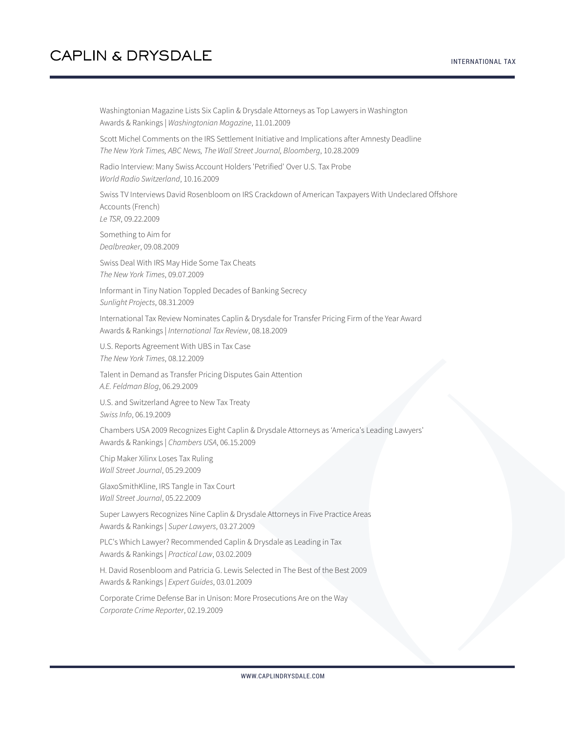Washingtonian Magazine Lists Six Caplin & Drysdale Attorneys as Top Lawyers in Washington Awards & Rankings | *Washingtonian Magazine*, 11.01.2009

Scott Michel Comments on the IRS Settlement Initiative and Implications after Amnesty Deadline *The New York Times, ABC News, The Wall Street Journal, Bloomberg*, 10.28.2009

Radio Interview: Many Swiss Account Holders 'Petrified' Over U.S. Tax Probe *World Radio Switzerland*, 10.16.2009

Swiss TV Interviews David Rosenbloom on IRS Crackdown of American Taxpayers With Undeclared Offshore Accounts (French)

*Le TSR*, 09.22.2009

Something to Aim for *Dealbreaker*, 09.08.2009

Swiss Deal With IRS May Hide Some Tax Cheats *The New York Times*, 09.07.2009

Informant in Tiny Nation Toppled Decades of Banking Secrecy *Sunlight Projects*, 08.31.2009

International Tax Review Nominates Caplin & Drysdale for Transfer Pricing Firm of the Year Award Awards & Rankings | *International Tax Review*, 08.18.2009

U.S. Reports Agreement With UBS in Tax Case *The New York Times*, 08.12.2009

Talent in Demand as Transfer Pricing Disputes Gain Attention *A.E. Feldman Blog*, 06.29.2009

U.S. and Switzerland Agree to New Tax Treaty *Swiss Info*, 06.19.2009

Chambers USA 2009 Recognizes Eight Caplin & Drysdale Attorneys as 'America's Leading Lawyers' Awards & Rankings | *Chambers USA*, 06.15.2009

Chip Maker Xilinx Loses Tax Ruling *Wall Street Journal*, 05.29.2009

GlaxoSmithKline, IRS Tangle in Tax Court *Wall Street Journal*, 05.22.2009

Super Lawyers Recognizes Nine Caplin & Drysdale Attorneys in Five Practice Areas Awards & Rankings | *Super Lawyers*, 03.27.2009

PLC's Which Lawyer? Recommended Caplin & Drysdale as Leading in Tax Awards & Rankings | *Practical Law*, 03.02.2009

H. David Rosenbloom and Patricia G. Lewis Selected in The Best of the Best 2009 Awards & Rankings | *Expert Guides*, 03.01.2009

Corporate Crime Defense Bar in Unison: More Prosecutions Are on the Way *Corporate Crime Reporter*, 02.19.2009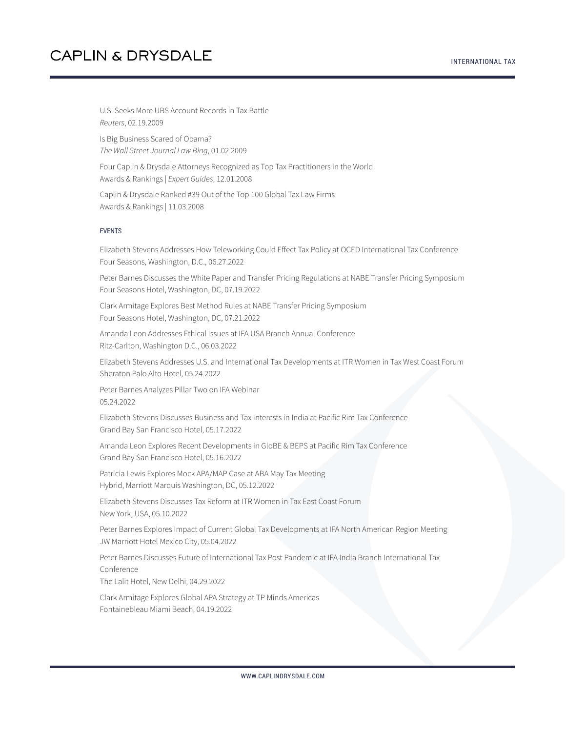U.S. Seeks More UBS Account Records in Tax Battle *Reuters*, 02.19.2009

Is Big Business Scared of Obama? *The Wall Street Journal Law Blog*, 01.02.2009

Four Caplin & Drysdale Attorneys Recognized as Top Tax Practitioners in the World Awards & Rankings | *Expert Guides*, 12.01.2008

Caplin & Drysdale Ranked #39 Out of the Top 100 Global Tax Law Firms Awards & Rankings | 11.03.2008

#### EVENTS

Elizabeth Stevens Addresses How Teleworking Could Effect Tax Policy at OCED International Tax Conference Four Seasons, Washington, D.C., 06.27.2022

Peter Barnes Discusses the White Paper and Transfer Pricing Regulations at NABE Transfer Pricing Symposium Four Seasons Hotel, Washington, DC, 07.19.2022

Clark Armitage Explores Best Method Rules at NABE Transfer Pricing Symposium Four Seasons Hotel, Washington, DC, 07.21.2022

Amanda Leon Addresses Ethical Issues at IFA USA Branch Annual Conference Ritz-Carlton, Washington D.C., 06.03.2022

Elizabeth Stevens Addresses U.S. and International Tax Developments at ITR Women in Tax West Coast Forum Sheraton Palo Alto Hotel, 05.24.2022

Peter Barnes Analyzes Pillar Two on IFA Webinar 05.24.2022

Elizabeth Stevens Discusses Business and Tax Interests in India at Pacific Rim Tax Conference Grand Bay San Francisco Hotel, 05.17.2022

Amanda Leon Explores Recent Developments in GloBE & BEPS at Pacific Rim Tax Conference Grand Bay San Francisco Hotel, 05.16.2022

Patricia Lewis Explores Mock APA/MAP Case at ABA May Tax Meeting Hybrid, Marriott Marquis Washington, DC, 05.12.2022

Elizabeth Stevens Discusses Tax Reform at ITR Women in Tax East Coast Forum New York, USA, 05.10.2022

Peter Barnes Explores Impact of Current Global Tax Developments at IFA North American Region Meeting JW Marriott Hotel Mexico City, 05.04.2022

Peter Barnes Discusses Future of International Tax Post Pandemic at IFA India Branch International Tax Conference

The Lalit Hotel, New Delhi, 04.29.2022

Clark Armitage Explores Global APA Strategy at TP Minds Americas Fontainebleau Miami Beach, 04.19.2022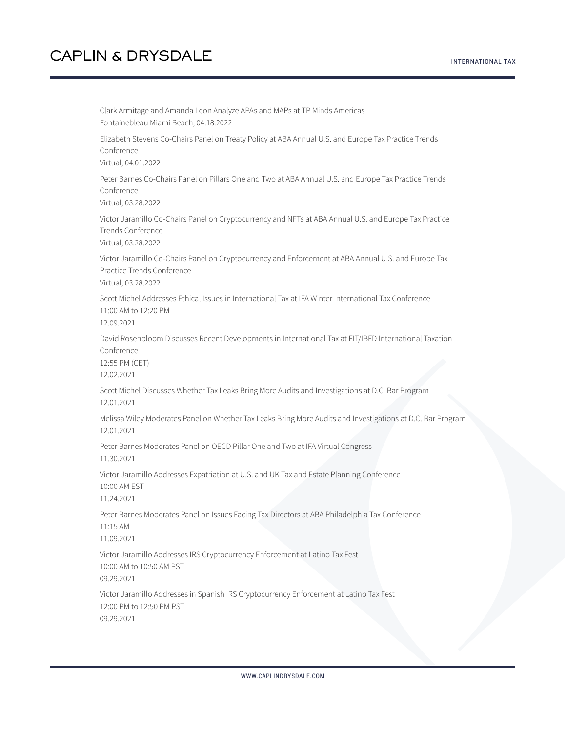Clark Armitage and Amanda Leon Analyze APAs and MAPs at TP Minds Americas Fontainebleau Miami Beach, 04.18.2022 Elizabeth Stevens Co-Chairs Panel on Treaty Policy at ABA Annual U.S. and Europe Tax Practice Trends Conference Virtual, 04.01.2022 Peter Barnes Co-Chairs Panel on Pillars One and Two at ABA Annual U.S. and Europe Tax Practice Trends Conference Virtual, 03.28.2022 Victor Jaramillo Co-Chairs Panel on Cryptocurrency and NFTs at ABA Annual U.S. and Europe Tax Practice Trends Conference Virtual, 03.28.2022 Victor Jaramillo Co-Chairs Panel on Cryptocurrency and Enforcement at ABA Annual U.S. and Europe Tax Practice Trends Conference Virtual, 03.28.2022 Scott Michel Addresses Ethical Issues in International Tax at IFA Winter International Tax Conference 11:00 AM to 12:20 PM 12.09.2021 David Rosenbloom Discusses Recent Developments in International Tax at FIT/IBFD International Taxation Conference 12:55 PM (CET) 12.02.2021 Scott Michel Discusses Whether Tax Leaks Bring More Audits and Investigations at D.C. Bar Program 12.01.2021 Melissa Wiley Moderates Panel on Whether Tax Leaks Bring More Audits and Investigations at D.C. Bar Program 12.01.2021 Peter Barnes Moderates Panel on OECD Pillar One and Two at IFA Virtual Congress 11.30.2021 Victor Jaramillo Addresses Expatriation at U.S. and UK Tax and Estate Planning Conference 10:00 AM EST 11.24.2021 Peter Barnes Moderates Panel on Issues Facing Tax Directors at ABA Philadelphia Tax Conference 11:15 AM 11.09.2021 Victor Jaramillo Addresses IRS Cryptocurrency Enforcement at Latino Tax Fest 10:00 AM to 10:50 AM PST 09.29.2021 Victor Jaramillo Addresses in Spanish IRS Cryptocurrency Enforcement at Latino Tax Fest 12:00 PM to 12:50 PM PST 09.29.2021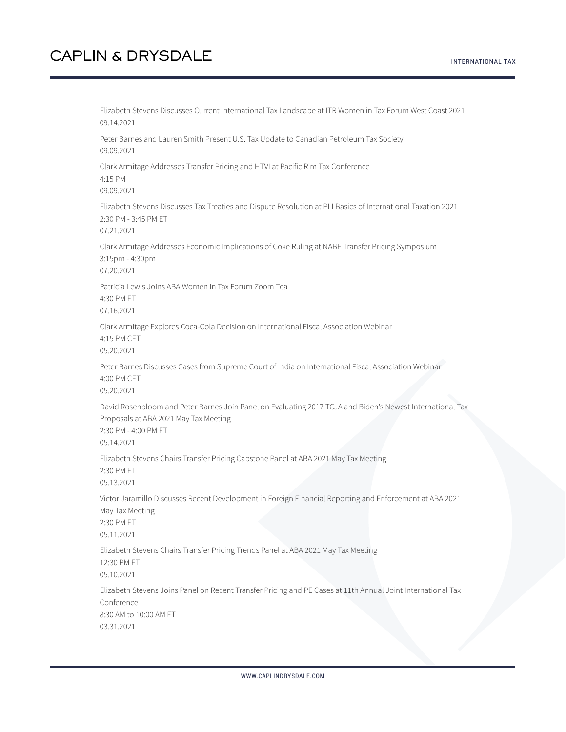Elizabeth Stevens Discusses Current International Tax Landscape at ITR Women in Tax Forum West Coast 2021 09.14.2021 Peter Barnes and Lauren Smith Present U.S. Tax Update to Canadian Petroleum Tax Society 09.09.2021 Clark Armitage Addresses Transfer Pricing and HTVI at Pacific Rim Tax Conference 4:15 PM 09.09.2021 Elizabeth Stevens Discusses Tax Treaties and Dispute Resolution at PLI Basics of International Taxation 2021 2:30 PM - 3:45 PM ET 07.21.2021 Clark Armitage Addresses Economic Implications of Coke Ruling at NABE Transfer Pricing Symposium 3:15pm - 4:30pm 07.20.2021 Patricia Lewis Joins ABA Women in Tax Forum Zoom Tea 4:30 PM ET 07.16.2021 Clark Armitage Explores Coca-Cola Decision on International Fiscal Association Webinar 4:15 PM CET 05.20.2021 Peter Barnes Discusses Cases from Supreme Court of India on International Fiscal Association Webinar 4:00 PM CET 05.20.2021 David Rosenbloom and Peter Barnes Join Panel on Evaluating 2017 TCJA and Biden's Newest International Tax Proposals at ABA 2021 May Tax Meeting 2:30 PM - 4:00 PM ET 05.14.2021 Elizabeth Stevens Chairs Transfer Pricing Capstone Panel at ABA 2021 May Tax Meeting 2:30 PM ET 05.13.2021 Victor Jaramillo Discusses Recent Development in Foreign Financial Reporting and Enforcement at ABA 2021 May Tax Meeting 2:30 PM ET 05.11.2021 Elizabeth Stevens Chairs Transfer Pricing Trends Panel at ABA 2021 May Tax Meeting 12:30 PM ET 05.10.2021 Elizabeth Stevens Joins Panel on Recent Transfer Pricing and PE Cases at 11th Annual Joint International Tax Conference 8:30 AM to 10:00 AM ET 03.31.2021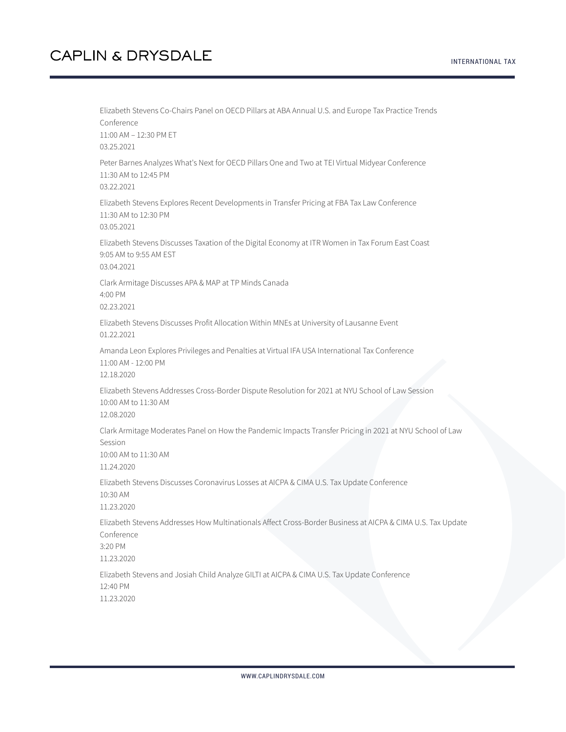#### INTERNATIONAL TAX

## **CAPLIN & DRYSDALE**

Elizabeth Stevens Co-Chairs Panel on OECD Pillars at ABA Annual U.S. and Europe Tax Practice Trends Conference 11:00 AM – 12:30 PM ET 03.25.2021 Peter Barnes Analyzes What's Next for OECD Pillars One and Two at TEI Virtual Midyear Conference 11:30 AM to 12:45 PM 03.22.2021 Elizabeth Stevens Explores Recent Developments in Transfer Pricing at FBA Tax Law Conference 11:30 AM to 12:30 PM 03.05.2021 Elizabeth Stevens Discusses Taxation of the Digital Economy at ITR Women in Tax Forum East Coast 9:05 AM to 9:55 AM EST 03.04.2021 Clark Armitage Discusses APA & MAP at TP Minds Canada 4:00 PM 02.23.2021 Elizabeth Stevens Discusses Profit Allocation Within MNEs at University of Lausanne Event 01.22.2021 Amanda Leon Explores Privileges and Penalties at Virtual IFA USA International Tax Conference 11:00 AM - 12:00 PM 12.18.2020 Elizabeth Stevens Addresses Cross-Border Dispute Resolution for 2021 at NYU School of Law Session 10:00 AM to 11:30 AM 12.08.2020 Clark Armitage Moderates Panel on How the Pandemic Impacts Transfer Pricing in 2021 at NYU School of Law Session 10:00 AM to 11:30 AM 11.24.2020 Elizabeth Stevens Discusses Coronavirus Losses at AICPA & CIMA U.S. Tax Update Conference 10:30 AM 11.23.2020 Elizabeth Stevens Addresses How Multinationals Affect Cross-Border Business at AICPA & CIMA U.S. Tax Update Conference 3:20 PM 11.23.2020 Elizabeth Stevens and Josiah Child Analyze GILTI at AICPA & CIMA U.S. Tax Update Conference 12:40 PM 11.23.2020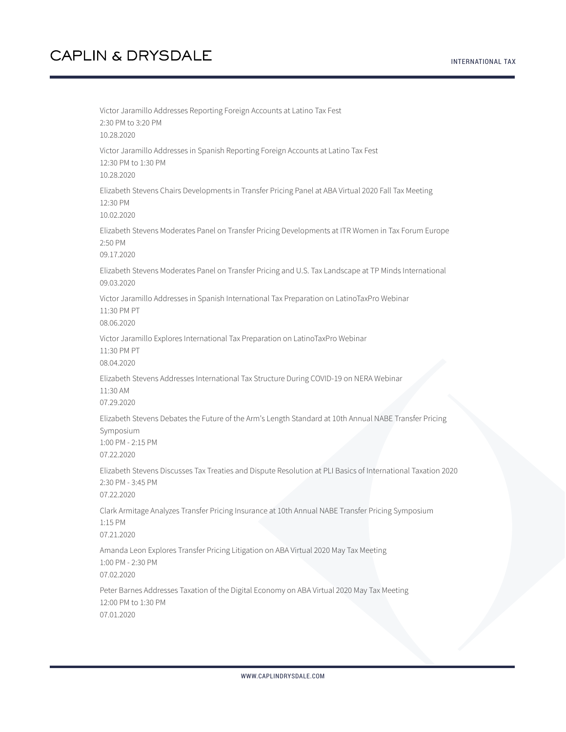Victor Jaramillo Addresses Reporting Foreign Accounts at Latino Tax Fest 2:30 PM to 3:20 PM 10.28.2020 Victor Jaramillo Addresses in Spanish Reporting Foreign Accounts at Latino Tax Fest 12:30 PM to 1:30 PM 10.28.2020 Elizabeth Stevens Chairs Developments in Transfer Pricing Panel at ABA Virtual 2020 Fall Tax Meeting 12:30 PM 10.02.2020 Elizabeth Stevens Moderates Panel on Transfer Pricing Developments at ITR Women in Tax Forum Europe 2:50 PM 09.17.2020 Elizabeth Stevens Moderates Panel on Transfer Pricing and U.S. Tax Landscape at TP Minds International 09.03.2020 Victor Jaramillo Addresses in Spanish International Tax Preparation on LatinoTaxPro Webinar 11:30 PM PT 08.06.2020 Victor Jaramillo Explores International Tax Preparation on LatinoTaxPro Webinar 11:30 PM PT 08.04.2020 Elizabeth Stevens Addresses International Tax Structure During COVID-19 on NERA Webinar 11:30 AM 07.29.2020 Elizabeth Stevens Debates the Future of the Arm's Length Standard at 10th Annual NABE Transfer Pricing Symposium 1:00 PM - 2:15 PM 07.22.2020 Elizabeth Stevens Discusses Tax Treaties and Dispute Resolution at PLI Basics of International Taxation 2020 2:30 PM - 3:45 PM 07.22.2020 Clark Armitage Analyzes Transfer Pricing Insurance at 10th Annual NABE Transfer Pricing Symposium 1:15 PM 07.21.2020 Amanda Leon Explores Transfer Pricing Litigation on ABA Virtual 2020 May Tax Meeting 1:00 PM - 2:30 PM 07.02.2020 Peter Barnes Addresses Taxation of the Digital Economy on ABA Virtual 2020 May Tax Meeting 12:00 PM to 1:30 PM 07.01.2020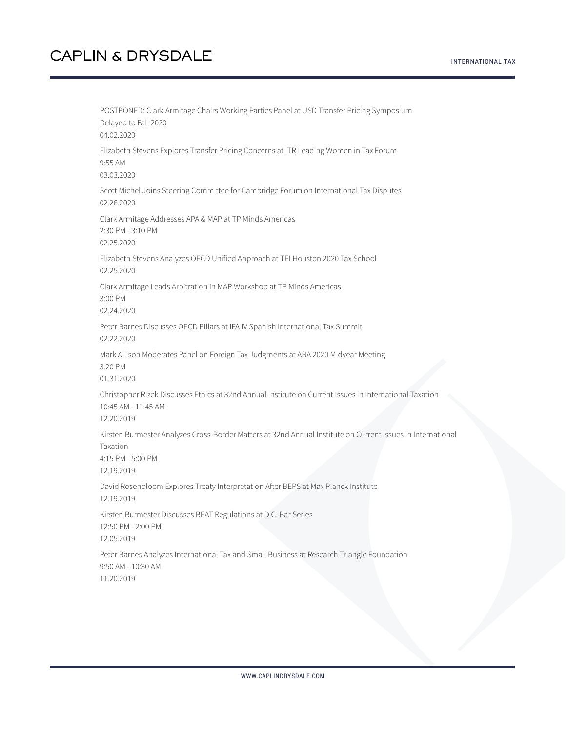POSTPONED: Clark Armitage Chairs Working Parties Panel at USD Transfer Pricing Symposium Delayed to Fall 2020 04.02.2020 Elizabeth Stevens Explores Transfer Pricing Concerns at ITR Leading Women in Tax Forum 9:55 AM 03.03.2020 Scott Michel Joins Steering Committee for Cambridge Forum on International Tax Disputes 02.26.2020 Clark Armitage Addresses APA & MAP at TP Minds Americas 2:30 PM - 3:10 PM 02.25.2020 Elizabeth Stevens Analyzes OECD Unified Approach at TEI Houston 2020 Tax School 02.25.2020 Clark Armitage Leads Arbitration in MAP Workshop at TP Minds Americas 3:00 PM 02.24.2020 Peter Barnes Discusses OECD Pillars at IFA IV Spanish International Tax Summit 02.22.2020 Mark Allison Moderates Panel on Foreign Tax Judgments at ABA 2020 Midyear Meeting 3:20 PM 01.31.2020 Christopher Rizek Discusses Ethics at 32nd Annual Institute on Current Issues in International Taxation 10:45 AM - 11:45 AM 12.20.2019 Kirsten Burmester Analyzes Cross-Border Matters at 32nd Annual Institute on Current Issues in International Taxation 4:15 PM - 5:00 PM 12.19.2019 David Rosenbloom Explores Treaty Interpretation After BEPS at Max Planck Institute 12.19.2019 Kirsten Burmester Discusses BEAT Regulations at D.C. Bar Series 12:50 PM - 2:00 PM 12.05.2019 Peter Barnes Analyzes International Tax and Small Business at Research Triangle Foundation 9:50 AM - 10:30 AM 11.20.2019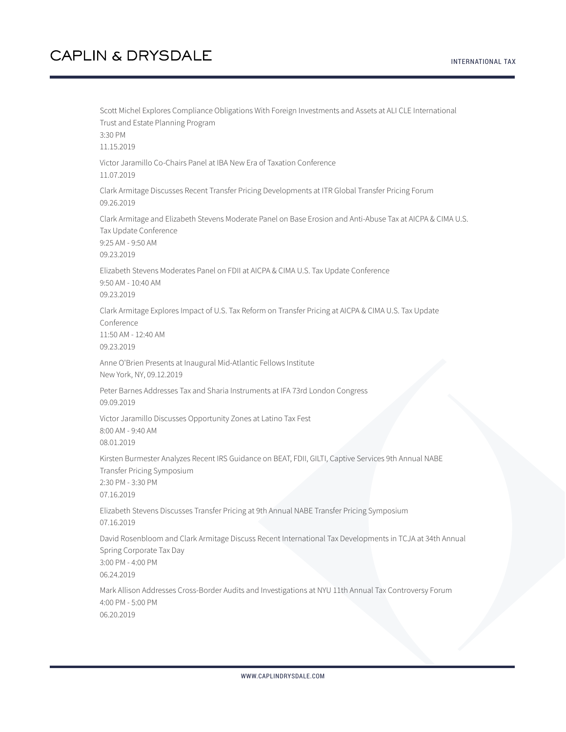#### INTERNATIONAL TAX

# **CAPLIN & DRYSDALE**

Scott Michel Explores Compliance Obligations With Foreign Investments and Assets at ALI CLE International Trust and Estate Planning Program 3:30 PM 11.15.2019 Victor Jaramillo Co-Chairs Panel at IBA New Era of Taxation Conference 11.07.2019 Clark Armitage Discusses Recent Transfer Pricing Developments at ITR Global Transfer Pricing Forum 09.26.2019 Clark Armitage and Elizabeth Stevens Moderate Panel on Base Erosion and Anti-Abuse Tax at AICPA & CIMA U.S. Tax Update Conference 9:25 AM - 9:50 AM 09.23.2019 Elizabeth Stevens Moderates Panel on FDII at AICPA & CIMA U.S. Tax Update Conference 9:50 AM - 10:40 AM 09.23.2019 Clark Armitage Explores Impact of U.S. Tax Reform on Transfer Pricing at AICPA & CIMA U.S. Tax Update Conference 11:50 AM - 12:40 AM 09.23.2019 Anne O'Brien Presents at Inaugural Mid-Atlantic Fellows Institute New York, NY, 09.12.2019 Peter Barnes Addresses Tax and Sharia Instruments at IFA 73rd London Congress 09.09.2019 Victor Jaramillo Discusses Opportunity Zones at Latino Tax Fest 8:00 AM - 9:40 AM 08.01.2019 Kirsten Burmester Analyzes Recent IRS Guidance on BEAT, FDII, GILTI, Captive Services 9th Annual NABE Transfer Pricing Symposium 2:30 PM - 3:30 PM 07.16.2019 Elizabeth Stevens Discusses Transfer Pricing at 9th Annual NABE Transfer Pricing Symposium 07.16.2019 David Rosenbloom and Clark Armitage Discuss Recent International Tax Developments in TCJA at 34th Annual Spring Corporate Tax Day 3:00 PM - 4:00 PM 06.24.2019 Mark Allison Addresses Cross-Border Audits and Investigations at NYU 11th Annual Tax Controversy Forum 4:00 PM - 5:00 PM 06.20.2019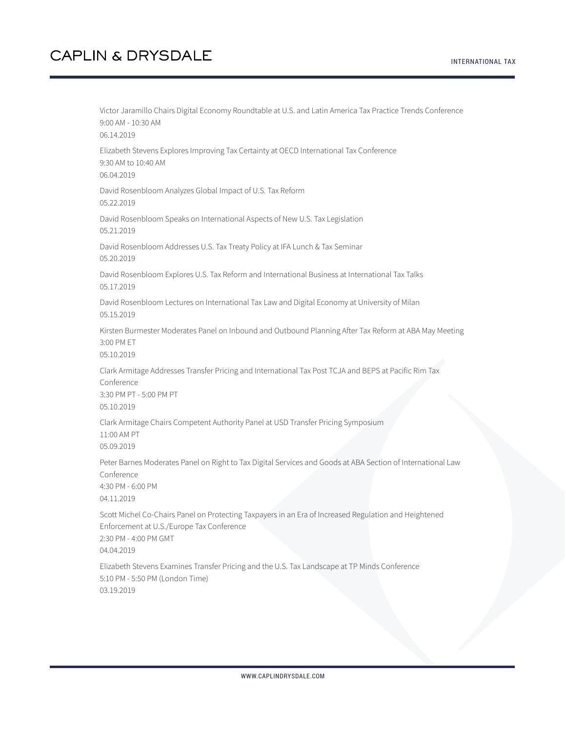Victor Jaramillo Chairs Digital Economy Roundtable at U.S. and Latin America Tax Practice Trends Conference 9:00 AM - 10:30 AM 06.14.2019 Elizabeth Stevens Explores Improving Tax Certainty at OECD International Tax Conference 9:30 AM to 10:40 AM 06.04.2019 David Rosenbloom Analyzes Global Impact of U.S. Tax Reform 05.22.2019 David Rosenbloom Speaks on International Aspects of New U.S. Tax Legislation 05.21.2019 David Rosenbloom Addresses U.S. Tax Treaty Policy at IFA Lunch & Tax Seminar 05.20.2019 David Rosenbloom Explores U.S. Tax Reform and International Business at International Tax Talks 05.17.2019 David Rosenbloom Lectures on International Tax Law and Digital Economy at University of Milan 05.15.2019 Kirsten Burmester Moderates Panel on Inbound and Outbound Planning After Tax Reform at ABA May Meeting 3:00 PM ET 05.10.2019 Clark Armitage Addresses Transfer Pricing and International Tax Post TCJA and BEPS at Pacific Rim Tax Conference 3:30 PM PT - 5:00 PM PT 05.10.2019 Clark Armitage Chairs Competent Authority Panel at USD Transfer Pricing Symposium 11:00 AM PT 05.09.2019 Peter Barnes Moderates Panel on Right to Tax Digital Services and Goods at ABA Section of International Law Conference 4:30 PM - 6:00 PM 04.11.2019 Scott Michel Co-Chairs Panel on Protecting Taxpayers in an Era of Increased Regulation and Heightened Enforcement at U.S./Europe Tax Conference 2:30 PM - 4:00 PM GMT 04.04.2019 Elizabeth Stevens Examines Transfer Pricing and the U.S. Tax Landscape at TP Minds Conference 5:10 PM - 5:50 PM (London Time) 03.19.2019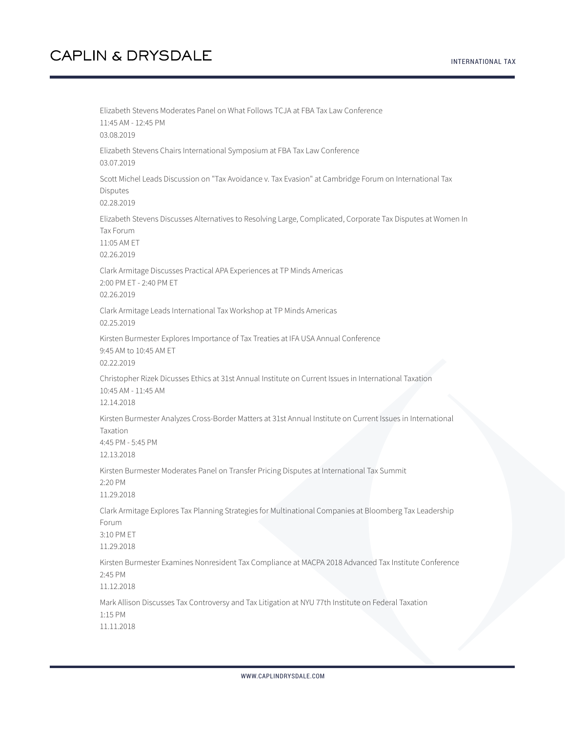INTERNATIONAL TAX

Elizabeth Stevens Moderates Panel on What Follows TCJA at FBA Tax Law Conference 11:45 AM - 12:45 PM 03.08.2019 Elizabeth Stevens Chairs International Symposium at FBA Tax Law Conference 03.07.2019 Scott Michel Leads Discussion on "Tax Avoidance v. Tax Evasion" at Cambridge Forum on International Tax Disputes 02.28.2019 Elizabeth Stevens Discusses Alternatives to Resolving Large, Complicated, Corporate Tax Disputes at Women In Tax Forum 11:05 AM ET 02.26.2019 Clark Armitage Discusses Practical APA Experiences at TP Minds Americas 2:00 PM ET - 2:40 PM ET 02.26.2019 Clark Armitage Leads International Tax Workshop at TP Minds Americas 02.25.2019 Kirsten Burmester Explores Importance of Tax Treaties at IFA USA Annual Conference 9:45 AM to 10:45 AM ET 02.22.2019 Christopher Rizek Dicusses Ethics at 31st Annual Institute on Current Issues in International Taxation 10:45 AM - 11:45 AM 12.14.2018 Kirsten Burmester Analyzes Cross-Border Matters at 31st Annual Institute on Current Issues in International Taxation 4:45 PM - 5:45 PM 12.13.2018 Kirsten Burmester Moderates Panel on Transfer Pricing Disputes at International Tax Summit 2:20 PM 11.29.2018 Clark Armitage Explores Tax Planning Strategies for Multinational Companies at Bloomberg Tax Leadership Forum 3:10 PM ET 11.29.2018 Kirsten Burmester Examines Nonresident Tax Compliance at MACPA 2018 Advanced Tax Institute Conference 2:45 PM 11.12.2018 Mark Allison Discusses Tax Controversy and Tax Litigation at NYU 77th Institute on Federal Taxation 1:15 PM 11.11.2018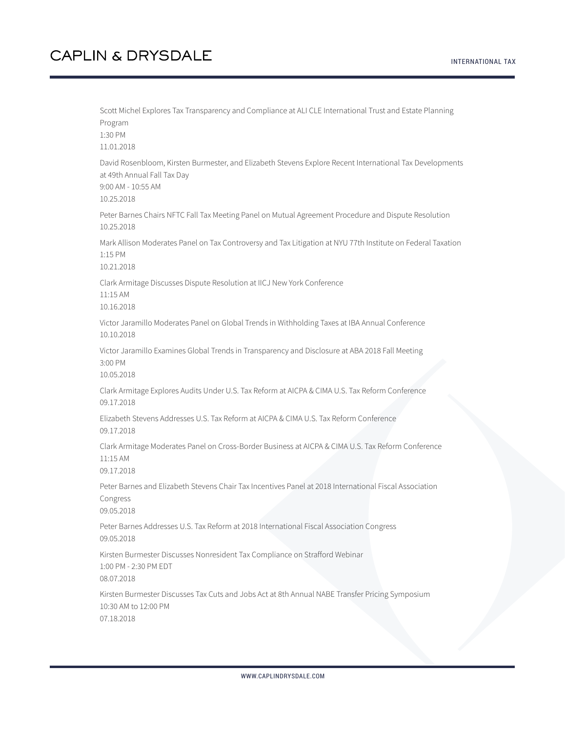#### INTERNATIONAL TAX

#### **CAPLIN & DRYSDALE**

Scott Michel Explores Tax Transparency and Compliance at ALI CLE International Trust and Estate Planning Program 1:30 PM 11.01.2018 David Rosenbloom, Kirsten Burmester, and Elizabeth Stevens Explore Recent International Tax Developments at 49th Annual Fall Tax Day 9:00 AM - 10:55 AM 10.25.2018 Peter Barnes Chairs NFTC Fall Tax Meeting Panel on Mutual Agreement Procedure and Dispute Resolution 10.25.2018 Mark Allison Moderates Panel on Tax Controversy and Tax Litigation at NYU 77th Institute on Federal Taxation 1:15 PM 10.21.2018 Clark Armitage Discusses Dispute Resolution at IICJ New York Conference 11:15 AM 10.16.2018 Victor Jaramillo Moderates Panel on Global Trends in Withholding Taxes at IBA Annual Conference 10.10.2018 Victor Jaramillo Examines Global Trends in Transparency and Disclosure at ABA 2018 Fall Meeting 3:00 PM 10.05.2018 Clark Armitage Explores Audits Under U.S. Tax Reform at AICPA & CIMA U.S. Tax Reform Conference 09.17.2018 Elizabeth Stevens Addresses U.S. Tax Reform at AICPA & CIMA U.S. Tax Reform Conference 09.17.2018 Clark Armitage Moderates Panel on Cross-Border Business at AICPA & CIMA U.S. Tax Reform Conference 11:15 AM 09.17.2018 Peter Barnes and Elizabeth Stevens Chair Tax Incentives Panel at 2018 International Fiscal Association Congress 09.05.2018 Peter Barnes Addresses U.S. Tax Reform at 2018 International Fiscal Association Congress 09.05.2018 Kirsten Burmester Discusses Nonresident Tax Compliance on Strafford Webinar 1:00 PM - 2:30 PM EDT 08.07.2018 Kirsten Burmester Discusses Tax Cuts and Jobs Act at 8th Annual NABE Transfer Pricing Symposium 10:30 AM to 12:00 PM 07.18.2018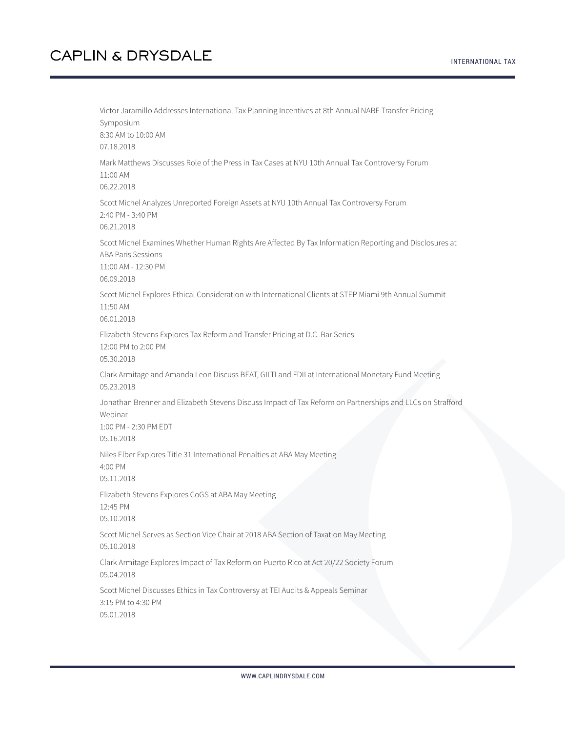INTERNATIONAL TAX

Victor Jaramillo Addresses International Tax Planning Incentives at 8th Annual NABE Transfer Pricing Symposium 8:30 AM to 10:00 AM 07.18.2018 Mark Matthews Discusses Role of the Press in Tax Cases at NYU 10th Annual Tax Controversy Forum 11:00 AM 06.22.2018 Scott Michel Analyzes Unreported Foreign Assets at NYU 10th Annual Tax Controversy Forum 2:40 PM - 3:40 PM 06.21.2018 Scott Michel Examines Whether Human Rights Are Affected By Tax Information Reporting and Disclosures at ABA Paris Sessions 11:00 AM - 12:30 PM 06.09.2018 Scott Michel Explores Ethical Consideration with International Clients at STEP Miami 9th Annual Summit 11:50 AM 06.01.2018 Elizabeth Stevens Explores Tax Reform and Transfer Pricing at D.C. Bar Series 12:00 PM to 2:00 PM 05.30.2018 Clark Armitage and Amanda Leon Discuss BEAT, GILTI and FDII at International Monetary Fund Meeting 05.23.2018 Jonathan Brenner and Elizabeth Stevens Discuss Impact of Tax Reform on Partnerships and LLCs on Strafford Webinar 1:00 PM - 2:30 PM EDT 05.16.2018 Niles Elber Explores Title 31 International Penalties at ABA May Meeting 4:00 PM 05.11.2018 Elizabeth Stevens Explores CoGS at ABA May Meeting 12:45 PM 05.10.2018 Scott Michel Serves as Section Vice Chair at 2018 ABA Section of Taxation May Meeting 05.10.2018 Clark Armitage Explores Impact of Tax Reform on Puerto Rico at Act 20/22 Society Forum 05.04.2018 Scott Michel Discusses Ethics in Tax Controversy at TEI Audits & Appeals Seminar 3:15 PM to 4:30 PM 05.01.2018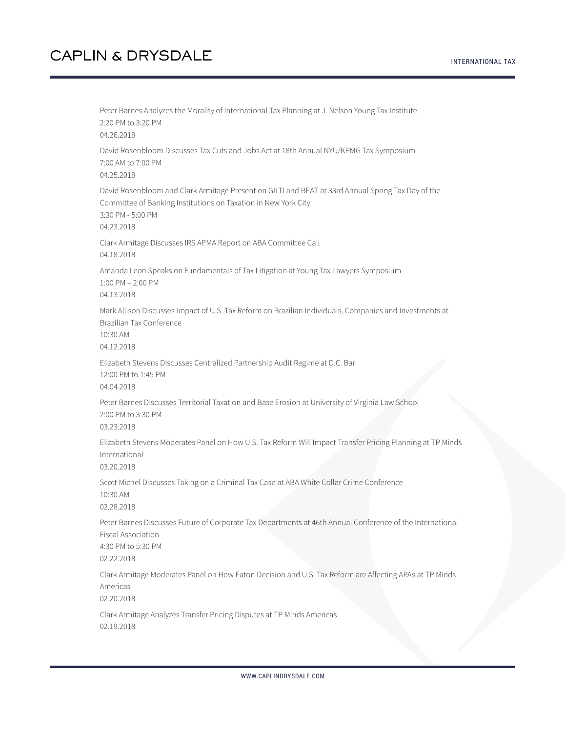Peter Barnes Analyzes the Morality of International Tax Planning at J. Nelson Young Tax Institute 2:20 PM to 3:20 PM 04.26.2018 David Rosenbloom Discusses Tax Cuts and Jobs Act at 18th Annual NYU/KPMG Tax Symposium 7:00 AM to 7:00 PM 04.25.2018 David Rosenbloom and Clark Armitage Present on GILTI and BEAT at 33rd Annual Spring Tax Day of the Committee of Banking Institutions on Taxation in New York City 3:30 PM - 5:00 PM 04.23.2018 Clark Armitage Discusses IRS APMA Report on ABA Committee Call 04.18.2018 Amanda Leon Speaks on Fundamentals of Tax Litigation at Young Tax Lawyers Symposium 1:00 PM – 2:00 PM 04.13.2018 Mark Allison Discusses Impact of U.S. Tax Reform on Brazilian Individuals, Companies and Investments at Brazilian Tax Conference 10:30 AM 04.12.2018 Elizabeth Stevens Discusses Centralized Partnership Audit Regime at D.C. Bar 12:00 PM to 1:45 PM 04.04.2018 Peter Barnes Discusses Territorial Taxation and Base Erosion at University of Virginia Law School 2:00 PM to 3:30 PM 03.23.2018 Elizabeth Stevens Moderates Panel on How U.S. Tax Reform Will Impact Transfer Pricing Planning at TP Minds International 03.20.2018 Scott Michel Discusses Taking on a Criminal Tax Case at ABA White Collar Crime Conference 10:30 AM 02.28.2018 Peter Barnes Discusses Future of Corporate Tax Departments at 46th Annual Conference of the International Fiscal Association 4:30 PM to 5:30 PM 02.22.2018 Clark Armitage Moderates Panel on How Eaton Decision and U.S. Tax Reform are Affecting APAs at TP Minds Americas 02.20.2018 Clark Armitage Analyzes Transfer Pricing Disputes at TP Minds Americas 02.19.2018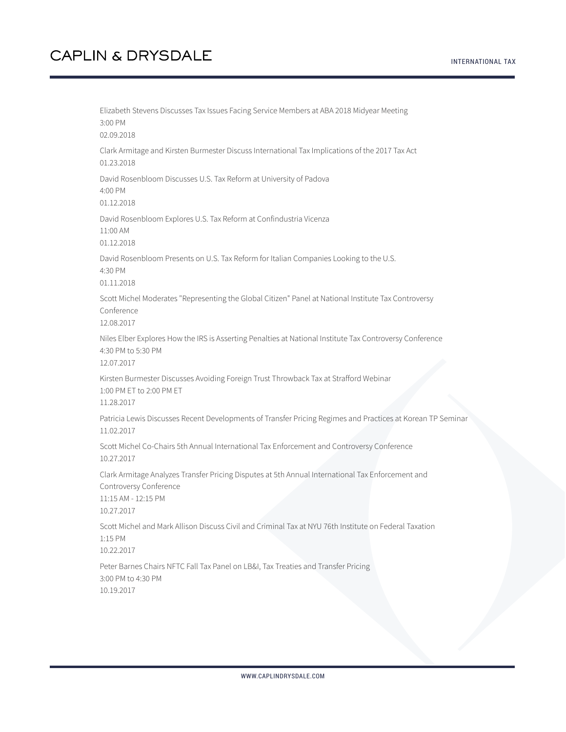Elizabeth Stevens Discusses Tax Issues Facing Service Members at ABA 2018 Midyear Meeting 3:00 PM 02.09.2018 Clark Armitage and Kirsten Burmester Discuss International Tax Implications of the 2017 Tax Act 01.23.2018 David Rosenbloom Discusses U.S. Tax Reform at University of Padova 4:00 PM 01.12.2018 David Rosenbloom Explores U.S. Tax Reform at Confindustria Vicenza 11:00 AM 01.12.2018 David Rosenbloom Presents on U.S. Tax Reform for Italian Companies Looking to the U.S. 4:30 PM 01.11.2018 Scott Michel Moderates "Representing the Global Citizen" Panel at National Institute Tax Controversy Conference 12.08.2017 Niles Elber Explores How the IRS is Asserting Penalties at National Institute Tax Controversy Conference 4:30 PM to 5:30 PM 12.07.2017 Kirsten Burmester Discusses Avoiding Foreign Trust Throwback Tax at Strafford Webinar 1:00 PM ET to 2:00 PM ET 11.28.2017 Patricia Lewis Discusses Recent Developments of Transfer Pricing Regimes and Practices at Korean TP Seminar 11.02.2017 Scott Michel Co-Chairs 5th Annual International Tax Enforcement and Controversy Conference 10.27.2017 Clark Armitage Analyzes Transfer Pricing Disputes at 5th Annual International Tax Enforcement and Controversy Conference 11:15 AM - 12:15 PM 10.27.2017 Scott Michel and Mark Allison Discuss Civil and Criminal Tax at NYU 76th Institute on Federal Taxation 1:15 PM 10.22.2017 Peter Barnes Chairs NFTC Fall Tax Panel on LB&I, Tax Treaties and Transfer Pricing 3:00 PM to 4:30 PM 10.19.2017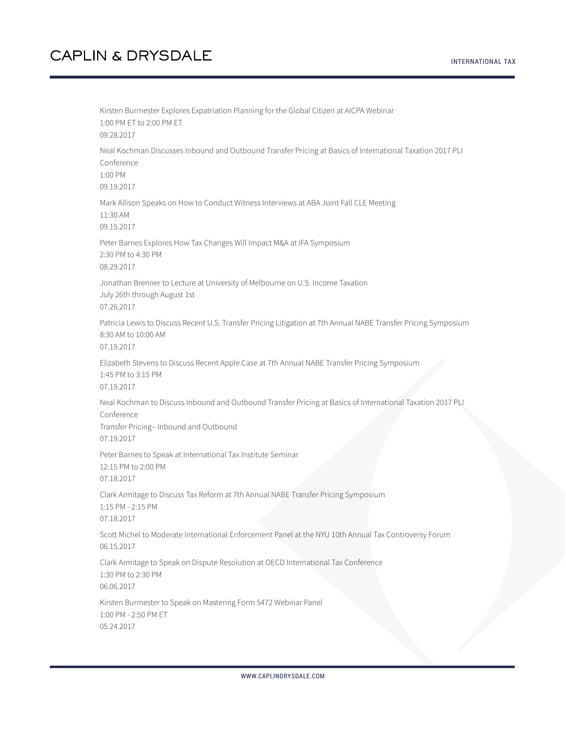Kirsten Burmester Explores Expatriation Planning for the Global Citizen at AICPA Webinar 1:00 PM ET to 2:00 PM ET 09.28.2017 Neal Kochman Discusses Inbound and Outbound Transfer Pricing at Basics of International Taxation 2017 PLI Conference 1:00 PM 09.19.2017 Mark Allison Speaks on How to Conduct Witness Interviews at ABA Joint Fall CLE Meeting 11:30 AM 09.15.2017 Peter Barnes Explores How Tax Changes Will Impact M&A at IFA Symposium 2:30 PM to 4:30 PM 08.29.2017 Jonathan Brenner to Lecture at University of Melbourne on U.S. Income Taxation July 26th through August 1st 07.26.2017 Patricia Lewis to Discuss Recent U.S. Transfer Pricing Litigation at 7th Annual NABE Transfer Pricing Symposium 8:30 AM to 10:00 AM 07.19.2017 Elizabeth Stevens to Discuss Recent Apple Case at 7th Annual NABE Transfer Pricing Symposium 1:45 PM to 3:15 PM 07.19.2017 Neal Kochman to Discuss Inbound and Outbound Transfer Pricing at Basics of International Taxation 2017 PLI Conference Transfer Pricing– Inbound and Outbound 07.19.2017 Peter Barnes to Speak at International Tax Institute Seminar 12:15 PM to 2:00 PM 07.18.2017 Clark Armitage to Discuss Tax Reform at 7th Annual NABE Transfer Pricing Symposium 1:15 PM - 2:15 PM 07.18.2017 Scott Michel to Moderate International Enforcement Panel at the NYU 10th Annual Tax Controversy Forum 06.15.2017 Clark Armitage to Speak on Dispute Resolution at OECD International Tax Conference 1:30 PM to 2:30 PM 06.06.2017 Kirsten Burmester to Speak on Mastering Form 5472 Webinar Panel 1:00 PM - 2:50 PM ET 05.24.2017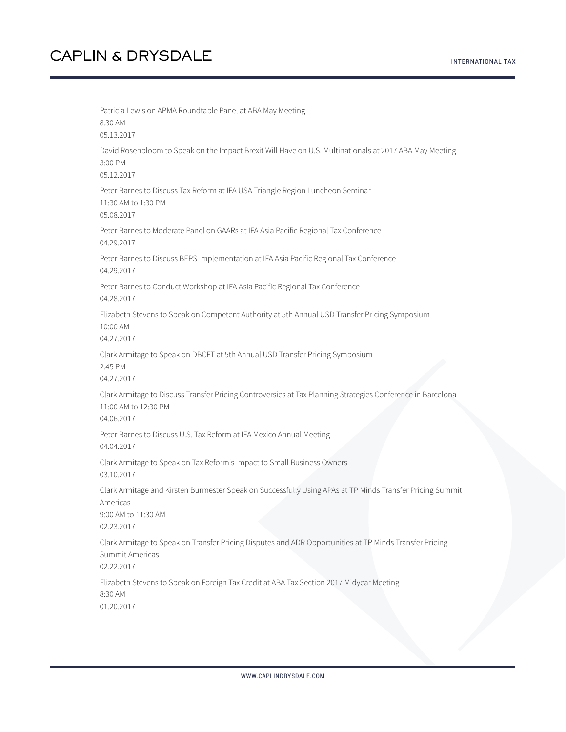Patricia Lewis on APMA Roundtable Panel at ABA May Meeting 8:30 AM 05.13.2017 David Rosenbloom to Speak on the Impact Brexit Will Have on U.S. Multinationals at 2017 ABA May Meeting 3:00 PM 05.12.2017 Peter Barnes to Discuss Tax Reform at IFA USA Triangle Region Luncheon Seminar 11:30 AM to 1:30 PM 05.08.2017 Peter Barnes to Moderate Panel on GAARs at IFA Asia Pacific Regional Tax Conference 04.29.2017 Peter Barnes to Discuss BEPS Implementation at IFA Asia Pacific Regional Tax Conference 04.29.2017 Peter Barnes to Conduct Workshop at IFA Asia Pacific Regional Tax Conference 04.28.2017 Elizabeth Stevens to Speak on Competent Authority at 5th Annual USD Transfer Pricing Symposium 10:00 AM 04.27.2017 Clark Armitage to Speak on DBCFT at 5th Annual USD Transfer Pricing Symposium 2:45 PM 04.27.2017 Clark Armitage to Discuss Transfer Pricing Controversies at Tax Planning Strategies Conference in Barcelona 11:00 AM to 12:30 PM 04.06.2017 Peter Barnes to Discuss U.S. Tax Reform at IFA Mexico Annual Meeting 04.04.2017 Clark Armitage to Speak on Tax Reform's Impact to Small Business Owners 03.10.2017 Clark Armitage and Kirsten Burmester Speak on Successfully Using APAs at TP Minds Transfer Pricing Summit Americas 9:00 AM to 11:30 AM 02.23.2017 Clark Armitage to Speak on Transfer Pricing Disputes and ADR Opportunities at TP Minds Transfer Pricing Summit Americas 02.22.2017 Elizabeth Stevens to Speak on Foreign Tax Credit at ABA Tax Section 2017 Midyear Meeting 8:30 AM 01.20.2017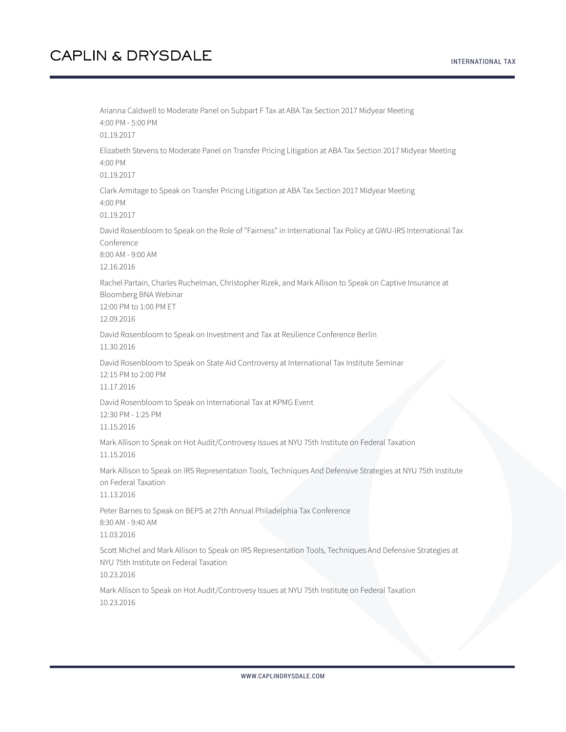Arianna Caldwell to Moderate Panel on Subpart F Tax at ABA Tax Section 2017 Midyear Meeting 4:00 PM - 5:00 PM 01.19.2017 Elizabeth Stevens to Moderate Panel on Transfer Pricing Litigation at ABA Tax Section 2017 Midyear Meeting 4:00 PM 01.19.2017 Clark Armitage to Speak on Transfer Pricing Litigation at ABA Tax Section 2017 Midyear Meeting 4:00 PM 01.19.2017 David Rosenbloom to Speak on the Role of "Fairness" in International Tax Policy at GWU-IRS International Tax Conference 8:00 AM - 9:00 AM 12.16.2016 Rachel Partain, Charles Ruchelman, Christopher Rizek, and Mark Allison to Speak on Captive Insurance at Bloomberg BNA Webinar 12:00 PM to 1:00 PM ET 12.09.2016 David Rosenbloom to Speak on Investment and Tax at Resilience Conference Berlin 11.30.2016 David Rosenbloom to Speak on State Aid Controversy at International Tax Institute Seminar 12:15 PM to 2:00 PM 11.17.2016 David Rosenbloom to Speak on International Tax at KPMG Event 12:30 PM - 1:25 PM 11.15.2016 Mark Allison to Speak on Hot Audit/Controvesy Issues at NYU 75th Institute on Federal Taxation 11.15.2016 Mark Allison to Speak on IRS Representation Tools, Techniques And Defensive Strategies at NYU 75th Institute on Federal Taxation 11.13.2016 Peter Barnes to Speak on BEPS at 27th Annual Philadelphia Tax Conference 8:30 AM - 9:40 AM 11.03.2016 Scott Michel and Mark Allison to Speak on IRS Representation Tools, Techniques And Defensive Strategies at NYU 75th Institute on Federal Taxation 10.23.2016 Mark Allison to Speak on Hot Audit/Controvesy Issues at NYU 75th Institute on Federal Taxation 10.23.2016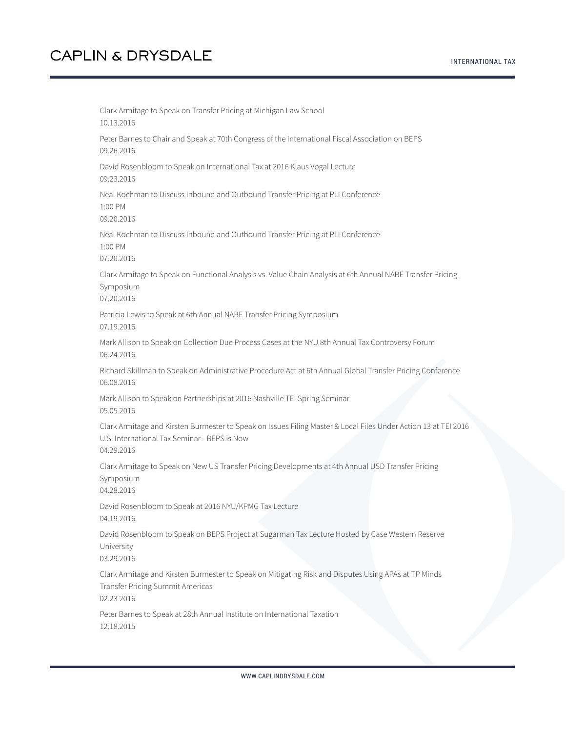Clark Armitage to Speak on Transfer Pricing at Michigan Law School 10.13.2016 Peter Barnes to Chair and Speak at 70th Congress of the International Fiscal Association on BEPS 09.26.2016 David Rosenbloom to Speak on International Tax at 2016 Klaus Vogal Lecture 09.23.2016 Neal Kochman to Discuss Inbound and Outbound Transfer Pricing at PLI Conference 1:00 PM 09.20.2016 Neal Kochman to Discuss Inbound and Outbound Transfer Pricing at PLI Conference 1:00 PM 07.20.2016 Clark Armitage to Speak on Functional Analysis vs. Value Chain Analysis at 6th Annual NABE Transfer Pricing Symposium 07.20.2016 Patricia Lewis to Speak at 6th Annual NABE Transfer Pricing Symposium 07.19.2016 Mark Allison to Speak on Collection Due Process Cases at the NYU 8th Annual Tax Controversy Forum 06.24.2016 Richard Skillman to Speak on Administrative Procedure Act at 6th Annual Global Transfer Pricing Conference 06.08.2016 Mark Allison to Speak on Partnerships at 2016 Nashville TEI Spring Seminar 05.05.2016 Clark Armitage and Kirsten Burmester to Speak on Issues Filing Master & Local Files Under Action 13 at TEI 2016 U.S. International Tax Seminar - BEPS is Now 04.29.2016 Clark Armitage to Speak on New US Transfer Pricing Developments at 4th Annual USD Transfer Pricing Symposium 04.28.2016 David Rosenbloom to Speak at 2016 NYU/KPMG Tax Lecture 04.19.2016 David Rosenbloom to Speak on BEPS Project at Sugarman Tax Lecture Hosted by Case Western Reserve University 03.29.2016 Clark Armitage and Kirsten Burmester to Speak on Mitigating Risk and Disputes Using APAs at TP Minds Transfer Pricing Summit Americas 02.23.2016 Peter Barnes to Speak at 28th Annual Institute on International Taxation

12.18.2015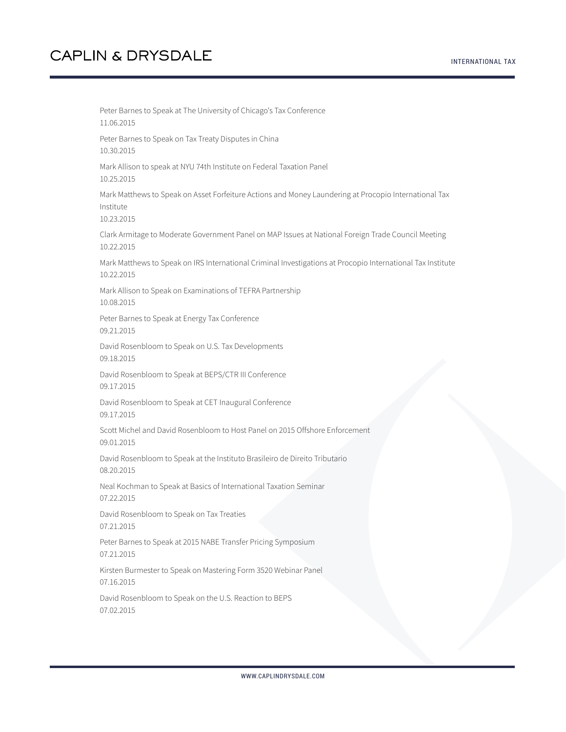INTERNATIONAL TAX

Peter Barnes to Speak at The University of Chicago's Tax Conference 11.06.2015 Peter Barnes to Speak on Tax Treaty Disputes in China 10.30.2015 Mark Allison to speak at NYU 74th Institute on Federal Taxation Panel 10.25.2015 Mark Matthews to Speak on Asset Forfeiture Actions and Money Laundering at Procopio International Tax Institute 10.23.2015 Clark Armitage to Moderate Government Panel on MAP Issues at National Foreign Trade Council Meeting 10.22.2015 Mark Matthews to Speak on IRS International Criminal Investigations at Procopio International Tax Institute 10.22.2015 Mark Allison to Speak on Examinations of TEFRA Partnership 10.08.2015 Peter Barnes to Speak at Energy Tax Conference 09.21.2015 David Rosenbloom to Speak on U.S. Tax Developments 09.18.2015 David Rosenbloom to Speak at BEPS/CTR III Conference 09.17.2015 David Rosenbloom to Speak at CET Inaugural Conference 09.17.2015 Scott Michel and David Rosenbloom to Host Panel on 2015 Offshore Enforcement 09.01.2015 David Rosenbloom to Speak at the Instituto Brasileiro de Direito Tributario 08.20.2015 Neal Kochman to Speak at Basics of International Taxation Seminar 07.22.2015 David Rosenbloom to Speak on Tax Treaties 07.21.2015 Peter Barnes to Speak at 2015 NABE Transfer Pricing Symposium 07.21.2015 Kirsten Burmester to Speak on Mastering Form 3520 Webinar Panel 07.16.2015 David Rosenbloom to Speak on the U.S. Reaction to BEPS 07.02.2015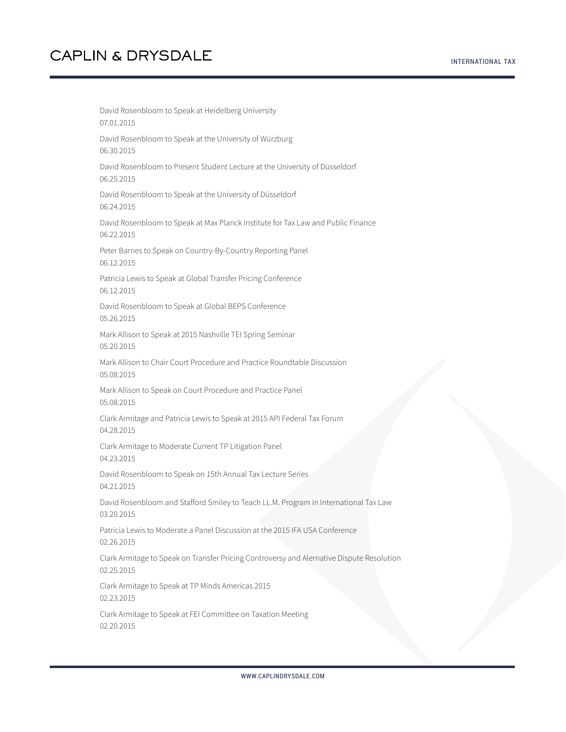INTERNATIONAL TAX

David Rosenbloom to Speak at Heidelberg University 07.01.2015 David Rosenbloom to Speak at the University of Würzburg 06.30.2015 David Rosenbloom to Present Student Lecture at the University of Düsseldorf 06.25.2015 David Rosenbloom to Speak at the University of Düsseldorf 06.24.2015 David Rosenbloom to Speak at Max Planck Institute for Tax Law and Public Finance 06.22.2015 Peter Barnes to Speak on Country-By-Country Reporting Panel 06.12.2015 Patricia Lewis to Speak at Global Transfer Pricing Conference 06.12.2015 David Rosenbloom to Speak at Global BEPS Conference 05.26.2015 Mark Allison to Speak at 2015 Nashville TEI Spring Seminar 05.20.2015 Mark Allison to Chair Court Procedure and Practice Roundtable Discussion 05.08.2015 Mark Allison to Speak on Court Procedure and Practice Panel 05.08.2015 Clark Armitage and Patricia Lewis to Speak at 2015 API Federal Tax Forum 04.28.2015 Clark Armitage to Moderate Current TP Litigation Panel 04.23.2015 David Rosenbloom to Speak on 15th Annual Tax Lecture Series 04.21.2015 David Rosenbloom and Stafford Smiley to Teach LL.M. Program in International Tax Law 03.20.2015 Patricia Lewis to Moderate a Panel Discussion at the 2015 IFA USA Conference 02.26.2015 Clark Armitage to Speak on Transfer Pricing Controversy and Alernative Dispute Resolution 02.25.2015 Clark Armitage to Speak at TP Minds Americas 2015 02.23.2015 Clark Armitage to Speak at FEI Committee on Taxation Meeting 02.20.2015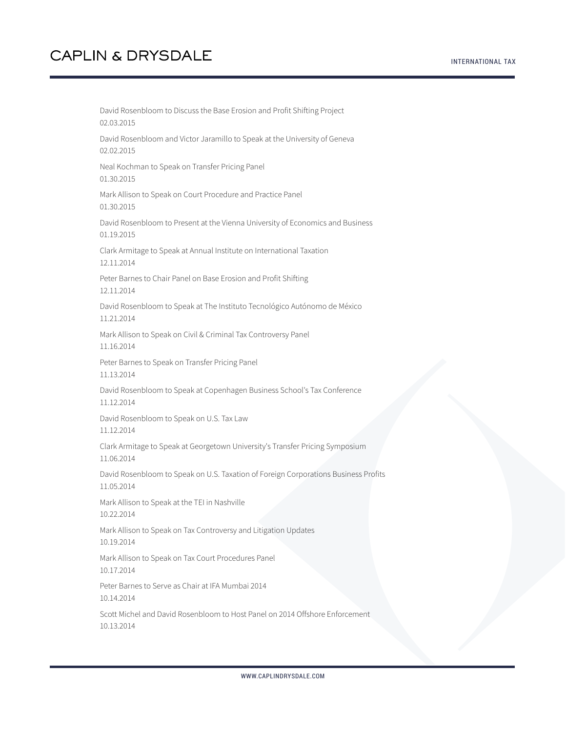David Rosenbloom to Discuss the Base Erosion and Profit Shifting Project 02.03.2015 David Rosenbloom and Victor Jaramillo to Speak at the University of Geneva 02.02.2015 Neal Kochman to Speak on Transfer Pricing Panel 01.30.2015 Mark Allison to Speak on Court Procedure and Practice Panel 01.30.2015 David Rosenbloom to Present at the Vienna University of Economics and Business 01.19.2015 Clark Armitage to Speak at Annual Institute on International Taxation 12.11.2014 Peter Barnes to Chair Panel on Base Erosion and Profit Shifting 12.11.2014 David Rosenbloom to Speak at The Instituto Tecnológico Autónomo de México 11.21.2014 Mark Allison to Speak on Civil & Criminal Tax Controversy Panel 11.16.2014 Peter Barnes to Speak on Transfer Pricing Panel 11.13.2014 David Rosenbloom to Speak at Copenhagen Business School's Tax Conference 11.12.2014 David Rosenbloom to Speak on U.S. Tax Law 11.12.2014 Clark Armitage to Speak at Georgetown University's Transfer Pricing Symposium 11.06.2014 David Rosenbloom to Speak on U.S. Taxation of Foreign Corporations Business Profits 11.05.2014 Mark Allison to Speak at the TEI in Nashville 10.22.2014 Mark Allison to Speak on Tax Controversy and Litigation Updates 10.19.2014 Mark Allison to Speak on Tax Court Procedures Panel 10.17.2014 Peter Barnes to Serve as Chair at IFA Mumbai 2014 10.14.2014 Scott Michel and David Rosenbloom to Host Panel on 2014 Offshore Enforcement 10.13.2014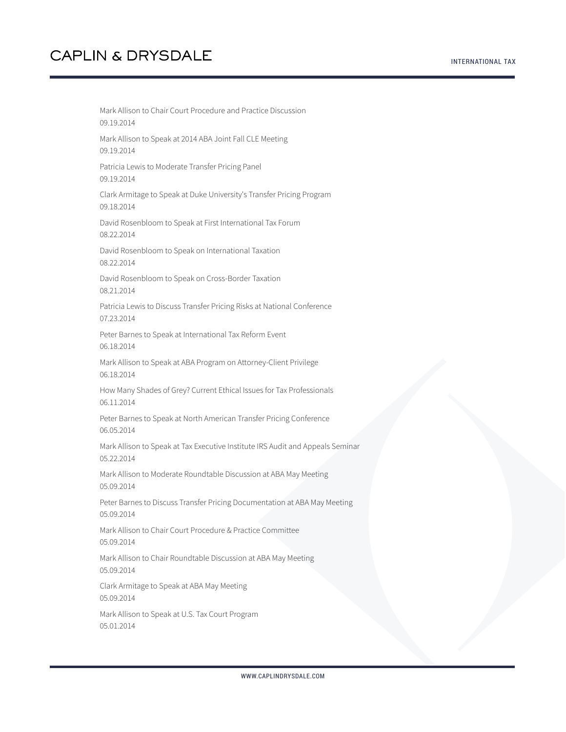Mark Allison to Chair Court Procedure and Practice Discussion 09.19.2014 Mark Allison to Speak at 2014 ABA Joint Fall CLE Meeting 09.19.2014 Patricia Lewis to Moderate Transfer Pricing Panel 09.19.2014 Clark Armitage to Speak at Duke University's Transfer Pricing Program 09.18.2014 David Rosenbloom to Speak at First International Tax Forum 08.22.2014 David Rosenbloom to Speak on International Taxation 08.22.2014 David Rosenbloom to Speak on Cross-Border Taxation 08.21.2014 Patricia Lewis to Discuss Transfer Pricing Risks at National Conference 07.23.2014 Peter Barnes to Speak at International Tax Reform Event 06.18.2014 Mark Allison to Speak at ABA Program on Attorney-Client Privilege 06.18.2014 How Many Shades of Grey? Current Ethical Issues for Tax Professionals 06.11.2014 Peter Barnes to Speak at North American Transfer Pricing Conference 06.05.2014 Mark Allison to Speak at Tax Executive Institute IRS Audit and Appeals Seminar 05.22.2014 Mark Allison to Moderate Roundtable Discussion at ABA May Meeting 05.09.2014 Peter Barnes to Discuss Transfer Pricing Documentation at ABA May Meeting 05.09.2014 Mark Allison to Chair Court Procedure & Practice Committee 05.09.2014 Mark Allison to Chair Roundtable Discussion at ABA May Meeting 05.09.2014 Clark Armitage to Speak at ABA May Meeting 05.09.2014 Mark Allison to Speak at U.S. Tax Court Program

05.01.2014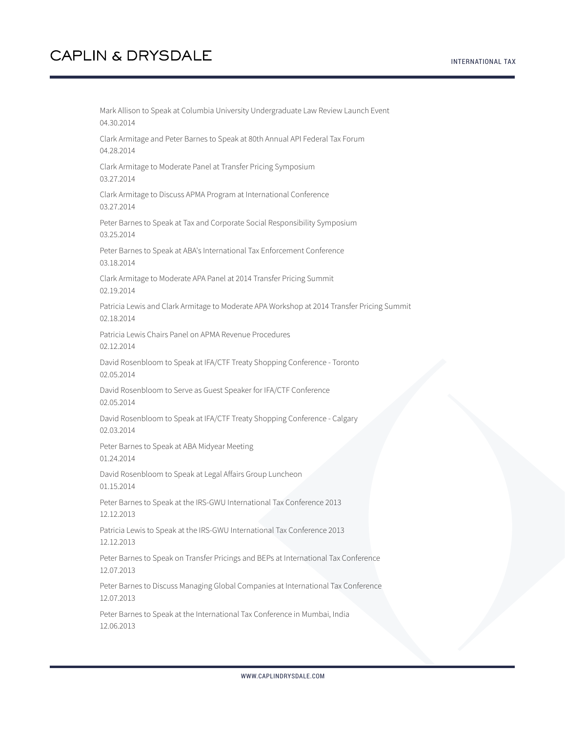Mark Allison to Speak at Columbia University Undergraduate Law Review Launch Event 04.30.2014 Clark Armitage and Peter Barnes to Speak at 80th Annual API Federal Tax Forum 04.28.2014 Clark Armitage to Moderate Panel at Transfer Pricing Symposium 03.27.2014 Clark Armitage to Discuss APMA Program at International Conference 03.27.2014 Peter Barnes to Speak at Tax and Corporate Social Responsibility Symposium 03.25.2014 Peter Barnes to Speak at ABA's International Tax Enforcement Conference 03.18.2014 Clark Armitage to Moderate APA Panel at 2014 Transfer Pricing Summit 02.19.2014 Patricia Lewis and Clark Armitage to Moderate APA Workshop at 2014 Transfer Pricing Summit 02.18.2014 Patricia Lewis Chairs Panel on APMA Revenue Procedures 02.12.2014 David Rosenbloom to Speak at IFA/CTF Treaty Shopping Conference - Toronto 02.05.2014 David Rosenbloom to Serve as Guest Speaker for IFA/CTF Conference 02.05.2014 David Rosenbloom to Speak at IFA/CTF Treaty Shopping Conference - Calgary 02.03.2014 Peter Barnes to Speak at ABA Midyear Meeting 01.24.2014 David Rosenbloom to Speak at Legal Affairs Group Luncheon 01.15.2014 Peter Barnes to Speak at the IRS-GWU International Tax Conference 2013 12.12.2013 Patricia Lewis to Speak at the IRS-GWU International Tax Conference 2013 12.12.2013 Peter Barnes to Speak on Transfer Pricings and BEPs at International Tax Conference 12.07.2013 Peter Barnes to Discuss Managing Global Companies at International Tax Conference 12.07.2013 Peter Barnes to Speak at the International Tax Conference in Mumbai, India

12.06.2013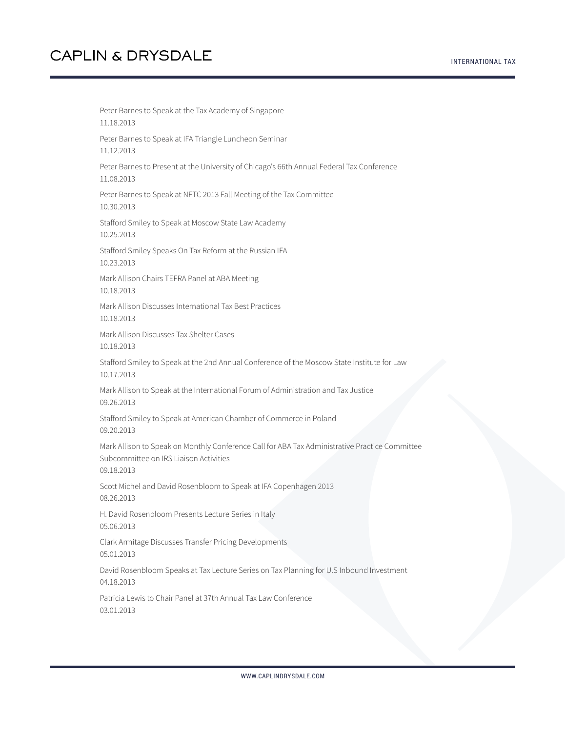INTERNATIONAL TAX

Peter Barnes to Speak at the Tax Academy of Singapore 11.18.2013 Peter Barnes to Speak at IFA Triangle Luncheon Seminar 11.12.2013 Peter Barnes to Present at the University of Chicago's 66th Annual Federal Tax Conference 11.08.2013 Peter Barnes to Speak at NFTC 2013 Fall Meeting of the Tax Committee 10.30.2013 Stafford Smiley to Speak at Moscow State Law Academy 10.25.2013 Stafford Smiley Speaks On Tax Reform at the Russian IFA 10.23.2013 Mark Allison Chairs TEFRA Panel at ABA Meeting 10.18.2013 Mark Allison Discusses International Tax Best Practices 10.18.2013 Mark Allison Discusses Tax Shelter Cases 10.18.2013 Stafford Smiley to Speak at the 2nd Annual Conference of the Moscow State Institute for Law 10.17.2013 Mark Allison to Speak at the International Forum of Administration and Tax Justice 09.26.2013 Stafford Smiley to Speak at American Chamber of Commerce in Poland 09.20.2013 Mark Allison to Speak on Monthly Conference Call for ABA Tax Administrative Practice Committee Subcommittee on IRS Liaison Activities 09.18.2013 Scott Michel and David Rosenbloom to Speak at IFA Copenhagen 2013 08.26.2013 H. David Rosenbloom Presents Lecture Series in Italy 05.06.2013 Clark Armitage Discusses Transfer Pricing Developments 05.01.2013 David Rosenbloom Speaks at Tax Lecture Series on Tax Planning for U.S Inbound Investment 04.18.2013 Patricia Lewis to Chair Panel at 37th Annual Tax Law Conference 03.01.2013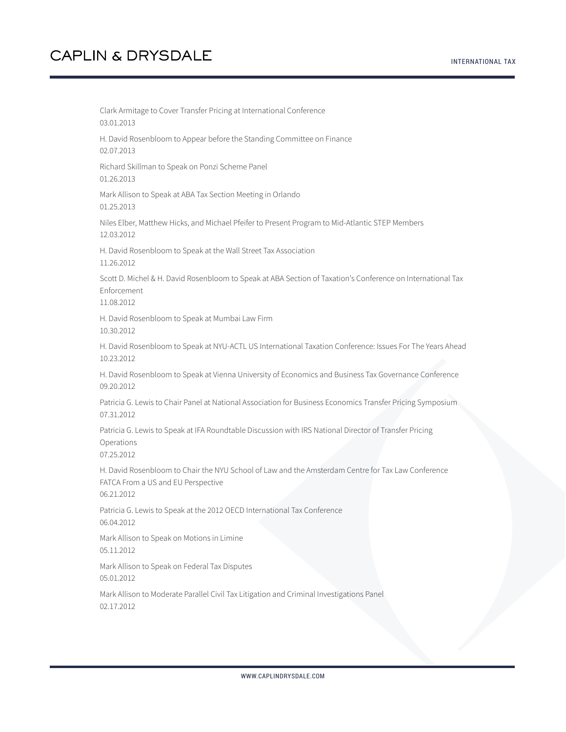INTERNATIONAL TAX

Clark Armitage to Cover Transfer Pricing at International Conference 03.01.2013 H. David Rosenbloom to Appear before the Standing Committee on Finance 02.07.2013 Richard Skillman to Speak on Ponzi Scheme Panel 01.26.2013 Mark Allison to Speak at ABA Tax Section Meeting in Orlando 01.25.2013 Niles Elber, Matthew Hicks, and Michael Pfeifer to Present Program to Mid-Atlantic STEP Members 12.03.2012 H. David Rosenbloom to Speak at the Wall Street Tax Association 11.26.2012 Scott D. Michel & H. David Rosenbloom to Speak at ABA Section of Taxation's Conference on International Tax Enforcement 11.08.2012 H. David Rosenbloom to Speak at Mumbai Law Firm 10.30.2012 H. David Rosenbloom to Speak at NYU-ACTL US International Taxation Conference: Issues For The Years Ahead 10.23.2012 H. David Rosenbloom to Speak at Vienna University of Economics and Business Tax Governance Conference 09.20.2012 Patricia G. Lewis to Chair Panel at National Association for Business Economics Transfer Pricing Symposium 07.31.2012 Patricia G. Lewis to Speak at IFA Roundtable Discussion with IRS National Director of Transfer Pricing Operations 07.25.2012 H. David Rosenbloom to Chair the NYU School of Law and the Amsterdam Centre for Tax Law Conference FATCA From a US and EU Perspective 06.21.2012 Patricia G. Lewis to Speak at the 2012 OECD International Tax Conference 06.04.2012 Mark Allison to Speak on Motions in Limine 05.11.2012 Mark Allison to Speak on Federal Tax Disputes 05.01.2012 Mark Allison to Moderate Parallel Civil Tax Litigation and Criminal Investigations Panel 02.17.2012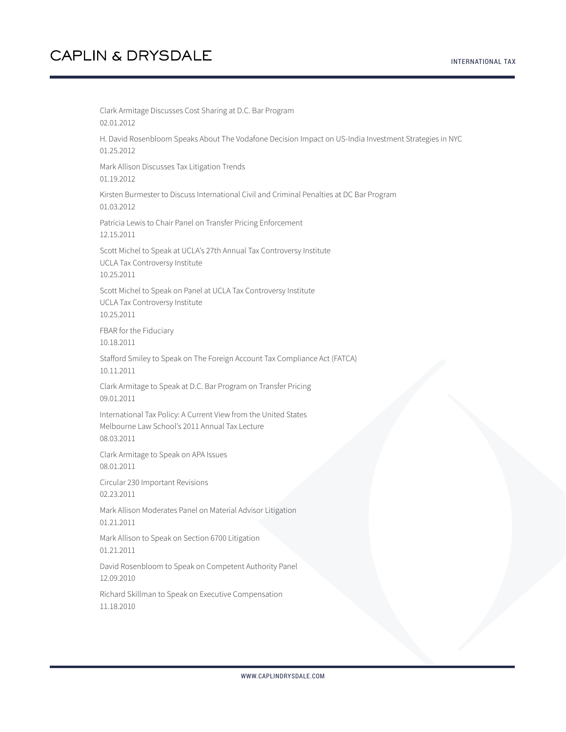Clark Armitage Discusses Cost Sharing at D.C. Bar Program 02.01.2012 H. David Rosenbloom Speaks About The Vodafone Decision Impact on US-India Investment Strategies in NYC 01.25.2012 Mark Allison Discusses Tax Litigation Trends 01.19.2012 Kirsten Burmester to Discuss International Civil and Criminal Penalties at DC Bar Program 01.03.2012 Patricia Lewis to Chair Panel on Transfer Pricing Enforcement 12.15.2011 Scott Michel to Speak at UCLA's 27th Annual Tax Controversy Institute UCLA Tax Controversy Institute 10.25.2011 Scott Michel to Speak on Panel at UCLA Tax Controversy Institute UCLA Tax Controversy Institute 10.25.2011 FBAR for the Fiduciary 10.18.2011 Stafford Smiley to Speak on The Foreign Account Tax Compliance Act (FATCA) 10.11.2011 Clark Armitage to Speak at D.C. Bar Program on Transfer Pricing 09.01.2011 International Tax Policy: A Current View from the United States Melbourne Law School's 2011 Annual Tax Lecture 08.03.2011 Clark Armitage to Speak on APA Issues 08.01.2011 Circular 230 Important Revisions 02.23.2011 Mark Allison Moderates Panel on Material Advisor Litigation 01.21.2011 Mark Allison to Speak on Section 6700 Litigation 01.21.2011 David Rosenbloom to Speak on Competent Authority Panel 12.09.2010 Richard Skillman to Speak on Executive Compensation 11.18.2010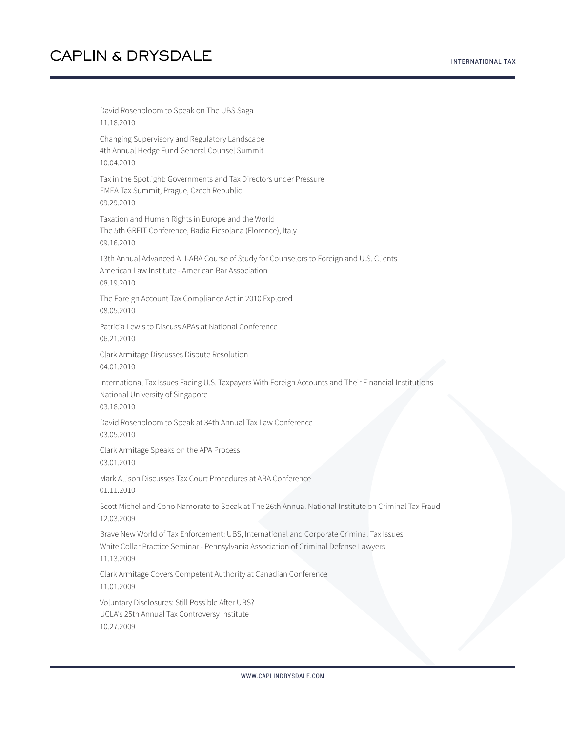#### INTERNATIONAL TAX

# **CAPLIN & DRYSDALE**

David Rosenbloom to Speak on The UBS Saga 11.18.2010 Changing Supervisory and Regulatory Landscape 4th Annual Hedge Fund General Counsel Summit 10.04.2010 Tax in the Spotlight: Governments and Tax Directors under Pressure EMEA Tax Summit, Prague, Czech Republic 09.29.2010 Taxation and Human Rights in Europe and the World The 5th GREIT Conference, Badia Fiesolana (Florence), Italy 09.16.2010 13th Annual Advanced ALI-ABA Course of Study for Counselors to Foreign and U.S. Clients American Law Institute - American Bar Association 08.19.2010 The Foreign Account Tax Compliance Act in 2010 Explored 08.05.2010 Patricia Lewis to Discuss APAs at National Conference 06.21.2010 Clark Armitage Discusses Dispute Resolution 04.01.2010 International Tax Issues Facing U.S. Taxpayers With Foreign Accounts and Their Financial Institutions National University of Singapore 03.18.2010 David Rosenbloom to Speak at 34th Annual Tax Law Conference 03.05.2010 Clark Armitage Speaks on the APA Process 03.01.2010 Mark Allison Discusses Tax Court Procedures at ABA Conference 01.11.2010 Scott Michel and Cono Namorato to Speak at The 26th Annual National Institute on Criminal Tax Fraud 12.03.2009 Brave New World of Tax Enforcement: UBS, International and Corporate Criminal Tax Issues White Collar Practice Seminar - Pennsylvania Association of Criminal Defense Lawyers 11.13.2009 Clark Armitage Covers Competent Authority at Canadian Conference 11.01.2009 Voluntary Disclosures: Still Possible After UBS? UCLA's 25th Annual Tax Controversy Institute

10.27.2009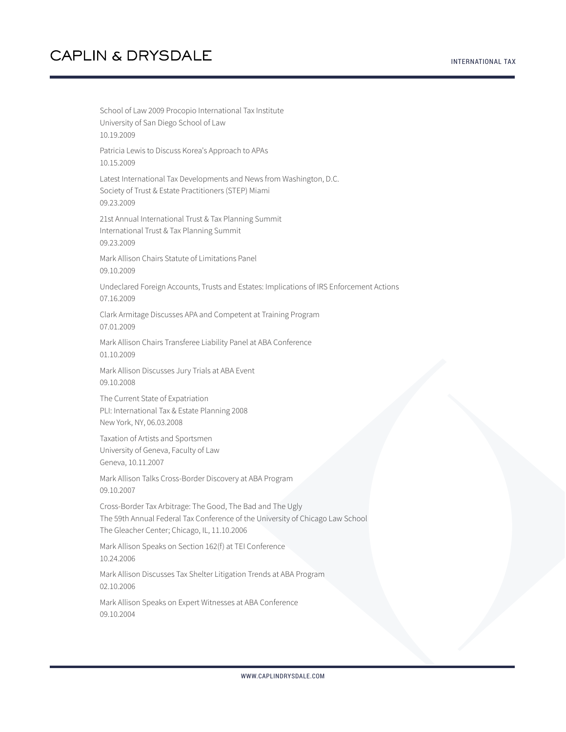INTERNATIONAL TAX

School of Law 2009 Procopio International Tax Institute University of San Diego School of Law 10.19.2009 Patricia Lewis to Discuss Korea's Approach to APAs 10.15.2009 Latest International Tax Developments and News from Washington, D.C. Society of Trust & Estate Practitioners (STEP) Miami 09.23.2009 21st Annual International Trust & Tax Planning Summit International Trust & Tax Planning Summit 09.23.2009 Mark Allison Chairs Statute of Limitations Panel 09.10.2009 Undeclared Foreign Accounts, Trusts and Estates: Implications of IRS Enforcement Actions 07.16.2009 Clark Armitage Discusses APA and Competent at Training Program 07.01.2009 Mark Allison Chairs Transferee Liability Panel at ABA Conference 01.10.2009 Mark Allison Discusses Jury Trials at ABA Event 09.10.2008 The Current State of Expatriation PLI: International Tax & Estate Planning 2008 New York, NY, 06.03.2008 Taxation of Artists and Sportsmen University of Geneva, Faculty of Law Geneva, 10.11.2007 Mark Allison Talks Cross-Border Discovery at ABA Program 09.10.2007 Cross-Border Tax Arbitrage: The Good, The Bad and The Ugly The 59th Annual Federal Tax Conference of the University of Chicago Law School The Gleacher Center; Chicago, IL, 11.10.2006 Mark Allison Speaks on Section 162(f) at TEI Conference 10.24.2006 Mark Allison Discusses Tax Shelter Litigation Trends at ABA Program 02.10.2006 Mark Allison Speaks on Expert Witnesses at ABA Conference 09.10.2004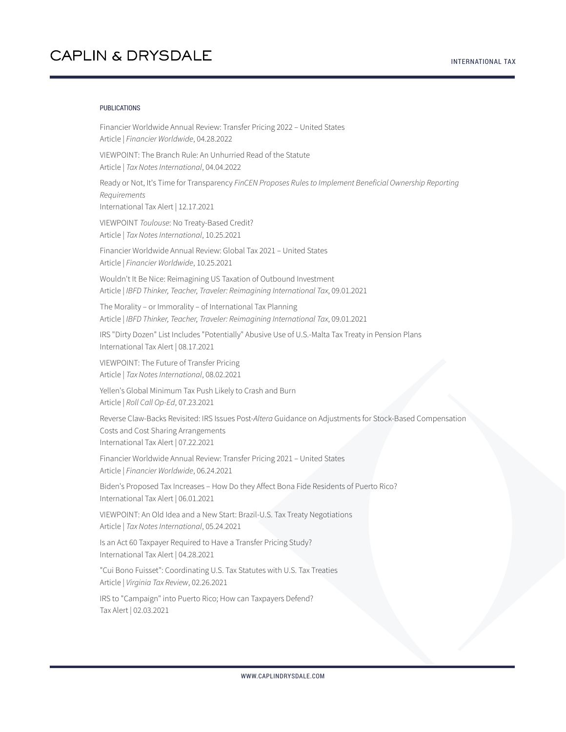#### PUBLICATIONS

Financier Worldwide Annual Review: Transfer Pricing 2022 – United States Article | *Financier Worldwide*, 04.28.2022

VIEWPOINT: The Branch Rule: An Unhurried Read of the Statute Article | *Tax Notes International*, 04.04.2022

Ready or Not, It's Time for Transparency *FinCEN Proposes Rules to Implement Beneficial Ownership Reporting Requirements*

International Tax Alert | 12.17.2021

VIEWPOINT *Toulouse*: No Treaty-Based Credit? Article | *Tax Notes International*, 10.25.2021

Financier Worldwide Annual Review: Global Tax 2021 – United States Article | *Financier Worldwide*, 10.25.2021

Wouldn't It Be Nice: Reimagining US Taxation of Outbound Investment Article | *IBFD Thinker, Teacher, Traveler: Reimagining International Tax*, 09.01.2021

The Morality – or Immorality – of International Tax Planning Article | *IBFD Thinker, Teacher, Traveler: Reimagining International Tax*, 09.01.2021

IRS "Dirty Dozen" List Includes "Potentially" Abusive Use of U.S.-Malta Tax Treaty in Pension Plans International Tax Alert | 08.17.2021

VIEWPOINT: The Future of Transfer Pricing Article | *Tax Notes International*, 08.02.2021

Yellen's Global Minimum Tax Push Likely to Crash and Burn Article | *Roll Call Op-Ed*, 07.23.2021

Reverse Claw-Backs Revisited: IRS Issues Post-*Altera* Guidance on Adjustments for Stock-Based Compensation Costs and Cost Sharing Arrangements International Tax Alert | 07.22.2021

Financier Worldwide Annual Review: Transfer Pricing 2021 – United States Article | *Financier Worldwide*, 06.24.2021

Biden's Proposed Tax Increases – How Do they Affect Bona Fide Residents of Puerto Rico? International Tax Alert | 06.01.2021

VIEWPOINT: An Old Idea and a New Start: Brazil-U.S. Tax Treaty Negotiations Article | *Tax Notes International*, 05.24.2021

Is an Act 60 Taxpayer Required to Have a Transfer Pricing Study? International Tax Alert | 04.28.2021

"Cui Bono Fuisset": Coordinating U.S. Tax Statutes with U.S. Tax Treaties Article | *Virginia Tax Review*, 02.26.2021

IRS to "Campaign" into Puerto Rico; How can Taxpayers Defend? Tax Alert | 02.03.2021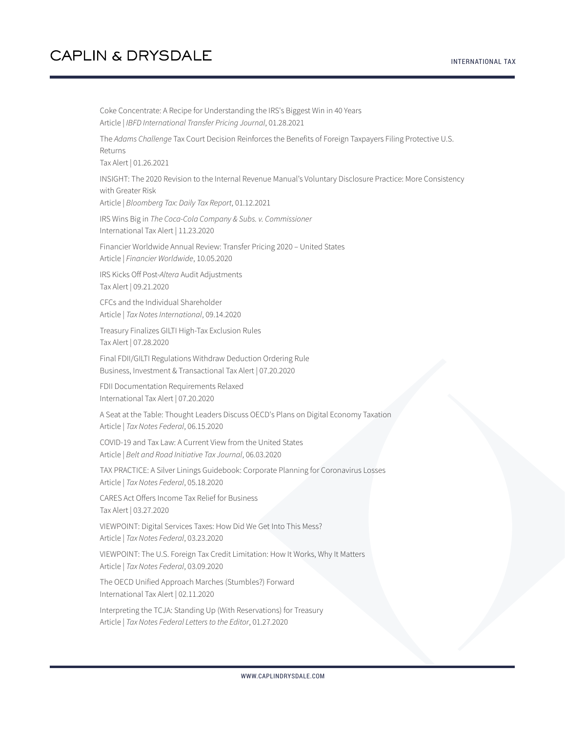Coke Concentrate: A Recipe for Understanding the IRS's Biggest Win in 40 Years Article | *IBFD International Transfer Pricing Journal*, 01.28.2021 The *Adams Challenge* Tax Court Decision Reinforces the Benefits of Foreign Taxpayers Filing Protective U.S. Returns Tax Alert | 01.26.2021 INSIGHT: The 2020 Revision to the Internal Revenue Manual's Voluntary Disclosure Practice: More Consistency with Greater Risk Article | *Bloomberg Tax: Daily Tax Report*, 01.12.2021 IRS Wins Big in *The Coca-Cola Company & Subs. v. Commissioner* International Tax Alert | 11.23.2020 Financier Worldwide Annual Review: Transfer Pricing 2020 – United States Article | *Financier Worldwide*, 10.05.2020 IRS Kicks Off Post-*Altera* Audit Adjustments Tax Alert | 09.21.2020 CFCs and the Individual Shareholder Article | *Tax Notes International*, 09.14.2020 Treasury Finalizes GILTI High-Tax Exclusion Rules Tax Alert | 07.28.2020 Final FDII/GILTI Regulations Withdraw Deduction Ordering Rule Business, Investment & Transactional Tax Alert | 07.20.2020 FDII Documentation Requirements Relaxed International Tax Alert | 07.20.2020 A Seat at the Table: Thought Leaders Discuss OECD's Plans on Digital Economy Taxation Article | *Tax Notes Federal*, 06.15.2020 COVID-19 and Tax Law: A Current View from the United States Article | *Belt and Road Initiative Tax Journal*, 06.03.2020 TAX PRACTICE: A Silver Linings Guidebook: Corporate Planning for Coronavirus Losses Article | *Tax Notes Federal*, 05.18.2020 CARES Act Offers Income Tax Relief for Business Tax Alert | 03.27.2020 VIEWPOINT: Digital Services Taxes: How Did We Get Into This Mess? Article | *Tax Notes Federal*, 03.23.2020 VIEWPOINT: The U.S. Foreign Tax Credit Limitation: How It Works, Why It Matters Article | *Tax Notes Federal*, 03.09.2020 The OECD Unified Approach Marches (Stumbles?) Forward International Tax Alert | 02.11.2020 Interpreting the TCJA: Standing Up (With Reservations) for Treasury Article | *Tax Notes Federal Letters to the Editor*, 01.27.2020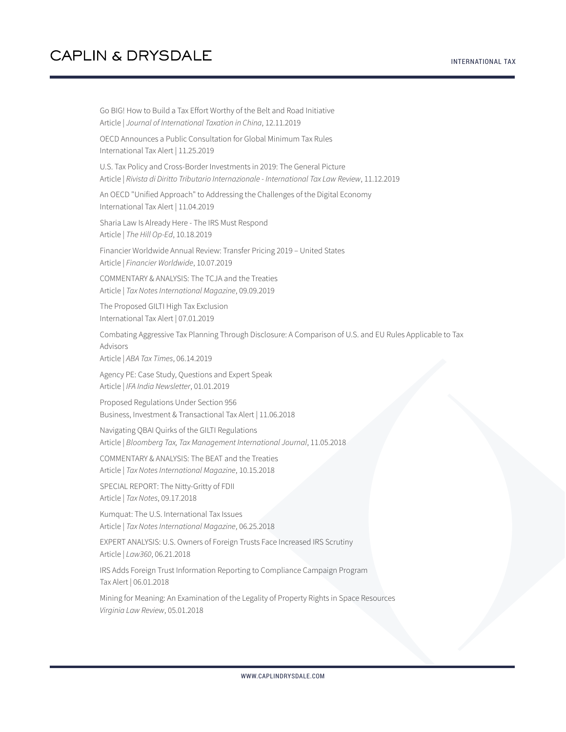Go BIG! How to Build a Tax Effort Worthy of the Belt and Road Initiative Article | *Journal of International Taxation in China*, 12.11.2019 OECD Announces a Public Consultation for Global Minimum Tax Rules International Tax Alert | 11.25.2019 U.S. Tax Policy and Cross-Border Investments in 2019: The General Picture Article | *Rivista di Diritto Tributario Internazionale - International Tax Law Review*, 11.12.2019 An OECD "Unified Approach" to Addressing the Challenges of the Digital Economy International Tax Alert | 11.04.2019 Sharia Law Is Already Here - The IRS Must Respond Article | *The Hill Op-Ed*, 10.18.2019 Financier Worldwide Annual Review: Transfer Pricing 2019 – United States Article | *Financier Worldwide*, 10.07.2019 COMMENTARY & ANALYSIS: The TCJA and the Treaties Article | *Tax Notes International Magazine*, 09.09.2019 The Proposed GILTI High Tax Exclusion International Tax Alert | 07.01.2019 Combating Aggressive Tax Planning Through Disclosure: A Comparison of U.S. and EU Rules Applicable to Tax Advisors Article | *ABA Tax Times*, 06.14.2019 Agency PE: Case Study, Questions and Expert Speak Article | *IFA India Newsletter*, 01.01.2019 Proposed Regulations Under Section 956 Business, Investment & Transactional Tax Alert | 11.06.2018 Navigating QBAI Quirks of the GILTI Regulations Article | *Bloomberg Tax, Tax Management International Journal*, 11.05.2018 COMMENTARY & ANALYSIS: The BEAT and the Treaties Article | *Tax Notes International Magazine*, 10.15.2018 SPECIAL REPORT: The Nitty-Gritty of FDII Article | *Tax Notes*, 09.17.2018 Kumquat: The U.S. International Tax Issues Article | *Tax Notes International Magazine*, 06.25.2018 EXPERT ANALYSIS: U.S. Owners of Foreign Trusts Face Increased IRS Scrutiny Article | *Law360*, 06.21.2018

IRS Adds Foreign Trust Information Reporting to Compliance Campaign Program Tax Alert | 06.01.2018

Mining for Meaning: An Examination of the Legality of Property Rights in Space Resources *Virginia Law Review*, 05.01.2018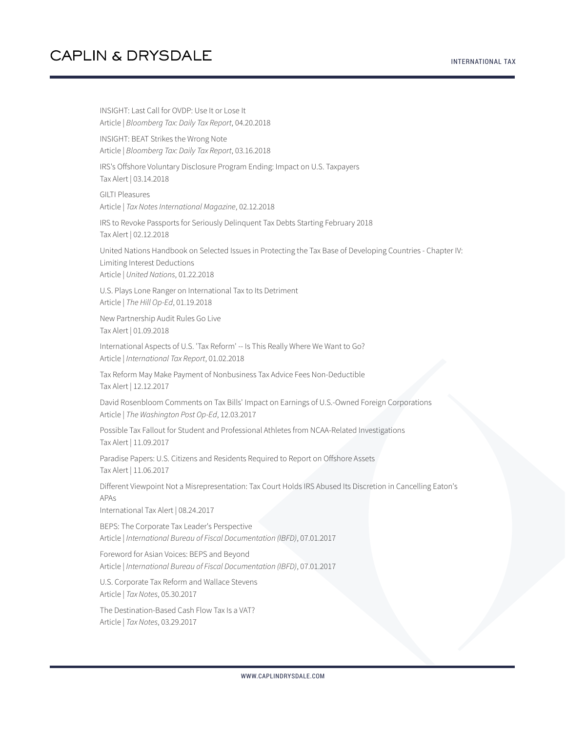INTERNATIONAL TAX

INSIGHT: Last Call for OVDP: Use It or Lose It Article | *Bloomberg Tax: Daily Tax Report*, 04.20.2018 INSIGHT: BEAT Strikes the Wrong Note Article | *Bloomberg Tax: Daily Tax Report*, 03.16.2018 IRS's Offshore Voluntary Disclosure Program Ending: Impact on U.S. Taxpayers Tax Alert | 03.14.2018 GILTI Pleasures Article | *Tax Notes International Magazine*, 02.12.2018 IRS to Revoke Passports for Seriously Delinquent Tax Debts Starting February 2018 Tax Alert | 02.12.2018 United Nations Handbook on Selected Issues in Protecting the Tax Base of Developing Countries - Chapter IV: Limiting Interest Deductions Article | *United Nations*, 01.22.2018 U.S. Plays Lone Ranger on International Tax to Its Detriment Article | *The Hill Op-Ed*, 01.19.2018 New Partnership Audit Rules Go Live Tax Alert | 01.09.2018 International Aspects of U.S. 'Tax Reform' -- Is This Really Where We Want to Go? Article | *International Tax Report*, 01.02.2018 Tax Reform May Make Payment of Nonbusiness Tax Advice Fees Non-Deductible Tax Alert | 12.12.2017 David Rosenbloom Comments on Tax Bills' Impact on Earnings of U.S.-Owned Foreign Corporations Article | *The Washington Post Op-Ed*, 12.03.2017 Possible Tax Fallout for Student and Professional Athletes from NCAA-Related Investigations Tax Alert | 11.09.2017 Paradise Papers: U.S. Citizens and Residents Required to Report on Offshore Assets Tax Alert | 11.06.2017 Different Viewpoint Not a Misrepresentation: Tax Court Holds IRS Abused Its Discretion in Cancelling Eaton's APAs International Tax Alert | 08.24.2017 BEPS: The Corporate Tax Leader's Perspective Article | *International Bureau of Fiscal Documentation (IBFD)*, 07.01.2017 Foreword for Asian Voices: BEPS and Beyond Article | *International Bureau of Fiscal Documentation (IBFD)*, 07.01.2017 U.S. Corporate Tax Reform and Wallace Stevens Article | *Tax Notes*, 05.30.2017 The Destination-Based Cash Flow Tax Is a VAT? Article | *Tax Notes*, 03.29.2017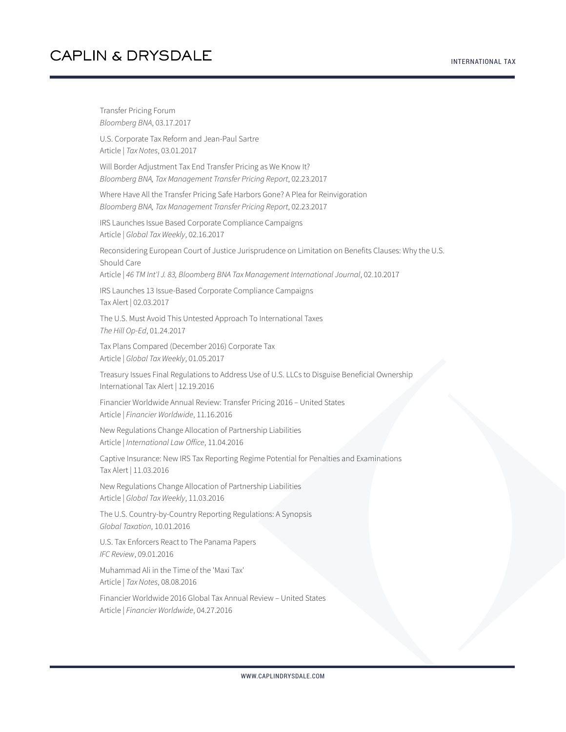Transfer Pricing Forum *Bloomberg BNA*, 03.17.2017 U.S. Corporate Tax Reform and Jean-Paul Sartre Article | *Tax Notes*, 03.01.2017 Will Border Adjustment Tax End Transfer Pricing as We Know It? *Bloomberg BNA, Tax Management Transfer Pricing Report*, 02.23.2017 Where Have All the Transfer Pricing Safe Harbors Gone? A Plea for Reinvigoration *Bloomberg BNA, Tax Management Transfer Pricing Report*, 02.23.2017 IRS Launches Issue Based Corporate Compliance Campaigns Article | *Global Tax Weekly*, 02.16.2017 Reconsidering European Court of Justice Jurisprudence on Limitation on Benefits Clauses: Why the U.S. Should Care Article | *46 TM Int'l J. 83, Bloomberg BNA Tax Management International Journal*, 02.10.2017 IRS Launches 13 Issue-Based Corporate Compliance Campaigns Tax Alert | 02.03.2017 The U.S. Must Avoid This Untested Approach To International Taxes *The Hill Op-Ed*, 01.24.2017 Tax Plans Compared (December 2016) Corporate Tax Article | *Global Tax Weekly*, 01.05.2017 Treasury Issues Final Regulations to Address Use of U.S. LLCs to Disguise Beneficial Ownership International Tax Alert | 12.19.2016 Financier Worldwide Annual Review: Transfer Pricing 2016 – United States Article | *Financier Worldwide*, 11.16.2016 New Regulations Change Allocation of Partnership Liabilities Article | *International Law Office*, 11.04.2016 Captive Insurance: New IRS Tax Reporting Regime Potential for Penalties and Examinations Tax Alert | 11.03.2016 New Regulations Change Allocation of Partnership Liabilities Article | *Global Tax Weekly*, 11.03.2016 The U.S. Country-by-Country Reporting Regulations: A Synopsis *Global Taxation*, 10.01.2016 U.S. Tax Enforcers React to The Panama Papers *IFC Review*, 09.01.2016 Muhammad Ali in the Time of the 'Maxi Tax' Article | *Tax Notes*, 08.08.2016 Financier Worldwide 2016 Global Tax Annual Review – United States Article | *Financier Worldwide*, 04.27.2016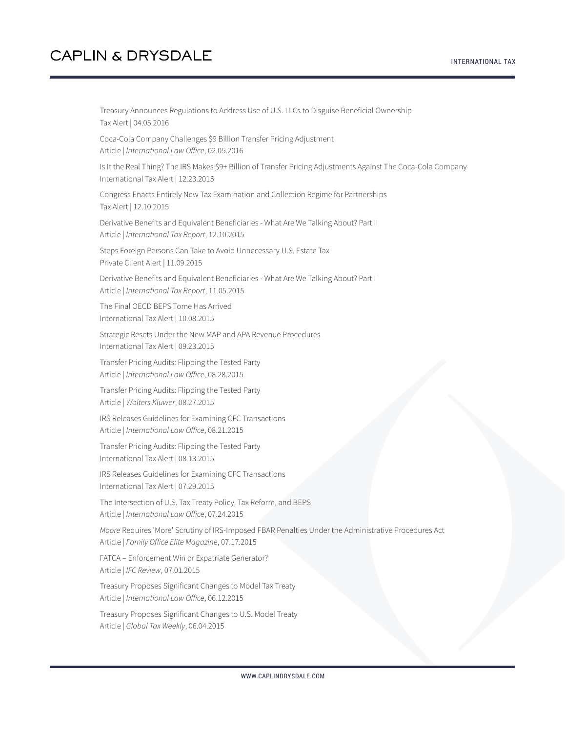Treasury Announces Regulations to Address Use of U.S. LLCs to Disguise Beneficial Ownership Tax Alert | 04.05.2016

Coca-Cola Company Challenges \$9 Billion Transfer Pricing Adjustment Article | *International Law Office*, 02.05.2016

Is It the Real Thing? The IRS Makes \$9+ Billion of Transfer Pricing Adjustments Against The Coca-Cola Company International Tax Alert | 12.23.2015

Congress Enacts Entirely New Tax Examination and Collection Regime for Partnerships Tax Alert | 12.10.2015

Derivative Benefits and Equivalent Beneficiaries - What Are We Talking About? Part II Article | *International Tax Report*, 12.10.2015

Steps Foreign Persons Can Take to Avoid Unnecessary U.S. Estate Tax Private Client Alert | 11.09.2015

Derivative Benefits and Equivalent Beneficiaries - What Are We Talking About? Part I Article | *International Tax Report*, 11.05.2015

The Final OECD BEPS Tome Has Arrived International Tax Alert | 10.08.2015

Strategic Resets Under the New MAP and APA Revenue Procedures International Tax Alert | 09.23.2015

Transfer Pricing Audits: Flipping the Tested Party Article | *International Law Office*, 08.28.2015

Transfer Pricing Audits: Flipping the Tested Party Article | *Wolters Kluwer*, 08.27.2015

IRS Releases Guidelines for Examining CFC Transactions Article | *International Law Office*, 08.21.2015

Transfer Pricing Audits: Flipping the Tested Party International Tax Alert | 08.13.2015

IRS Releases Guidelines for Examining CFC Transactions International Tax Alert | 07.29.2015

The Intersection of U.S. Tax Treaty Policy, Tax Reform, and BEPS Article | *International Law Office*, 07.24.2015

*Moore* Requires 'More' Scrutiny of IRS-Imposed FBAR Penalties Under the Administrative Procedures Act Article | *Family Office Elite Magazine*, 07.17.2015

FATCA – Enforcement Win or Expatriate Generator? Article | *IFC Review*, 07.01.2015

Treasury Proposes Significant Changes to Model Tax Treaty Article | *International Law Office*, 06.12.2015

Treasury Proposes Significant Changes to U.S. Model Treaty Article | *Global Tax Weekly*, 06.04.2015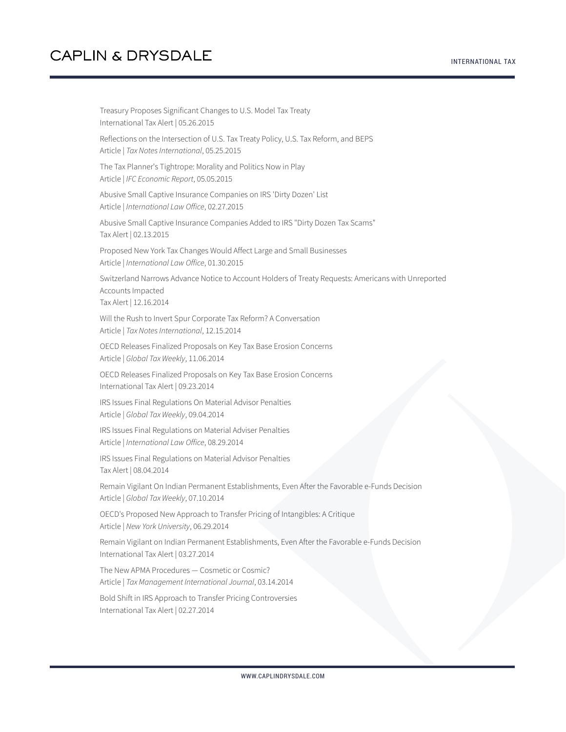Treasury Proposes Significant Changes to U.S. Model Tax Treaty International Tax Alert | 05.26.2015 Reflections on the Intersection of U.S. Tax Treaty Policy, U.S. Tax Reform, and BEPS Article | *Tax Notes International*, 05.25.2015 The Tax Planner's Tightrope: Morality and Politics Now in Play Article | *IFC Economic Report*, 05.05.2015 Abusive Small Captive Insurance Companies on IRS 'Dirty Dozen' List Article | *International Law Office*, 02.27.2015 Abusive Small Captive Insurance Companies Added to IRS "Dirty Dozen Tax Scams" Tax Alert | 02.13.2015 Proposed New York Tax Changes Would Affect Large and Small Businesses Article | *International Law Office*, 01.30.2015 Switzerland Narrows Advance Notice to Account Holders of Treaty Requests: Americans with Unreported Accounts Impacted Tax Alert | 12.16.2014 Will the Rush to Invert Spur Corporate Tax Reform? A Conversation Article | *Tax Notes International*, 12.15.2014 OECD Releases Finalized Proposals on Key Tax Base Erosion Concerns Article | *Global Tax Weekly*, 11.06.2014 OECD Releases Finalized Proposals on Key Tax Base Erosion Concerns International Tax Alert | 09.23.2014 IRS Issues Final Regulations On Material Advisor Penalties Article | *Global Tax Weekly*, 09.04.2014 IRS Issues Final Regulations on Material Adviser Penalties Article | *International Law Office*, 08.29.2014 IRS Issues Final Regulations on Material Advisor Penalties Tax Alert | 08.04.2014 Remain Vigilant On Indian Permanent Establishments, Even After the Favorable e-Funds Decision Article | *Global Tax Weekly*, 07.10.2014 OECD's Proposed New Approach to Transfer Pricing of Intangibles: A Critique Article | *New York University*, 06.29.2014 Remain Vigilant on Indian Permanent Establishments, Even After the Favorable e-Funds Decision International Tax Alert | 03.27.2014 The New APMA Procedures — Cosmetic or Cosmic? Article | *Tax Management International Journal*, 03.14.2014 Bold Shift in IRS Approach to Transfer Pricing Controversies International Tax Alert | 02.27.2014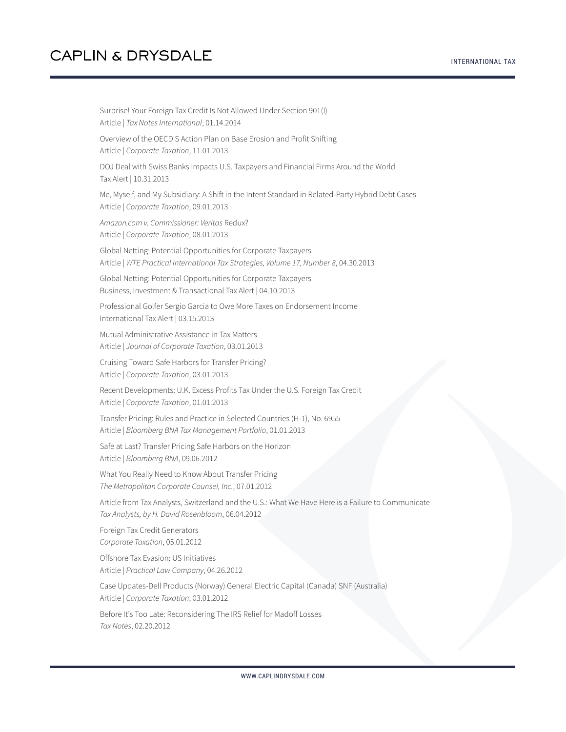Surprise! Your Foreign Tax Credit Is Not Allowed Under Section 901(I) Article | *Tax Notes International*, 01.14.2014 Overview of the OECD'S Action Plan on Base Erosion and Profit Shifting Article | *Corporate Taxation*, 11.01.2013 DOJ Deal with Swiss Banks Impacts U.S. Taxpayers and Financial Firms Around the World Tax Alert | 10.31.2013 Me, Myself, and My Subsidiary: A Shift in the Intent Standard in Related-Party Hybrid Debt Cases Article | *Corporate Taxation*, 09.01.2013 *Amazon.com v. Commissioner: Veritas* Redux? Article | *Corporate Taxation*, 08.01.2013 Global Netting: Potential Opportunities for Corporate Taxpayers Article | *WTE Practical International Tax Strategies, Volume 17, Number 8*, 04.30.2013 Global Netting: Potential Opportunities for Corporate Taxpayers Business, Investment & Transactional Tax Alert | 04.10.2013 Professional Golfer Sergio Garcia to Owe More Taxes on Endorsement Income International Tax Alert | 03.15.2013 Mutual Administrative Assistance in Tax Matters Article | *Journal of Corporate Taxation*, 03.01.2013 Cruising Toward Safe Harbors for Transfer Pricing? Article | *Corporate Taxation*, 03.01.2013 Recent Developments: U.K. Excess Profits Tax Under the U.S. Foreign Tax Credit Article | *Corporate Taxation*, 01.01.2013 Transfer Pricing: Rules and Practice in Selected Countries (H-1), No. 6955 Article | *Bloomberg BNA Tax Management Portfolio*, 01.01.2013 Safe at Last? Transfer Pricing Safe Harbors on the Horizon Article | *Bloomberg BNA*, 09.06.2012 What You Really Need to Know About Transfer Pricing *The Metropolitan Corporate Counsel, Inc.*, 07.01.2012 Article from Tax Analysts, Switzerland and the U.S.: What We Have Here is a Failure to Communicate *Tax Analysts, by H. David Rosenbloom*, 06.04.2012 Foreign Tax Credit Generators *Corporate Taxation*, 05.01.2012 Offshore Tax Evasion: US Initiatives Article | *Practical Law Company*, 04.26.2012 Case Updates-Dell Products (Norway) General Electric Capital (Canada) SNF (Australia) Article | *Corporate Taxation*, 03.01.2012 Before It's Too Late: Reconsidering The IRS Relief for Madoff Losses *Tax Notes*, 02.20.2012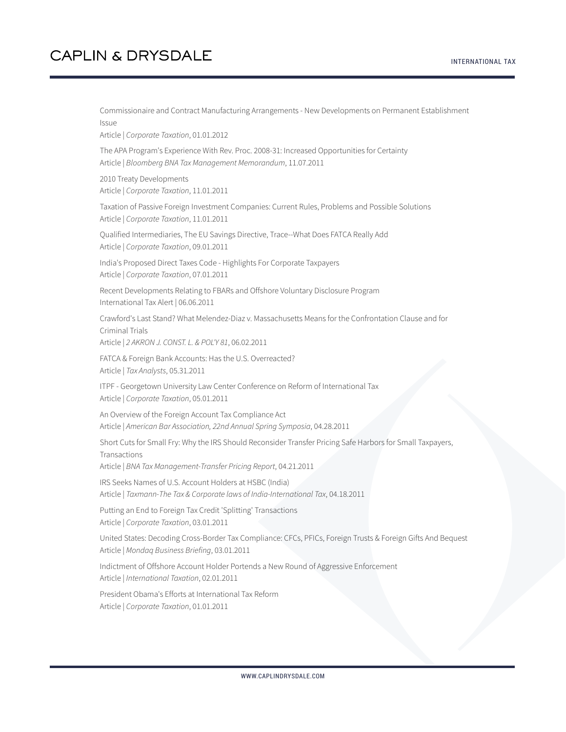Commissionaire and Contract Manufacturing Arrangements - New Developments on Permanent Establishment Issue Article | *Corporate Taxation*, 01.01.2012 The APA Program's Experience With Rev. Proc. 2008-31: Increased Opportunities for Certainty Article | *Bloomberg BNA Tax Management Memorandum*, 11.07.2011 2010 Treaty Developments Article | *Corporate Taxation*, 11.01.2011 Taxation of Passive Foreign Investment Companies: Current Rules, Problems and Possible Solutions Article | *Corporate Taxation*, 11.01.2011 Qualified Intermediaries, The EU Savings Directive, Trace--What Does FATCA Really Add Article | *Corporate Taxation*, 09.01.2011 India's Proposed Direct Taxes Code - Highlights For Corporate Taxpayers Article | *Corporate Taxation*, 07.01.2011 Recent Developments Relating to FBARs and Offshore Voluntary Disclosure Program International Tax Alert | 06.06.2011 Crawford's Last Stand? What Melendez-Diaz v. Massachusetts Means for the Confrontation Clause and for Criminal Trials Article | *2 AKRON J. CONST. L. & POL'Y 81*, 06.02.2011 FATCA & Foreign Bank Accounts: Has the U.S. Overreacted? Article | *Tax Analysts*, 05.31.2011 ITPF - Georgetown University Law Center Conference on Reform of International Tax Article | *Corporate Taxation*, 05.01.2011 An Overview of the Foreign Account Tax Compliance Act Article | *American Bar Association, 22nd Annual Spring Symposia*, 04.28.2011 Short Cuts for Small Fry: Why the IRS Should Reconsider Transfer Pricing Safe Harbors for Small Taxpayers, Transactions Article | *BNA Tax Management-Transfer Pricing Report*, 04.21.2011 IRS Seeks Names of U.S. Account Holders at HSBC (India) Article | *Taxmann-The Tax & Corporate laws of India-International Tax*, 04.18.2011 Putting an End to Foreign Tax Credit 'Splitting' Transactions Article | *Corporate Taxation*, 03.01.2011 United States: Decoding Cross-Border Tax Compliance: CFCs, PFICs, Foreign Trusts & Foreign Gifts And Bequest Article | *Mondaq Business Briefing*, 03.01.2011 Indictment of Offshore Account Holder Portends a New Round of Aggressive Enforcement Article | *International Taxation*, 02.01.2011 President Obama's Efforts at International Tax Reform Article | *Corporate Taxation*, 01.01.2011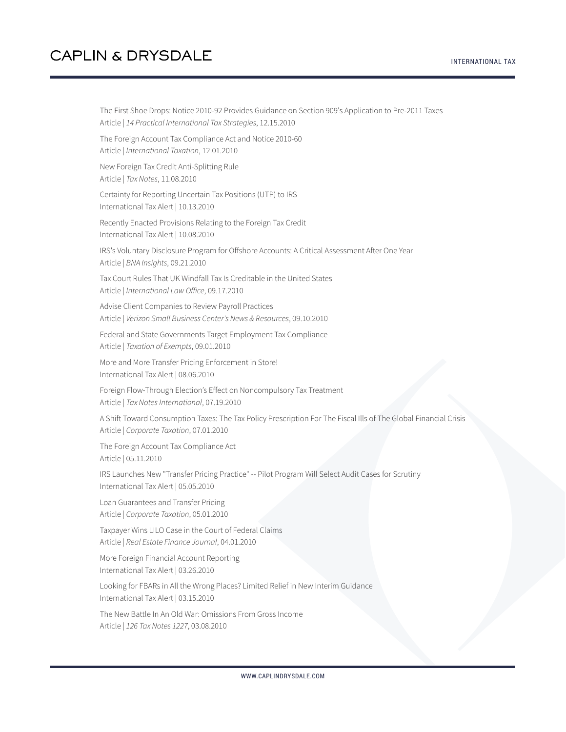The First Shoe Drops: Notice 2010-92 Provides Guidance on Section 909's Application to Pre-2011 Taxes Article | *14 Practical International Tax Strategies*, 12.15.2010 The Foreign Account Tax Compliance Act and Notice 2010-60 Article | *International Taxation*, 12.01.2010 New Foreign Tax Credit Anti-Splitting Rule Article | *Tax Notes*, 11.08.2010 Certainty for Reporting Uncertain Tax Positions (UTP) to IRS International Tax Alert | 10.13.2010 Recently Enacted Provisions Relating to the Foreign Tax Credit International Tax Alert | 10.08.2010 IRS's Voluntary Disclosure Program for Offshore Accounts: A Critical Assessment After One Year Article | *BNA Insights*, 09.21.2010 Tax Court Rules That UK Windfall Tax Is Creditable in the United States Article | *International Law Office*, 09.17.2010 Advise Client Companies to Review Payroll Practices Article | *Verizon Small Business Center's News & Resources*, 09.10.2010 Federal and State Governments Target Employment Tax Compliance Article | *Taxation of Exempts*, 09.01.2010 More and More Transfer Pricing Enforcement in Store! International Tax Alert | 08.06.2010 Foreign Flow-Through Election's Effect on Noncompulsory Tax Treatment Article | *Tax Notes International*, 07.19.2010 A Shift Toward Consumption Taxes: The Tax Policy Prescription For The Fiscal Ills of The Global Financial Crisis Article | *Corporate Taxation*, 07.01.2010 The Foreign Account Tax Compliance Act Article | 05.11.2010 IRS Launches New "Transfer Pricing Practice" -- Pilot Program Will Select Audit Cases for Scrutiny International Tax Alert | 05.05.2010 Loan Guarantees and Transfer Pricing Article | *Corporate Taxation*, 05.01.2010 Taxpayer Wins LILO Case in the Court of Federal Claims Article | *Real Estate Finance Journal*, 04.01.2010 More Foreign Financial Account Reporting International Tax Alert | 03.26.2010 Looking for FBARs in All the Wrong Places? Limited Relief in New Interim Guidance International Tax Alert | 03.15.2010 The New Battle In An Old War: Omissions From Gross Income

Article | *126 Tax Notes 1227*, 03.08.2010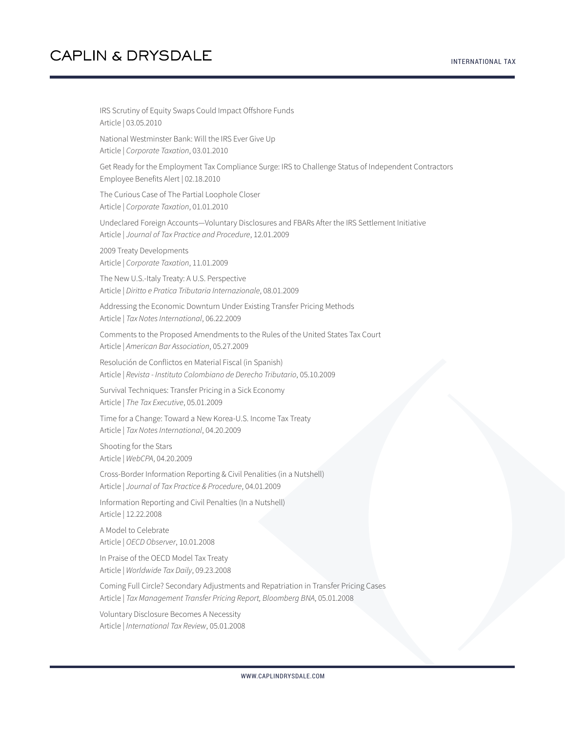IRS Scrutiny of Equity Swaps Could Impact Offshore Funds Article | 03.05.2010 National Westminster Bank: Will the IRS Ever Give Up Article | *Corporate Taxation*, 03.01.2010 Get Ready for the Employment Tax Compliance Surge: IRS to Challenge Status of Independent Contractors Employee Benefits Alert | 02.18.2010 The Curious Case of The Partial Loophole Closer Article | *Corporate Taxation*, 01.01.2010 Undeclared Foreign Accounts—Voluntary Disclosures and FBARs After the IRS Settlement Initiative Article | *Journal of Tax Practice and Procedure*, 12.01.2009 2009 Treaty Developments Article | *Corporate Taxation*, 11.01.2009 The New U.S.-Italy Treaty: A U.S. Perspective Article | *Diritto e Pratica Tributaria Internazionale*, 08.01.2009 Addressing the Economic Downturn Under Existing Transfer Pricing Methods Article | *Tax Notes International*, 06.22.2009 Comments to the Proposed Amendments to the Rules of the United States Tax Court Article | *American Bar Association*, 05.27.2009 Resolución de Conflictos en Material Fiscal (in Spanish) Article | *Revista - Instituto Colombiano de Derecho Tributario*, 05.10.2009 Survival Techniques: Transfer Pricing in a Sick Economy Article | *The Tax Executive*, 05.01.2009 Time for a Change: Toward a New Korea-U.S. Income Tax Treaty Article | *Tax Notes International*, 04.20.2009 Shooting for the Stars Article | *WebCPA*, 04.20.2009 Cross-Border Information Reporting & Civil Penalities (in a Nutshell) Article | *Journal of Tax Practice & Procedure*, 04.01.2009 Information Reporting and Civil Penalties (In a Nutshell) Article | 12.22.2008 A Model to Celebrate Article | *OECD Observer*, 10.01.2008 In Praise of the OECD Model Tax Treaty Article | *Worldwide Tax Daily*, 09.23.2008 Coming Full Circle? Secondary Adjustments and Repatriation in Transfer Pricing Cases Article | *Tax Management Transfer Pricing Report, Bloomberg BNA*, 05.01.2008

Voluntary Disclosure Becomes A Necessity Article | *International Tax Review*, 05.01.2008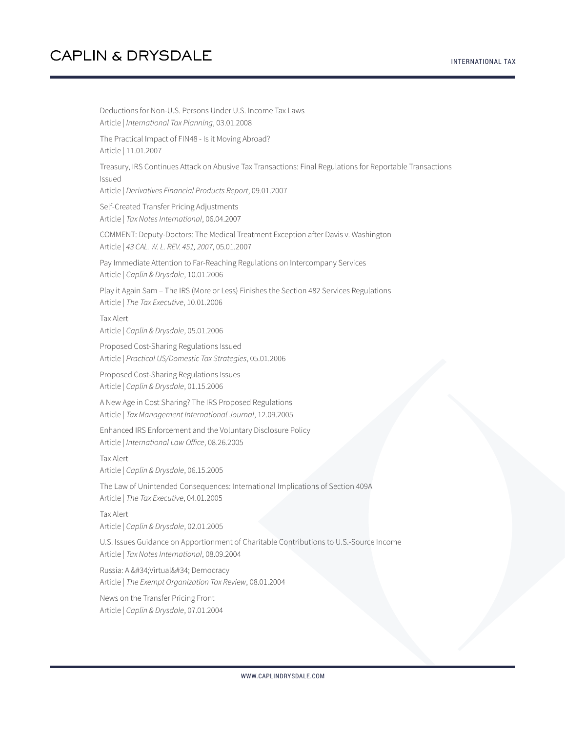Deductions for Non-U.S. Persons Under U.S. Income Tax Laws Article | *International Tax Planning*, 03.01.2008 The Practical Impact of FIN48 - Is it Moving Abroad? Article | 11.01.2007 Treasury, IRS Continues Attack on Abusive Tax Transactions: Final Regulations for Reportable Transactions Issued Article | *Derivatives Financial Products Report*, 09.01.2007 Self-Created Transfer Pricing Adjustments Article | *Tax Notes International*, 06.04.2007 COMMENT: Deputy-Doctors: The Medical Treatment Exception after Davis v. Washington Article | *43 CAL. W. L. REV. 451, 2007*, 05.01.2007 Pay Immediate Attention to Far-Reaching Regulations on Intercompany Services Article | *Caplin & Drysdale*, 10.01.2006 Play it Again Sam – The IRS (More or Less) Finishes the Section 482 Services Regulations Article | *The Tax Executive*, 10.01.2006 Tax Alert Article | *Caplin & Drysdale*, 05.01.2006 Proposed Cost-Sharing Regulations Issued Article | *Practical US/Domestic Tax Strategies*, 05.01.2006 Proposed Cost-Sharing Regulations Issues Article | *Caplin & Drysdale*, 01.15.2006 A New Age in Cost Sharing? The IRS Proposed Regulations Article | *Tax Management International Journal*, 12.09.2005 Enhanced IRS Enforcement and the Voluntary Disclosure Policy Article | *International Law Office*, 08.26.2005 Tax Alert Article | *Caplin & Drysdale*, 06.15.2005 The Law of Unintended Consequences: International Implications of Section 409A Article | *The Tax Executive*, 04.01.2005 Tax Alert Article | *Caplin & Drysdale*, 02.01.2005 U.S. Issues Guidance on Apportionment of Charitable Contributions to U.S.-Source Income Article | *Tax Notes International*, 08.09.2004 Russia: A " Virtual" Democracy Article | *The Exempt Organization Tax Review*, 08.01.2004 News on the Transfer Pricing Front Article | *Caplin & Drysdale*, 07.01.2004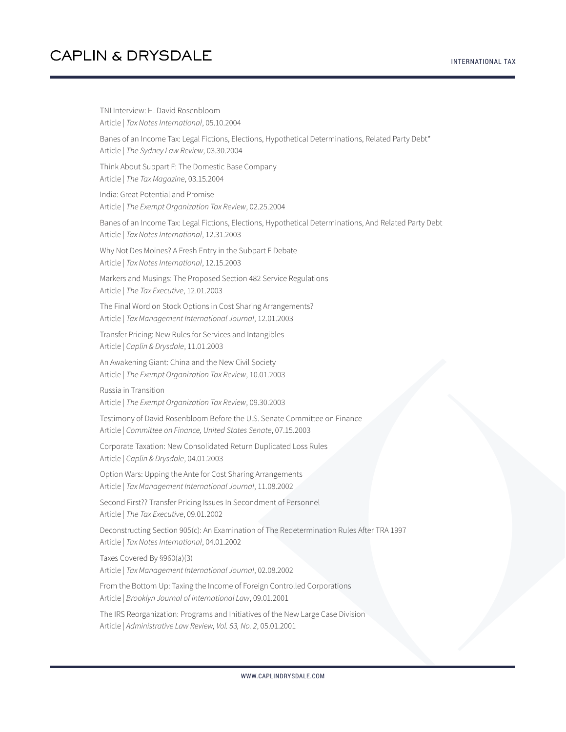TNI Interview: H. David Rosenbloom Article | *Tax Notes International*, 05.10.2004 Banes of an Income Tax: Legal Fictions, Elections, Hypothetical Determinations, Related Party Debt\* Article | *The Sydney Law Review*, 03.30.2004 Think About Subpart F: The Domestic Base Company Article | *The Tax Magazine*, 03.15.2004 India: Great Potential and Promise Article | *The Exempt Organization Tax Review*, 02.25.2004 Banes of an Income Tax: Legal Fictions, Elections, Hypothetical Determinations, And Related Party Debt Article | *Tax Notes International*, 12.31.2003 Why Not Des Moines? A Fresh Entry in the Subpart F Debate Article | *Tax Notes International*, 12.15.2003 Markers and Musings: The Proposed Section 482 Service Regulations Article | *The Tax Executive*, 12.01.2003 The Final Word on Stock Options in Cost Sharing Arrangements? Article | *Tax Management International Journal*, 12.01.2003 Transfer Pricing: New Rules for Services and Intangibles Article | *Caplin & Drysdale*, 11.01.2003 An Awakening Giant: China and the New Civil Society Article | *The Exempt Organization Tax Review*, 10.01.2003 Russia in Transition Article | *The Exempt Organization Tax Review*, 09.30.2003 Testimony of David Rosenbloom Before the U.S. Senate Committee on Finance Article | *Committee on Finance, United States Senate*, 07.15.2003 Corporate Taxation: New Consolidated Return Duplicated Loss Rules Article | *Caplin & Drysdale*, 04.01.2003 Option Wars: Upping the Ante for Cost Sharing Arrangements Article | *Tax Management International Journal*, 11.08.2002 Second First?? Transfer Pricing Issues In Secondment of Personnel Article | *The Tax Executive*, 09.01.2002 Deconstructing Section 905(c): An Examination of The Redetermination Rules After TRA 1997 Article | *Tax Notes International*, 04.01.2002 Taxes Covered By §960(a)(3) Article | *Tax Management International Journal*, 02.08.2002 From the Bottom Up: Taxing the Income of Foreign Controlled Corporations Article | *Brooklyn Journal of International Law*, 09.01.2001 The IRS Reorganization: Programs and Initiatives of the New Large Case Division Article | *Administrative Law Review, Vol. 53, No. 2*, 05.01.2001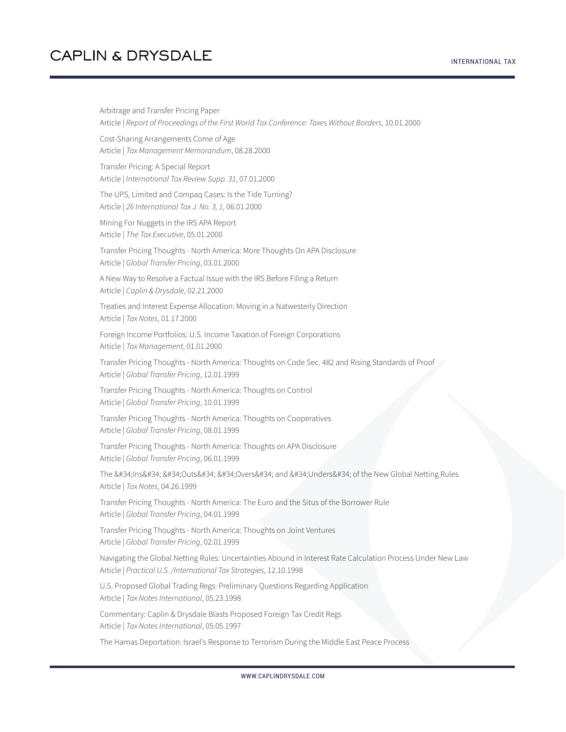Arbitrage and Transfer Pricing Paper Article | *Report of Proceedings of the First World Tax Conference: Taxes Without Borders*, 10.01.2000 Cost-Sharing Arrangements Come of Age Article | *Tax Management Memorandum*, 08.28.2000 Transfer Pricing: A Special Report Article | *International Tax Review Supp. 31*, 07.01.2000 The UPS, Limited and Compaq Cases: Is the Tide Turning? Article | *26 International Tax J. No. 3, 1*, 06.01.2000 Mining For Nuggets in the IRS APA Report Article | *The Tax Executive*, 05.01.2000 Transfer Pricing Thoughts - North America: More Thoughts On APA Disclosure Article | *Global Transfer Pricing*, 03.01.2000 A New Way to Resolve a Factual Issue with the IRS Before Filing a Return Article | *Caplin & Drysdale*, 02.21.2000 Treaties and Interest Expense Allocation: Moving in a Natwesterly Direction Article | *Tax Notes*, 01.17.2000 Foreign Income Portfolios: U.S. Income Taxation of Foreign Corporations Article | *Tax Management*, 01.01.2000 Transfer Pricing Thoughts - North America: Thoughts on Code Sec. 482 and Rising Standards of Proof Article | *Global Transfer Pricing*, 12.01.1999 Transfer Pricing Thoughts - North America: Thoughts on Control Article | *Global Transfer Pricing*, 10.01.1999 Transfer Pricing Thoughts - North America: Thoughts on Cooperatives Article | *Global Transfer Pricing*, 08.01.1999 Transfer Pricing Thoughts - North America: Thoughts on APA Disclosure Article | *Global Transfer Pricing*, 06.01.1999 The "Ins" "Outs" "Overs" and "Unders" of the New Global Netting Rules Article | *Tax Notes*, 04.26.1999 Transfer Pricing Thoughts - North America: The Euro and the Situs of the Borrower Rule Article | *Global Transfer Pricing*, 04.01.1999 Transfer Pricing Thoughts - North America: Thoughts on Joint Ventures Article | *Global Transfer Pricing*, 02.01.1999 Navigating the Global Netting Rules: Uncertainties Abound in Interest Rate Calculation Process Under New Law Article | *Practical U.S. /International Tax Strategies*, 12.10.1998 U.S. Proposed Global Trading Regs: Preliminary Questions Regarding Application Article | *Tax Notes International*, 05.23.1998 Commentary: Caplin & Drysdale Blasts Proposed Foreign Tax Credit Regs Article | *Tax Notes International*, 05.05.1997

The Hamas Deportation: Israel's Response to Terrorism During the Middle East Peace Process